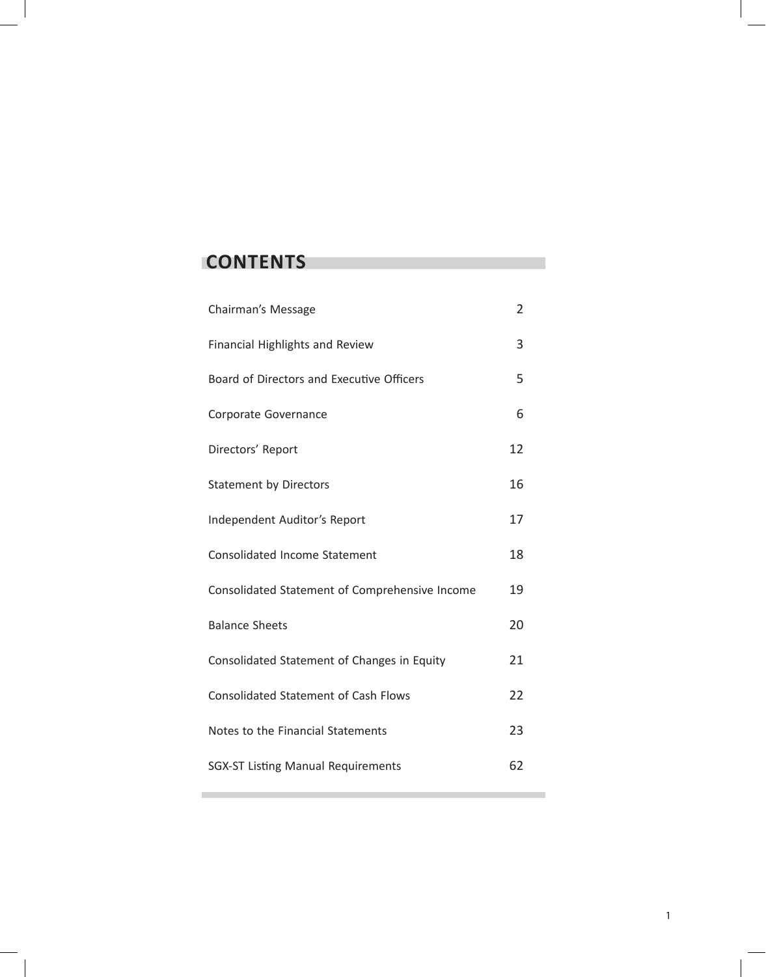# **CONTENTS**

| Chairman's Message                             | $\overline{2}$ |
|------------------------------------------------|----------------|
| <b>Financial Highlights and Review</b>         | 3              |
| Board of Directors and Executive Officers      | 5              |
| Corporate Governance                           | 6              |
| Directors' Report                              | 12             |
| <b>Statement by Directors</b>                  | 16             |
| Independent Auditor's Report                   | 17             |
| <b>Consolidated Income Statement</b>           | 18             |
| Consolidated Statement of Comprehensive Income | 19             |
| <b>Balance Sheets</b>                          | 20             |
| Consolidated Statement of Changes in Equity    | 21             |
| <b>Consolidated Statement of Cash Flows</b>    | 22             |
| Notes to the Financial Statements              | 23             |
| <b>SGX-ST Listing Manual Requirements</b>      | 62             |
|                                                |                |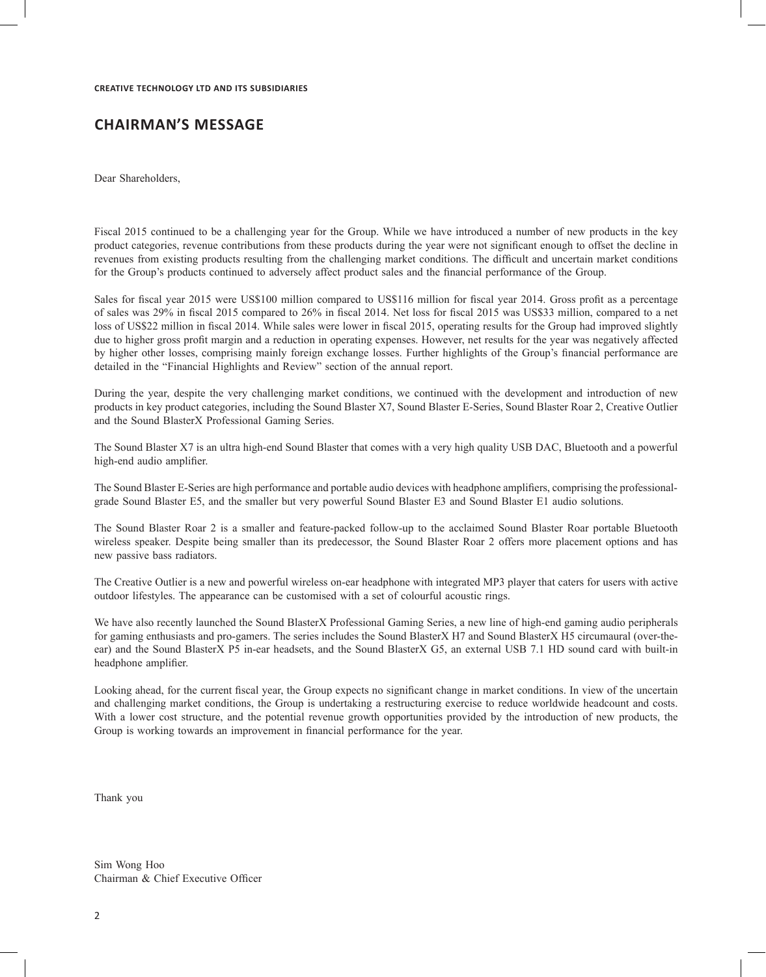# **CHAIRMAN'S MESSAGE**

Dear Shareholders,

Fiscal 2015 continued to be a challenging year for the Group. While we have introduced a number of new products in the key product categories, revenue contributions from these products during the year were not significant enough to offset the decline in revenues from existing products resulting from the challenging market conditions. The difficult and uncertain market conditions for the Group's products continued to adversely affect product sales and the financial performance of the Group.

Sales for fiscal year 2015 were US\$100 million compared to US\$116 million for fiscal year 2014. Gross profit as a percentage of sales was 29% in fiscal 2015 compared to 26% in fiscal 2014. Net loss for fiscal 2015 was US\$33 million, compared to a net loss of US\$22 million in fiscal 2014. While sales were lower in fiscal 2015, operating results for the Group had improved slightly due to higher gross profit margin and a reduction in operating expenses. However, net results for the year was negatively affected by higher other losses, comprising mainly foreign exchange losses. Further highlights of the Group's financial performance are detailed in the "Financial Highlights and Review" section of the annual report.

During the year, despite the very challenging market conditions, we continued with the development and introduction of new products in key product categories, including the Sound Blaster X7, Sound Blaster E-Series, Sound Blaster Roar 2, Creative Outlier and the Sound BlasterX Professional Gaming Series.

The Sound Blaster X7 is an ultra high-end Sound Blaster that comes with a very high quality USB DAC, Bluetooth and a powerful high-end audio amplifier.

The Sound Blaster E-Series are high performance and portable audio devices with headphone amplifiers, comprising the professionalgrade Sound Blaster E5, and the smaller but very powerful Sound Blaster E3 and Sound Blaster E1 audio solutions.

The Sound Blaster Roar 2 is a smaller and feature-packed follow-up to the acclaimed Sound Blaster Roar portable Bluetooth wireless speaker. Despite being smaller than its predecessor, the Sound Blaster Roar 2 offers more placement options and has new passive bass radiators.

The Creative Outlier is a new and powerful wireless on-ear headphone with integrated MP3 player that caters for users with active outdoor lifestyles. The appearance can be customised with a set of colourful acoustic rings.

We have also recently launched the Sound BlasterX Professional Gaming Series, a new line of high-end gaming audio peripherals for gaming enthusiasts and pro-gamers. The series includes the Sound BlasterX H7 and Sound BlasterX H5 circumaural (over-theear) and the Sound BlasterX P5 in-ear headsets, and the Sound BlasterX G5, an external USB 7.1 HD sound card with built-in headphone amplifier.

Looking ahead, for the current fiscal year, the Group expects no significant change in market conditions. In view of the uncertain and challenging market conditions, the Group is undertaking a restructuring exercise to reduce worldwide headcount and costs. With a lower cost structure, and the potential revenue growth opportunities provided by the introduction of new products, the Group is working towards an improvement in financial performance for the year.

Thank you

Sim Wong Hoo Chairman & Chief Executive Officer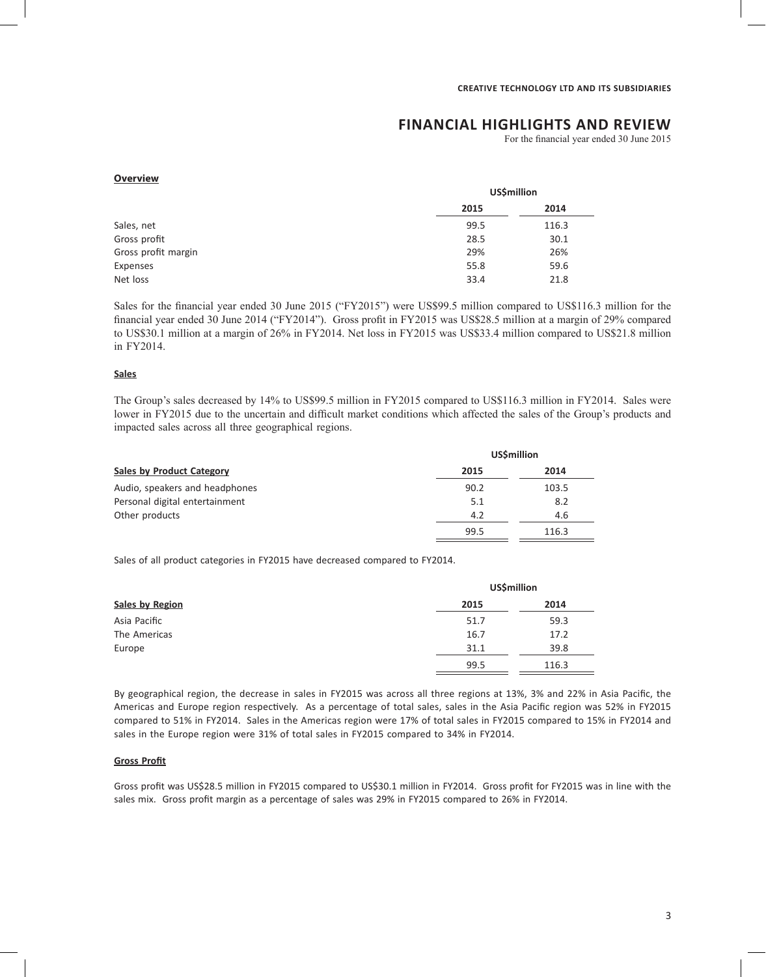# **FINANCIAL HIGHLIGHTS AND REVIEW**

For the financial year ended 30 June 2015

#### **Overview**

| <b>US\$million</b> |       |  |
|--------------------|-------|--|
| 2015               | 2014  |  |
| 99.5               | 116.3 |  |
| 28.5               | 30.1  |  |
| 29%                | 26%   |  |
| 55.8               | 59.6  |  |
| 33.4               | 21.8  |  |
|                    |       |  |

Sales for the financial year ended 30 June 2015 ("FY2015") were US\$99.5 million compared to US\$116.3 million for the financial year ended 30 June 2014 ("FY2014"). Gross profit in FY2015 was US\$28.5 million at a margin of 29% compared to US\$30.1 million at a margin of 26% in FY2014. Net loss in FY2015 was US\$33.4 million compared to US\$21.8 million in FY2014.

#### **Sales**

The Group's sales decreased by 14% to US\$99.5 million in FY2015 compared to US\$116.3 million in FY2014. Sales were lower in FY2015 due to the uncertain and difficult market conditions which affected the sales of the Group's products and impacted sales across all three geographical regions.

|                                  |      | <b>US\$million</b> |
|----------------------------------|------|--------------------|
| <b>Sales by Product Category</b> | 2015 | 2014               |
| Audio, speakers and headphones   | 90.2 | 103.5              |
| Personal digital entertainment   | 5.1  | 8.2                |
| Other products                   | 4.2  | 4.6                |
|                                  | 99.5 | 116.3              |

Sales of all product categories in FY2015 have decreased compared to FY2014.

|                 | <b>US\$million</b> |       |  |
|-----------------|--------------------|-------|--|
| Sales by Region | 2015               | 2014  |  |
| Asia Pacific    | 51.7               | 59.3  |  |
| The Americas    | 16.7               | 17.2  |  |
| Europe          | 31.1               | 39.8  |  |
|                 | 99.5               | 116.3 |  |

By geographical region, the decrease in sales in FY2015 was across all three regions at 13%, 3% and 22% in Asia Pacific, the Americas and Europe region respectively. As a percentage of total sales, sales in the Asia Pacific region was 52% in FY2015 compared to 51% in FY2014. Sales in the Americas region were 17% of total sales in FY2015 compared to 15% in FY2014 and sales in the Europe region were 31% of total sales in FY2015 compared to 34% in FY2014.

# **Gross Profit**

Gross profit was US\$28.5 million in FY2015 compared to US\$30.1 million in FY2014. Gross profit for FY2015 was in line with the sales mix. Gross profit margin as a percentage of sales was 29% in FY2015 compared to 26% in FY2014.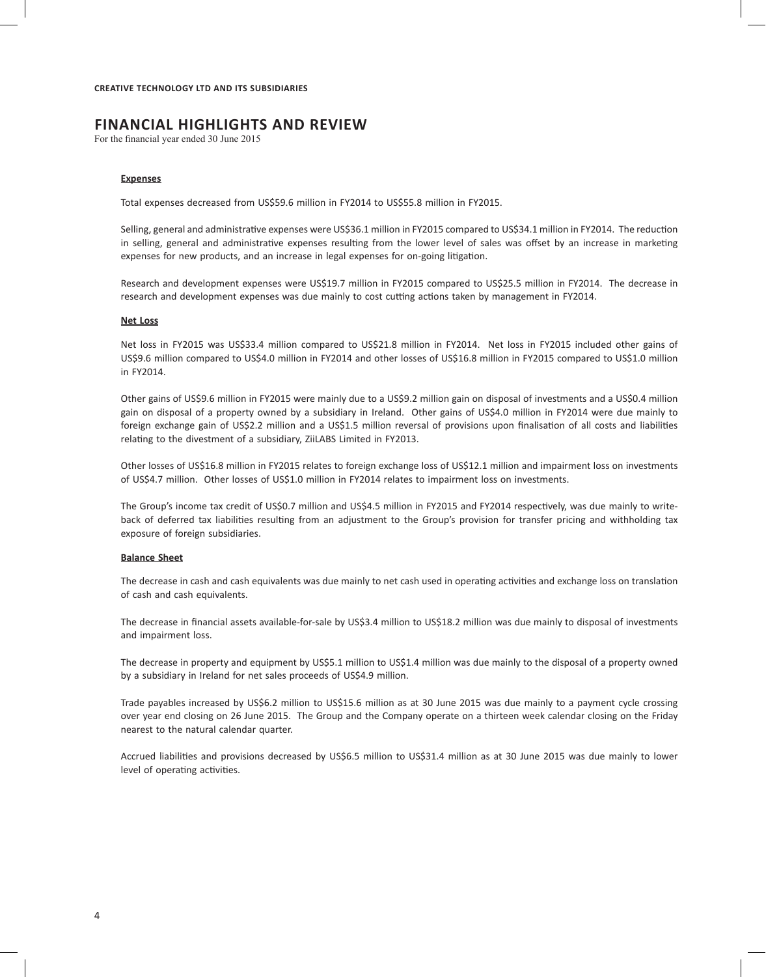# **FINANCIAL HIGHLIGHTS AND REVIEW**

For the financial year ended 30 June 2015

#### **Expenses**

Total expenses decreased from US\$59.6 million in FY2014 to US\$55.8 million in FY2015.

Selling, general and administrative expenses were US\$36.1 million in FY2015 compared to US\$34.1 million in FY2014. The reduction in selling, general and administrative expenses resulting from the lower level of sales was offset by an increase in marketing expenses for new products, and an increase in legal expenses for on-going litigation.

Research and development expenses were US\$19.7 million in FY2015 compared to US\$25.5 million in FY2014. The decrease in research and development expenses was due mainly to cost cutting actions taken by management in FY2014.

#### **Net Loss**

Net loss in FY2015 was US\$33.4 million compared to US\$21.8 million in FY2014. Net loss in FY2015 included other gains of US\$9.6 million compared to US\$4.0 million in FY2014 and other losses of US\$16.8 million in FY2015 compared to US\$1.0 million in FY2014.

Other gains of US\$9.6 million in FY2015 were mainly due to a US\$9.2 million gain on disposal of investments and a US\$0.4 million gain on disposal of a property owned by a subsidiary in Ireland. Other gains of US\$4.0 million in FY2014 were due mainly to foreign exchange gain of US\$2.2 million and a US\$1.5 million reversal of provisions upon finalisation of all costs and liabilities relating to the divestment of a subsidiary, ZiiLABS Limited in FY2013.

Other losses of US\$16.8 million in FY2015 relates to foreign exchange loss of US\$12.1 million and impairment loss on investments of US\$4.7 million. Other losses of US\$1.0 million in FY2014 relates to impairment loss on investments.

The Group's income tax credit of US\$0.7 million and US\$4.5 million in FY2015 and FY2014 respectively, was due mainly to writeback of deferred tax liabilities resulting from an adjustment to the Group's provision for transfer pricing and withholding tax exposure of foreign subsidiaries.

#### **Balance Sheet**

The decrease in cash and cash equivalents was due mainly to net cash used in operating activities and exchange loss on translation of cash and cash equivalents.

The decrease in financial assets available-for-sale by US\$3.4 million to US\$18.2 million was due mainly to disposal of investments and impairment loss.

The decrease in property and equipment by US\$5.1 million to US\$1.4 million was due mainly to the disposal of a property owned by a subsidiary in Ireland for net sales proceeds of US\$4.9 million.

Trade payables increased by US\$6.2 million to US\$15.6 million as at 30 June 2015 was due mainly to a payment cycle crossing over year end closing on 26 June 2015. The Group and the Company operate on a thirteen week calendar closing on the Friday nearest to the natural calendar quarter.

Accrued liabilities and provisions decreased by US\$6.5 million to US\$31.4 million as at 30 June 2015 was due mainly to lower level of operating activities.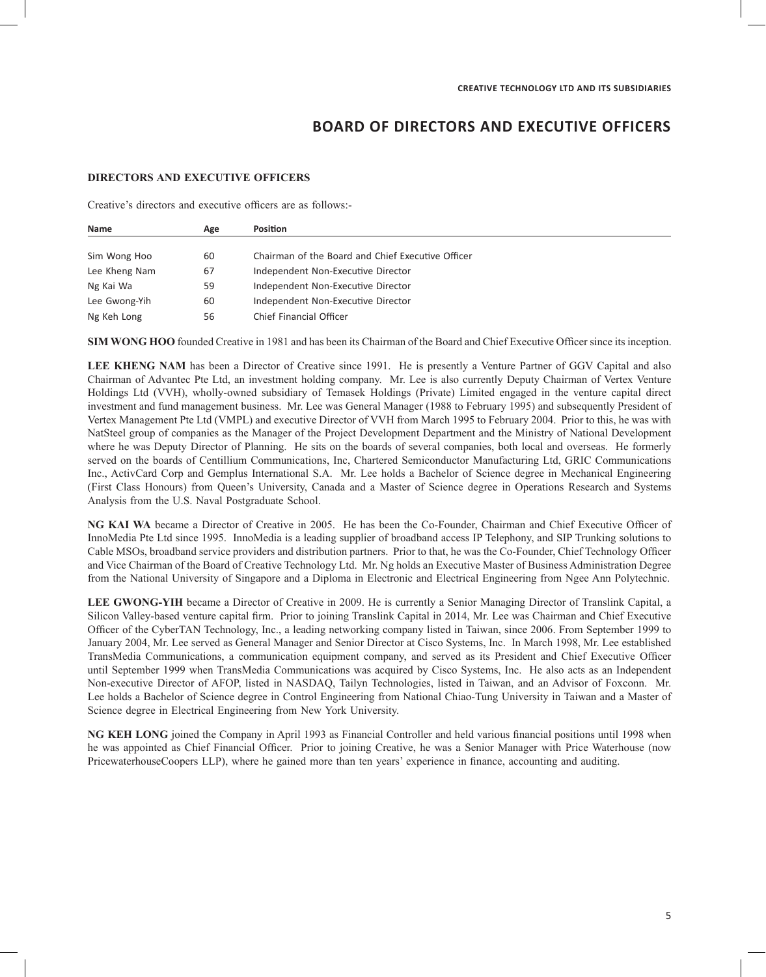# **BOARD OF DIRECTORS AND EXECUTIVE OFFICERS**

### **DIRECTORS AND EXECUTIVE OFFICERS**

Creative's directors and executive officers are as follows:-

| <b>Name</b>   | Age | <b>Position</b>                                   |  |
|---------------|-----|---------------------------------------------------|--|
|               |     |                                                   |  |
| Sim Wong Hoo  | 60  | Chairman of the Board and Chief Executive Officer |  |
| Lee Kheng Nam | 67  | Independent Non-Executive Director                |  |
| Ng Kai Wa     | 59  | Independent Non-Executive Director                |  |
| Lee Gwong-Yih | 60  | Independent Non-Executive Director                |  |
| Ng Keh Long   | 56  | <b>Chief Financial Officer</b>                    |  |

**SIM WONG HOO** founded Creative in 1981 and has been its Chairman of the Board and Chief Executive Officer since its inception.

**LEE KHENG NAM** has been a Director of Creative since 1991. He is presently a Venture Partner of GGV Capital and also Chairman of Advantec Pte Ltd, an investment holding company. Mr. Lee is also currently Deputy Chairman of Vertex Venture Holdings Ltd (VVH), wholly-owned subsidiary of Temasek Holdings (Private) Limited engaged in the venture capital direct investment and fund management business. Mr. Lee was General Manager (1988 to February 1995) and subsequently President of Vertex Management Pte Ltd (VMPL) and executive Director of VVH from March 1995 to February 2004. Prior to this, he was with NatSteel group of companies as the Manager of the Project Development Department and the Ministry of National Development where he was Deputy Director of Planning. He sits on the boards of several companies, both local and overseas. He formerly served on the boards of Centillium Communications, Inc, Chartered Semiconductor Manufacturing Ltd, GRIC Communications Inc., ActivCard Corp and Gemplus International S.A. Mr. Lee holds a Bachelor of Science degree in Mechanical Engineering (First Class Honours) from Queen's University, Canada and a Master of Science degree in Operations Research and Systems Analysis from the U.S. Naval Postgraduate School.

**NG KAI WA** became a Director of Creative in 2005. He has been the Co-Founder, Chairman and Chief Executive Officer of InnoMedia Pte Ltd since 1995. InnoMedia is a leading supplier of broadband access IP Telephony, and SIP Trunking solutions to Cable MSOs, broadband service providers and distribution partners. Prior to that, he was the Co-Founder, Chief Technology Officer and Vice Chairman of the Board of Creative Technology Ltd. Mr. Ng holds an Executive Master of Business Administration Degree from the National University of Singapore and a Diploma in Electronic and Electrical Engineering from Ngee Ann Polytechnic.

**LEE GWONG-YIH** became a Director of Creative in 2009. He is currently a Senior Managing Director of Translink Capital, a Silicon Valley-based venture capital firm. Prior to joining Translink Capital in 2014, Mr. Lee was Chairman and Chief Executive Officer of the CyberTAN Technology, Inc., a leading networking company listed in Taiwan, since 2006. From September 1999 to January 2004, Mr. Lee served as General Manager and Senior Director at Cisco Systems, Inc. In March 1998, Mr. Lee established TransMedia Communications, a communication equipment company, and served as its President and Chief Executive Officer until September 1999 when TransMedia Communications was acquired by Cisco Systems, Inc. He also acts as an Independent Non-executive Director of AFOP, listed in NASDAQ, Tailyn Technologies, listed in Taiwan, and an Advisor of Foxconn. Mr. Lee holds a Bachelor of Science degree in Control Engineering from National Chiao-Tung University in Taiwan and a Master of Science degree in Electrical Engineering from New York University.

**NG KEH LONG** joined the Company in April 1993 as Financial Controller and held various financial positions until 1998 when he was appointed as Chief Financial Officer. Prior to joining Creative, he was a Senior Manager with Price Waterhouse (now PricewaterhouseCoopers LLP), where he gained more than ten years' experience in finance, accounting and auditing.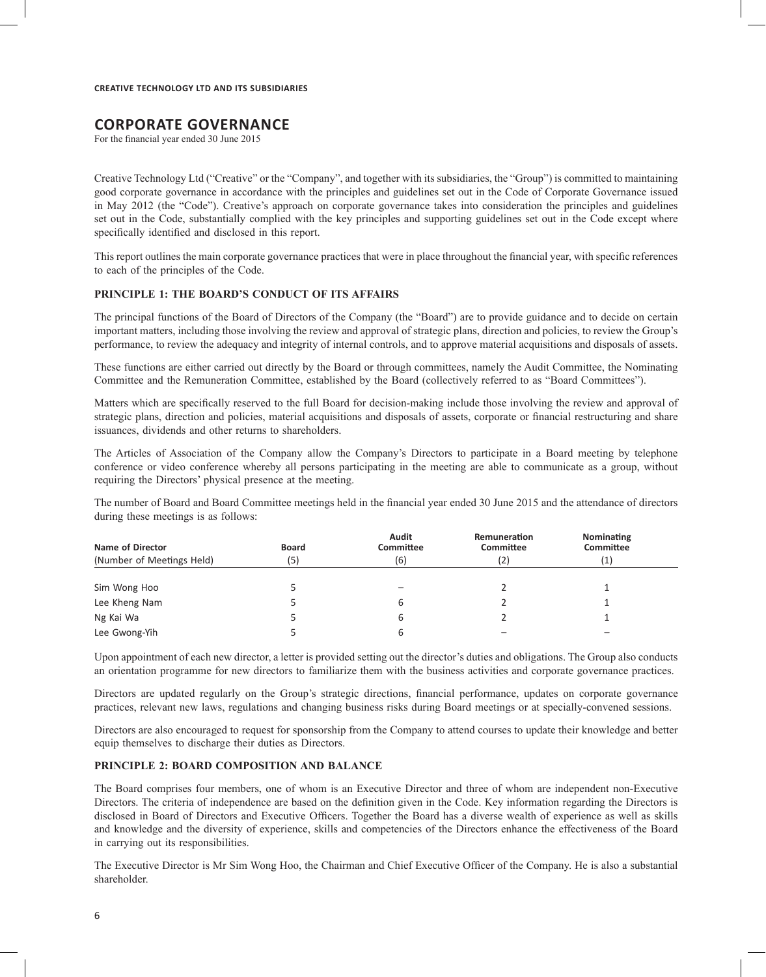# **CORPORATE GOVERNANCE**

For the financial year ended 30 June 2015

Creative Technology Ltd ("Creative" or the "Company", and together with its subsidiaries, the "Group") is committed to maintaining good corporate governance in accordance with the principles and guidelines set out in the Code of Corporate Governance issued in May 2012 (the "Code"). Creative's approach on corporate governance takes into consideration the principles and guidelines set out in the Code, substantially complied with the key principles and supporting guidelines set out in the Code except where specifically identified and disclosed in this report.

This report outlines the main corporate governance practices that were in place throughout the financial year, with specific references to each of the principles of the Code.

### **PRINCIPLE 1: THE BOARD'S CONDUCT OF ITS AFFAIRS**

The principal functions of the Board of Directors of the Company (the "Board") are to provide guidance and to decide on certain important matters, including those involving the review and approval of strategic plans, direction and policies, to review the Group's performance, to review the adequacy and integrity of internal controls, and to approve material acquisitions and disposals of assets.

These functions are either carried out directly by the Board or through committees, namely the Audit Committee, the Nominating Committee and the Remuneration Committee, established by the Board (collectively referred to as "Board Committees").

Matters which are specifically reserved to the full Board for decision-making include those involving the review and approval of strategic plans, direction and policies, material acquisitions and disposals of assets, corporate or financial restructuring and share issuances, dividends and other returns to shareholders.

The Articles of Association of the Company allow the Company's Directors to participate in a Board meeting by telephone conference or video conference whereby all persons participating in the meeting are able to communicate as a group, without requiring the Directors' physical presence at the meeting.

The number of Board and Board Committee meetings held in the financial year ended 30 June 2015 and the attendance of directors during these meetings is as follows:

| Name of Director          | <b>Board</b> | Audit<br><b>Committee</b> | Remuneration<br>Committee | Nominating<br>Committee |
|---------------------------|--------------|---------------------------|---------------------------|-------------------------|
| (Number of Meetings Held) | (5)          | (6)                       | (2)                       | $\mathbf{1}$            |
|                           |              |                           |                           |                         |
| Sim Wong Hoo              |              |                           |                           |                         |
| Lee Kheng Nam             |              |                           |                           |                         |
| Ng Kai Wa                 |              |                           |                           |                         |
| Lee Gwong-Yih             |              |                           |                           |                         |

Upon appointment of each new director, a letter is provided setting out the director's duties and obligations. The Group also conducts an orientation programme for new directors to familiarize them with the business activities and corporate governance practices.

Directors are updated regularly on the Group's strategic directions, financial performance, updates on corporate governance practices, relevant new laws, regulations and changing business risks during Board meetings or at specially-convened sessions.

Directors are also encouraged to request for sponsorship from the Company to attend courses to update their knowledge and better equip themselves to discharge their duties as Directors.

### **PRINCIPLE 2: BOARD COMPOSITION AND BALANCE**

The Board comprises four members, one of whom is an Executive Director and three of whom are independent non-Executive Directors. The criteria of independence are based on the definition given in the Code. Key information regarding the Directors is disclosed in Board of Directors and Executive Officers. Together the Board has a diverse wealth of experience as well as skills and knowledge and the diversity of experience, skills and competencies of the Directors enhance the effectiveness of the Board in carrying out its responsibilities.

The Executive Director is Mr Sim Wong Hoo, the Chairman and Chief Executive Officer of the Company. He is also a substantial shareholder.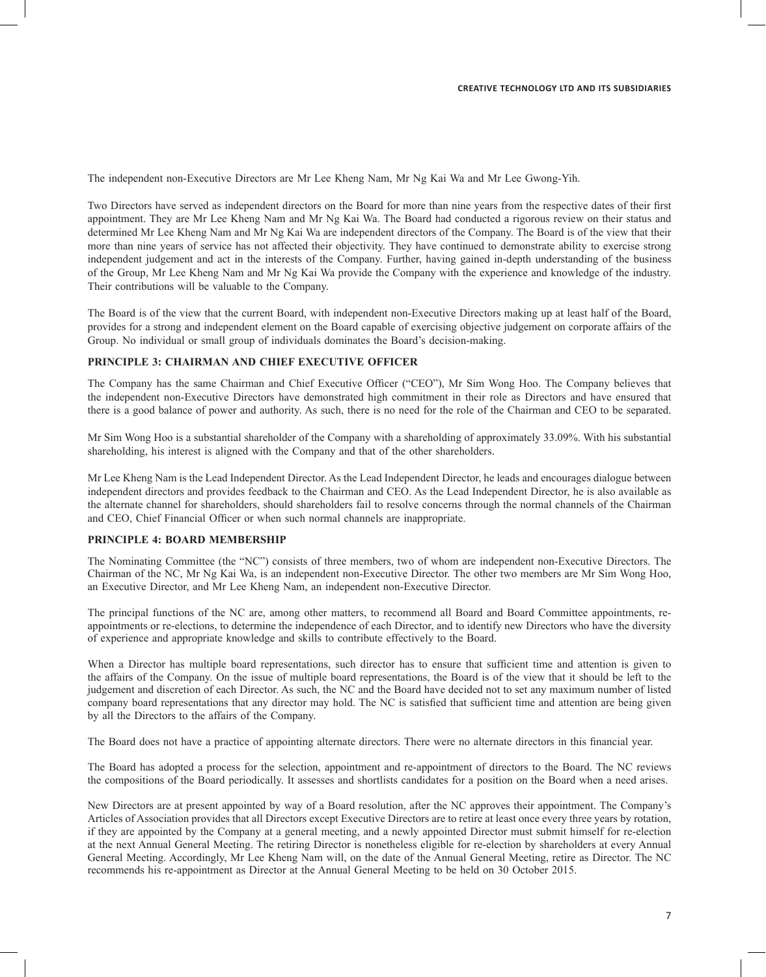The independent non-Executive Directors are Mr Lee Kheng Nam, Mr Ng Kai Wa and Mr Lee Gwong-Yih.

Two Directors have served as independent directors on the Board for more than nine years from the respective dates of their first appointment. They are Mr Lee Kheng Nam and Mr Ng Kai Wa. The Board had conducted a rigorous review on their status and determined Mr Lee Kheng Nam and Mr Ng Kai Wa are independent directors of the Company. The Board is of the view that their more than nine years of service has not affected their objectivity. They have continued to demonstrate ability to exercise strong independent judgement and act in the interests of the Company. Further, having gained in-depth understanding of the business of the Group, Mr Lee Kheng Nam and Mr Ng Kai Wa provide the Company with the experience and knowledge of the industry. Their contributions will be valuable to the Company.

The Board is of the view that the current Board, with independent non-Executive Directors making up at least half of the Board, provides for a strong and independent element on the Board capable of exercising objective judgement on corporate affairs of the Group. No individual or small group of individuals dominates the Board's decision-making.

### **PRINCIPLE 3: CHAIRMAN AND CHIEF EXECUTIVE OFFICER**

The Company has the same Chairman and Chief Executive Officer ("CEO"), Mr Sim Wong Hoo. The Company believes that the independent non-Executive Directors have demonstrated high commitment in their role as Directors and have ensured that there is a good balance of power and authority. As such, there is no need for the role of the Chairman and CEO to be separated.

Mr Sim Wong Hoo is a substantial shareholder of the Company with a shareholding of approximately 33.09%. With his substantial shareholding, his interest is aligned with the Company and that of the other shareholders.

Mr Lee Kheng Nam is the Lead Independent Director. As the Lead Independent Director, he leads and encourages dialogue between independent directors and provides feedback to the Chairman and CEO. As the Lead Independent Director, he is also available as the alternate channel for shareholders, should shareholders fail to resolve concerns through the normal channels of the Chairman and CEO, Chief Financial Officer or when such normal channels are inappropriate.

### **PRINCIPLE 4: BOARD MEMBERSHIP**

The Nominating Committee (the "NC") consists of three members, two of whom are independent non-Executive Directors. The Chairman of the NC, Mr Ng Kai Wa, is an independent non-Executive Director. The other two members are Mr Sim Wong Hoo, an Executive Director, and Mr Lee Kheng Nam, an independent non-Executive Director.

The principal functions of the NC are, among other matters, to recommend all Board and Board Committee appointments, reappointments or re-elections, to determine the independence of each Director, and to identify new Directors who have the diversity of experience and appropriate knowledge and skills to contribute effectively to the Board.

When a Director has multiple board representations, such director has to ensure that sufficient time and attention is given to the affairs of the Company. On the issue of multiple board representations, the Board is of the view that it should be left to the judgement and discretion of each Director. As such, the NC and the Board have decided not to set any maximum number of listed company board representations that any director may hold. The NC is satisfied that sufficient time and attention are being given by all the Directors to the affairs of the Company.

The Board does not have a practice of appointing alternate directors. There were no alternate directors in this financial year.

The Board has adopted a process for the selection, appointment and re-appointment of directors to the Board. The NC reviews the compositions of the Board periodically. It assesses and shortlists candidates for a position on the Board when a need arises.

New Directors are at present appointed by way of a Board resolution, after the NC approves their appointment. The Company's Articles of Association provides that all Directors except Executive Directors are to retire at least once every three years by rotation, if they are appointed by the Company at a general meeting, and a newly appointed Director must submit himself for re-election at the next Annual General Meeting. The retiring Director is nonetheless eligible for re-election by shareholders at every Annual General Meeting. Accordingly, Mr Lee Kheng Nam will, on the date of the Annual General Meeting, retire as Director. The NC recommends his re-appointment as Director at the Annual General Meeting to be held on 30 October 2015.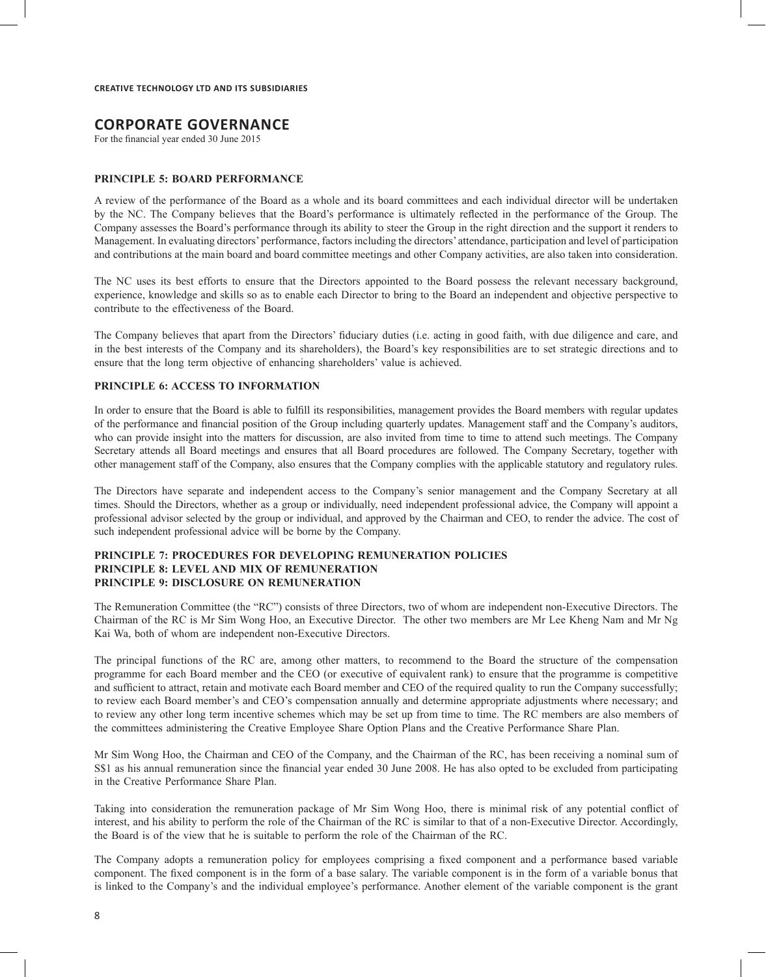# **CORPORATE GOVERNANCE**

For the financial year ended 30 June 2015

#### **PRINCIPLE 5: BOARD PERFORMANCE**

A review of the performance of the Board as a whole and its board committees and each individual director will be undertaken by the NC. The Company believes that the Board's performance is ultimately reflected in the performance of the Group. The Company assesses the Board's performance through its ability to steer the Group in the right direction and the support it renders to Management. In evaluating directors' performance, factors including the directors' attendance, participation and level of participation and contributions at the main board and board committee meetings and other Company activities, are also taken into consideration.

The NC uses its best efforts to ensure that the Directors appointed to the Board possess the relevant necessary background, experience, knowledge and skills so as to enable each Director to bring to the Board an independent and objective perspective to contribute to the effectiveness of the Board.

The Company believes that apart from the Directors' fiduciary duties (i.e. acting in good faith, with due diligence and care, and in the best interests of the Company and its shareholders), the Board's key responsibilities are to set strategic directions and to ensure that the long term objective of enhancing shareholders' value is achieved.

### **PRINCIPLE 6: ACCESS TO INFORMATION**

In order to ensure that the Board is able to fulfill its responsibilities, management provides the Board members with regular updates of the performance and financial position of the Group including quarterly updates. Management staff and the Company's auditors, who can provide insight into the matters for discussion, are also invited from time to time to attend such meetings. The Company Secretary attends all Board meetings and ensures that all Board procedures are followed. The Company Secretary, together with other management staff of the Company, also ensures that the Company complies with the applicable statutory and regulatory rules.

The Directors have separate and independent access to the Company's senior management and the Company Secretary at all times. Should the Directors, whether as a group or individually, need independent professional advice, the Company will appoint a professional advisor selected by the group or individual, and approved by the Chairman and CEO, to render the advice. The cost of such independent professional advice will be borne by the Company.

#### **PRINCIPLE 7: PROCEDURES FOR DEVELOPING REMUNERATION POLICIES PRINCIPLE 8: LEVEL AND MIX OF REMUNERATION PRINCIPLE 9: DISCLOSURE ON REMUNERATION**

The Remuneration Committee (the "RC") consists of three Directors, two of whom are independent non-Executive Directors. The Chairman of the RC is Mr Sim Wong Hoo, an Executive Director. The other two members are Mr Lee Kheng Nam and Mr Ng Kai Wa, both of whom are independent non-Executive Directors.

The principal functions of the RC are, among other matters, to recommend to the Board the structure of the compensation programme for each Board member and the CEO (or executive of equivalent rank) to ensure that the programme is competitive and sufficient to attract, retain and motivate each Board member and CEO of the required quality to run the Company successfully; to review each Board member's and CEO's compensation annually and determine appropriate adjustments where necessary; and to review any other long term incentive schemes which may be set up from time to time. The RC members are also members of the committees administering the Creative Employee Share Option Plans and the Creative Performance Share Plan.

Mr Sim Wong Hoo, the Chairman and CEO of the Company, and the Chairman of the RC, has been receiving a nominal sum of S\$1 as his annual remuneration since the financial year ended 30 June 2008. He has also opted to be excluded from participating in the Creative Performance Share Plan.

Taking into consideration the remuneration package of Mr Sim Wong Hoo, there is minimal risk of any potential conflict of interest, and his ability to perform the role of the Chairman of the RC is similar to that of a non-Executive Director. Accordingly, the Board is of the view that he is suitable to perform the role of the Chairman of the RC.

The Company adopts a remuneration policy for employees comprising a fixed component and a performance based variable component. The fixed component is in the form of a base salary. The variable component is in the form of a variable bonus that is linked to the Company's and the individual employee's performance. Another element of the variable component is the grant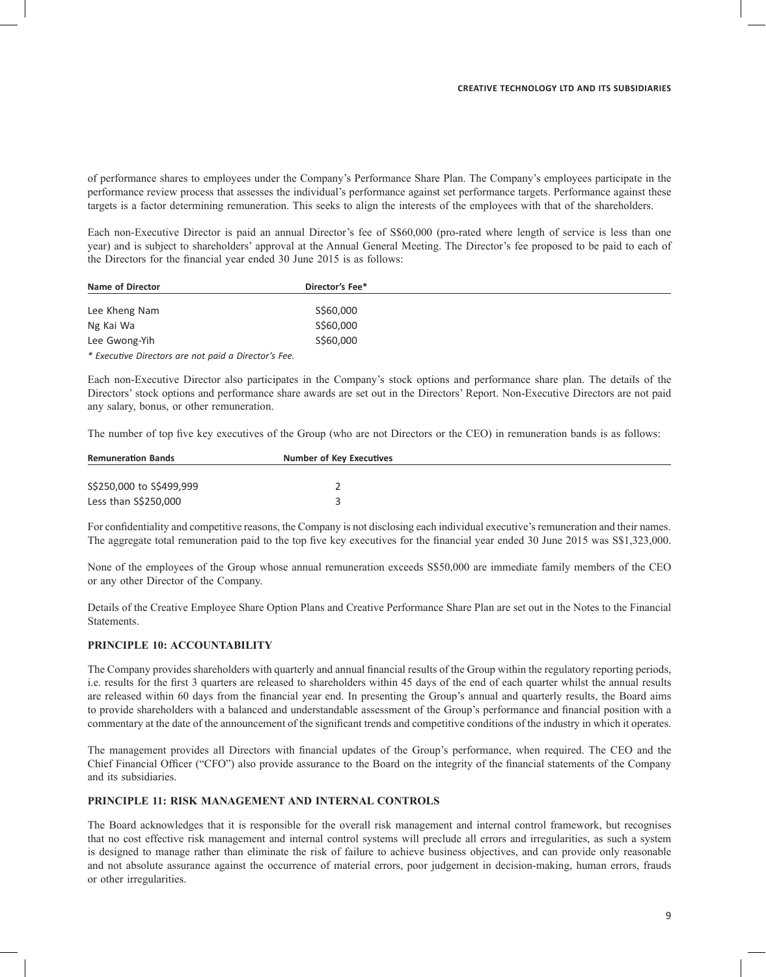of performance shares to employees under the Company's Performance Share Plan. The Company's employees participate in the performance review process that assesses the individual's performance against set performance targets. Performance against these targets is a factor determining remuneration. This seeks to align the interests of the employees with that of the shareholders.

Each non-Executive Director is paid an annual Director's fee of S\$60,000 (pro-rated where length of service is less than one year) and is subject to shareholders' approval at the Annual General Meeting. The Director's fee proposed to be paid to each of the Directors for the financial year ended 30 June 2015 is as follows:

| Name of Director                                     | Director's Fee* |  |
|------------------------------------------------------|-----------------|--|
|                                                      |                 |  |
| Lee Kheng Nam                                        | S\$60,000       |  |
| Ng Kai Wa                                            | S\$60,000       |  |
| Lee Gwong-Yih                                        | S\$60,000       |  |
| * Executive Directors are not paid a Director's Fee. |                 |  |

Each non-Executive Director also participates in the Company's stock options and performance share plan. The details of the Directors' stock options and performance share awards are set out in the Directors' Report. Non-Executive Directors are not paid any salary, bonus, or other remuneration.

The number of top five key executives of the Group (who are not Directors or the CEO) in remuneration bands is as follows:

| <b>Remuneration Bands</b> | Number of Key Executives |  |  |  |
|---------------------------|--------------------------|--|--|--|
|                           |                          |  |  |  |
| S\$250,000 to S\$499,999  |                          |  |  |  |
| Less than S\$250,000      |                          |  |  |  |

For confidentiality and competitive reasons, the Company is not disclosing each individual executive's remuneration and their names. The aggregate total remuneration paid to the top five key executives for the financial year ended 30 June 2015 was S\$1,323,000.

None of the employees of the Group whose annual remuneration exceeds S\$50,000 are immediate family members of the CEO or any other Director of the Company.

Details of the Creative Employee Share Option Plans and Creative Performance Share Plan are set out in the Notes to the Financial Statements.

# **PRINCIPLE 10: ACCOUNTABILITY**

The Company provides shareholders with quarterly and annual financial results of the Group within the regulatory reporting periods, i.e. results for the first 3 quarters are released to shareholders within 45 days of the end of each quarter whilst the annual results are released within 60 days from the financial year end. In presenting the Group's annual and quarterly results, the Board aims to provide shareholders with a balanced and understandable assessment of the Group's performance and financial position with a commentary at the date of the announcement of the significant trends and competitive conditions of the industry in which it operates.

The management provides all Directors with financial updates of the Group's performance, when required. The CEO and the Chief Financial Officer ("CFO") also provide assurance to the Board on the integrity of the financial statements of the Company and its subsidiaries.

#### **PRINCIPLE 11: RISK MANAGEMENT AND INTERNAL CONTROLS**

The Board acknowledges that it is responsible for the overall risk management and internal control framework, but recognises that no cost effective risk management and internal control systems will preclude all errors and irregularities, as such a system is designed to manage rather than eliminate the risk of failure to achieve business objectives, and can provide only reasonable and not absolute assurance against the occurrence of material errors, poor judgement in decision-making, human errors, frauds or other irregularities.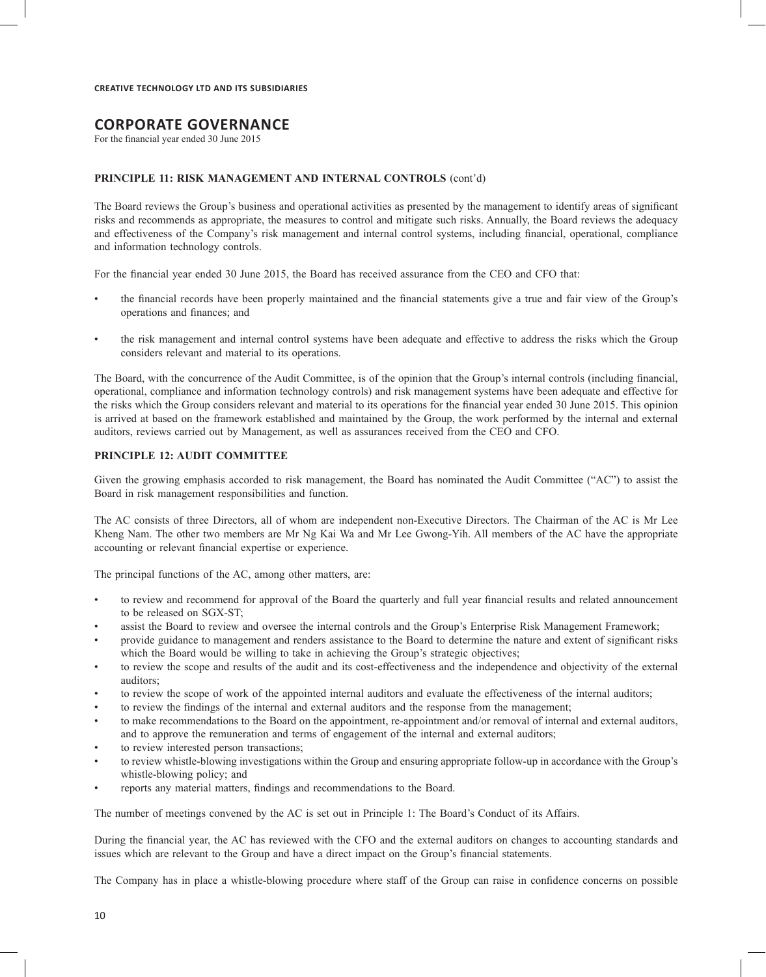# **CORPORATE GOVERNANCE**

For the financial year ended 30 June 2015

#### PRINCIPLE 11: RISK MANAGEMENT AND INTERNAL CONTROLS (cont'd)

The Board reviews the Group's business and operational activities as presented by the management to identify areas of significant risks and recommends as appropriate, the measures to control and mitigate such risks. Annually, the Board reviews the adequacy and effectiveness of the Company's risk management and internal control systems, including financial, operational, compliance and information technology controls.

For the financial year ended 30 June 2015, the Board has received assurance from the CEO and CFO that:

- the financial records have been properly maintained and the financial statements give a true and fair view of the Group's operations and finances; and
- the risk management and internal control systems have been adequate and effective to address the risks which the Group considers relevant and material to its operations.

The Board, with the concurrence of the Audit Committee, is of the opinion that the Group's internal controls (including financial, operational, compliance and information technology controls) and risk management systems have been adequate and effective for the risks which the Group considers relevant and material to its operations for the financial year ended 30 June 2015. This opinion is arrived at based on the framework established and maintained by the Group, the work performed by the internal and external auditors, reviews carried out by Management, as well as assurances received from the CEO and CFO.

#### **PRINCIPLE 12: AUDIT COMMITTEE**

Given the growing emphasis accorded to risk management, the Board has nominated the Audit Committee ("AC") to assist the Board in risk management responsibilities and function.

The AC consists of three Directors, all of whom are independent non-Executive Directors. The Chairman of the AC is Mr Lee Kheng Nam. The other two members are Mr Ng Kai Wa and Mr Lee Gwong-Yih. All members of the AC have the appropriate accounting or relevant financial expertise or experience.

The principal functions of the AC, among other matters, are:

- to review and recommend for approval of the Board the quarterly and full year financial results and related announcement to be released on SGX-ST;
- assist the Board to review and oversee the internal controls and the Group's Enterprise Risk Management Framework;
- provide guidance to management and renders assistance to the Board to determine the nature and extent of significant risks which the Board would be willing to take in achieving the Group's strategic objectives;
- to review the scope and results of the audit and its cost-effectiveness and the independence and objectivity of the external auditors;
- to review the scope of work of the appointed internal auditors and evaluate the effectiveness of the internal auditors;
- to review the findings of the internal and external auditors and the response from the management;
- to make recommendations to the Board on the appointment, re-appointment and/or removal of internal and external auditors, and to approve the remuneration and terms of engagement of the internal and external auditors;
- to review interested person transactions;
- to review whistle-blowing investigations within the Group and ensuring appropriate follow-up in accordance with the Group's whistle-blowing policy; and
- reports any material matters, findings and recommendations to the Board.

The number of meetings convened by the AC is set out in Principle 1: The Board's Conduct of its Affairs.

During the financial year, the AC has reviewed with the CFO and the external auditors on changes to accounting standards and issues which are relevant to the Group and have a direct impact on the Group's financial statements.

The Company has in place a whistle-blowing procedure where staff of the Group can raise in confidence concerns on possible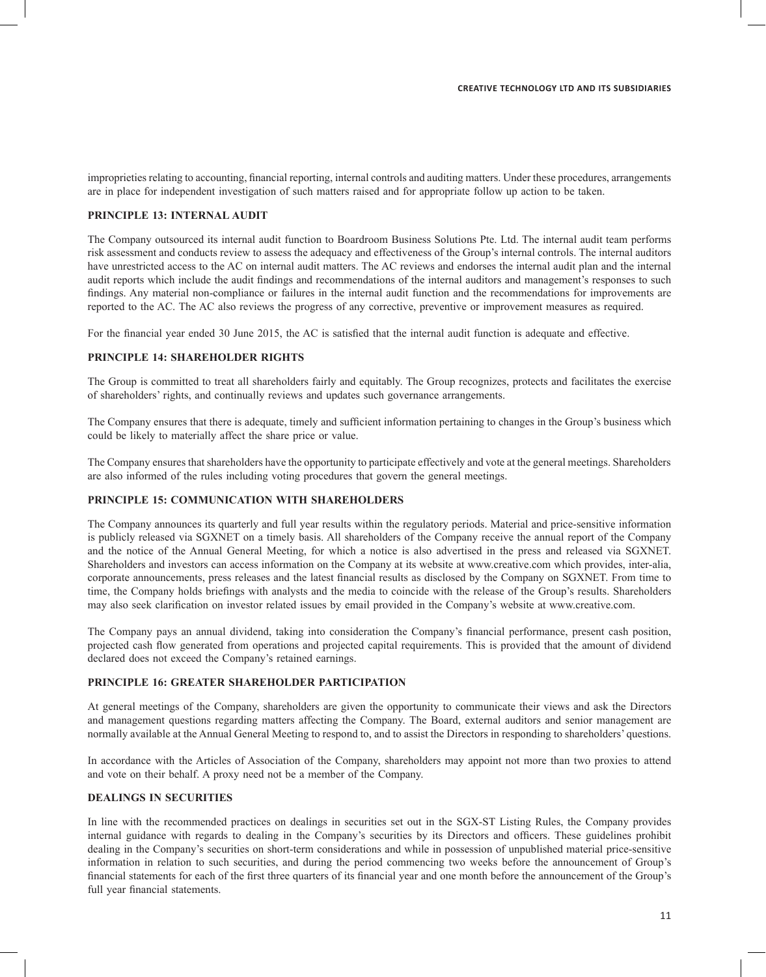improprieties relating to accounting, financial reporting, internal controls and auditing matters. Under these procedures, arrangements are in place for independent investigation of such matters raised and for appropriate follow up action to be taken.

#### **PRINCIPLE 13: INTERNAL AUDIT**

The Company outsourced its internal audit function to Boardroom Business Solutions Pte. Ltd. The internal audit team performs risk assessment and conducts review to assess the adequacy and effectiveness of the Group's internal controls. The internal auditors have unrestricted access to the AC on internal audit matters. The AC reviews and endorses the internal audit plan and the internal audit reports which include the audit findings and recommendations of the internal auditors and management's responses to such findings. Any material non-compliance or failures in the internal audit function and the recommendations for improvements are reported to the AC. The AC also reviews the progress of any corrective, preventive or improvement measures as required.

For the financial year ended 30 June 2015, the AC is satisfied that the internal audit function is adequate and effective.

#### **PRINCIPLE 14: SHAREHOLDER RIGHTS**

The Group is committed to treat all shareholders fairly and equitably. The Group recognizes, protects and facilitates the exercise of shareholders' rights, and continually reviews and updates such governance arrangements.

The Company ensures that there is adequate, timely and sufficient information pertaining to changes in the Group's business which could be likely to materially affect the share price or value.

The Company ensures that shareholders have the opportunity to participate effectively and vote at the general meetings. Shareholders are also informed of the rules including voting procedures that govern the general meetings.

# **PRINCIPLE 15: COMMUNICATION WITH SHAREHOLDERS**

The Company announces its quarterly and full year results within the regulatory periods. Material and price-sensitive information is publicly released via SGXNET on a timely basis. All shareholders of the Company receive the annual report of the Company and the notice of the Annual General Meeting, for which a notice is also advertised in the press and released via SGXNET. Shareholders and investors can access information on the Company at its website at www.creative.com which provides, inter-alia, corporate announcements, press releases and the latest financial results as disclosed by the Company on SGXNET. From time to time, the Company holds briefings with analysts and the media to coincide with the release of the Group's results. Shareholders may also seek clarification on investor related issues by email provided in the Company's website at www.creative.com.

The Company pays an annual dividend, taking into consideration the Company's financial performance, present cash position, projected cash flow generated from operations and projected capital requirements. This is provided that the amount of dividend declared does not exceed the Company's retained earnings.

# **PRINCIPLE 16: GREATER SHAREHOLDER PARTICIPATION**

At general meetings of the Company, shareholders are given the opportunity to communicate their views and ask the Directors and management questions regarding matters affecting the Company. The Board, external auditors and senior management are normally available at the Annual General Meeting to respond to, and to assist the Directors in responding to shareholders' questions.

In accordance with the Articles of Association of the Company, shareholders may appoint not more than two proxies to attend and vote on their behalf. A proxy need not be a member of the Company.

# **DEALINGS IN SECURITIES**

In line with the recommended practices on dealings in securities set out in the SGX-ST Listing Rules, the Company provides internal guidance with regards to dealing in the Company's securities by its Directors and officers. These guidelines prohibit dealing in the Company's securities on short-term considerations and while in possession of unpublished material price-sensitive information in relation to such securities, and during the period commencing two weeks before the announcement of Group's financial statements for each of the first three quarters of its financial year and one month before the announcement of the Group's full year financial statements.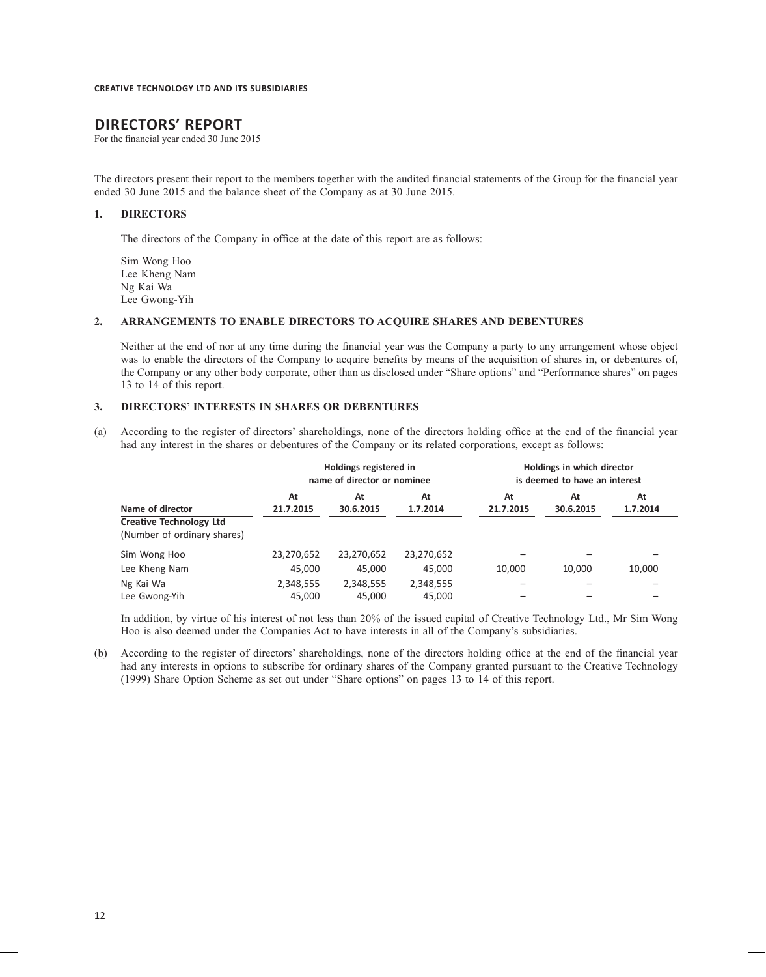# **DIRECTORS' REPORT**

For the financial year ended 30 June 2015

The directors present their report to the members together with the audited financial statements of the Group for the financial year ended 30 June 2015 and the balance sheet of the Company as at 30 June 2015.

#### **1. DIRECTORS**

The directors of the Company in office at the date of this report are as follows:

Sim Wong Hoo Lee Kheng Nam Ng Kai Wa Lee Gwong-Yih

#### **2. ARRANGEMENTS TO ENABLE DIRECTORS TO ACQUIRE SHARES AND DEBENTURES**

Neither at the end of nor at any time during the financial year was the Company a party to any arrangement whose object was to enable the directors of the Company to acquire benefits by means of the acquisition of shares in, or debentures of, the Company or any other body corporate, other than as disclosed under "Share options" and "Performance shares" on pages 13 to 14 of this report.

### **3. DIRECTORS' INTERESTS IN SHARES OR DEBENTURES**

(a) According to the register of directors' shareholdings, none of the directors holding office at the end of the financial year had any interest in the shares or debentures of the Company or its related corporations, except as follows:

|                                                               |                 | Holdings registered in<br>name of director or nominee |                | Holdings in which director<br>is deemed to have an interest |                 |                |
|---------------------------------------------------------------|-----------------|-------------------------------------------------------|----------------|-------------------------------------------------------------|-----------------|----------------|
| Name of director                                              | At<br>21.7.2015 | At<br>30.6.2015                                       | At<br>1.7.2014 | At<br>21.7.2015                                             | At<br>30.6.2015 | At<br>1.7.2014 |
| <b>Creative Technology Ltd</b><br>(Number of ordinary shares) |                 |                                                       |                |                                                             |                 |                |
| Sim Wong Hoo                                                  | 23,270,652      | 23,270,652                                            | 23,270,652     |                                                             |                 |                |
| Lee Kheng Nam                                                 | 45.000          | 45.000                                                | 45.000         | 10.000                                                      | 10.000          | 10,000         |
| Ng Kai Wa                                                     | 2,348,555       | 2,348,555                                             | 2,348,555      |                                                             |                 |                |
| Lee Gwong-Yih                                                 | 45,000          | 45,000                                                | 45,000         |                                                             |                 |                |

In addition, by virtue of his interest of not less than 20% of the issued capital of Creative Technology Ltd., Mr Sim Wong Hoo is also deemed under the Companies Act to have interests in all of the Company's subsidiaries.

(b) According to the register of directors' shareholdings, none of the directors holding office at the end of the financial year had any interests in options to subscribe for ordinary shares of the Company granted pursuant to the Creative Technology (1999) Share Option Scheme as set out under "Share options" on pages 13 to 14 of this report.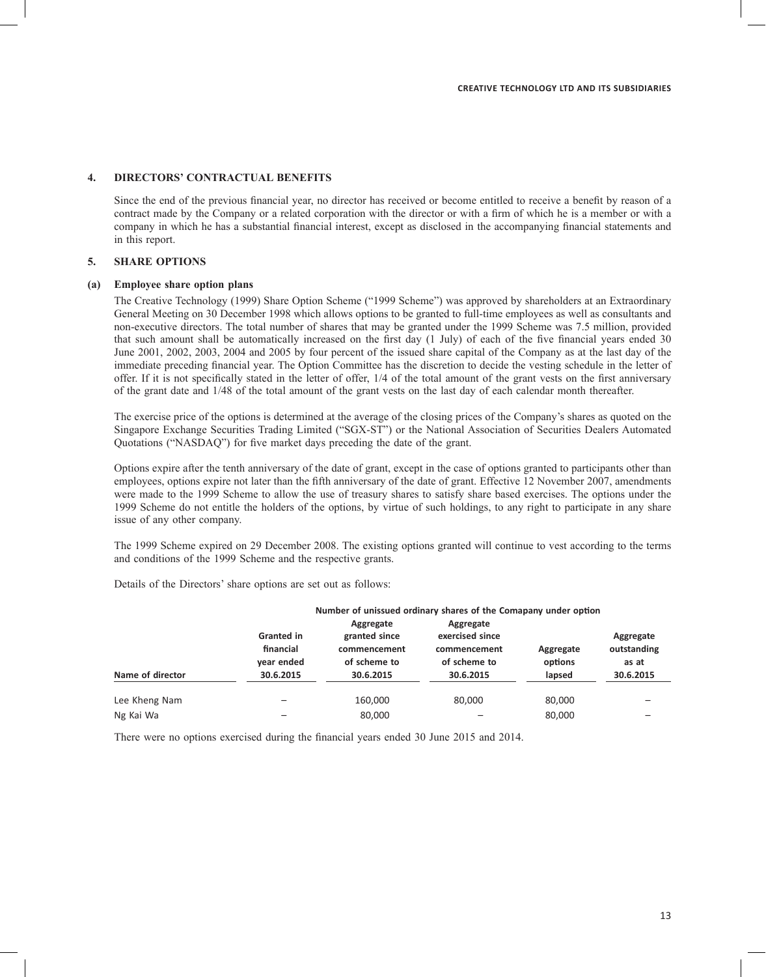# **4. DIRECTORS' CONTRACTUAL BENEFITS**

Since the end of the previous financial year, no director has received or become entitled to receive a benefit by reason of a contract made by the Company or a related corporation with the director or with a firm of which he is a member or with a company in which he has a substantial financial interest, except as disclosed in the accompanying financial statements and in this report.

### **5. SHARE OPTIONS**

#### **(a) Employee share option plans**

The Creative Technology (1999) Share Option Scheme ("1999 Scheme") was approved by shareholders at an Extraordinary General Meeting on 30 December 1998 which allows options to be granted to full-time employees as well as consultants and non-executive directors. The total number of shares that may be granted under the 1999 Scheme was 7.5 million, provided that such amount shall be automatically increased on the first day (1 July) of each of the five financial years ended 30 June 2001, 2002, 2003, 2004 and 2005 by four percent of the issued share capital of the Company as at the last day of the immediate preceding financial year. The Option Committee has the discretion to decide the vesting schedule in the letter of offer. If it is not specifically stated in the letter of offer, 1/4 of the total amount of the grant vests on the first anniversary of the grant date and 1/48 of the total amount of the grant vests on the last day of each calendar month thereafter.

The exercise price of the options is determined at the average of the closing prices of the Company's shares as quoted on the Singapore Exchange Securities Trading Limited ("SGX-ST") or the National Association of Securities Dealers Automated Quotations ("NASDAQ") for five market days preceding the date of the grant.

Options expire after the tenth anniversary of the date of grant, except in the case of options granted to participants other than employees, options expire not later than the fifth anniversary of the date of grant. Effective 12 November 2007, amendments were made to the 1999 Scheme to allow the use of treasury shares to satisfy share based exercises. The options under the 1999 Scheme do not entitle the holders of the options, by virtue of such holdings, to any right to participate in any share issue of any other company.

The 1999 Scheme expired on 29 December 2008. The existing options granted will continue to vest according to the terms and conditions of the 1999 Scheme and the respective grants.

Details of the Directors' share options are set out as follows:

|                  |            |               | Number of unissued ordinary shares of the Comapany under option |           |             |
|------------------|------------|---------------|-----------------------------------------------------------------|-----------|-------------|
|                  |            | Aggregate     | Aggregate                                                       |           |             |
|                  | Granted in | granted since | exercised since                                                 |           | Aggregate   |
|                  | financial  | commencement  | commencement                                                    | Aggregate | outstanding |
|                  | year ended | of scheme to  | of scheme to                                                    | options   | as at       |
| Name of director | 30.6.2015  | 30.6.2015     | 30.6.2015                                                       | lapsed    | 30.6.2015   |
| Lee Kheng Nam    |            | 160,000       | 80,000                                                          | 80,000    |             |
| Ng Kai Wa        |            | 80,000        |                                                                 | 80,000    |             |

There were no options exercised during the financial years ended 30 June 2015 and 2014.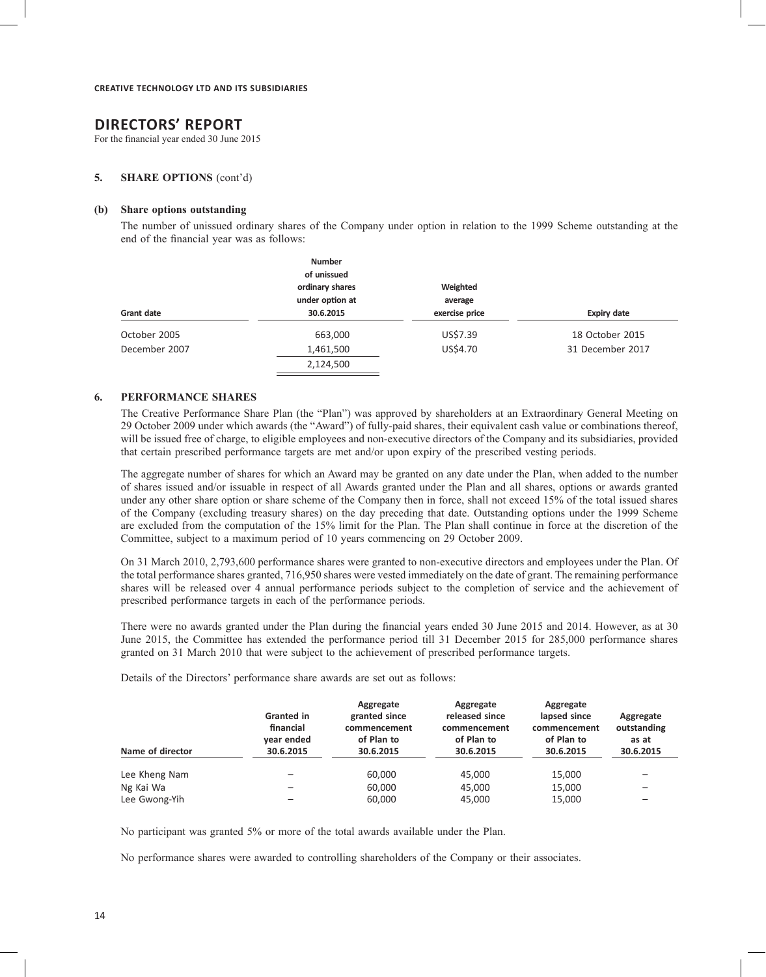# **DIRECTORS' REPORT**

For the financial year ended 30 June 2015

#### **5. SHARE OPTIONS** (cont'd)

#### **(b) Share options outstanding**

The number of unissued ordinary shares of the Company under option in relation to the 1999 Scheme outstanding at the end of the financial year was as follows:

|               | <b>Number</b><br>of unissued<br>ordinary shares<br>under option at | Weighted<br>average |                    |
|---------------|--------------------------------------------------------------------|---------------------|--------------------|
| Grant date    | 30.6.2015                                                          | exercise price      | <b>Expiry date</b> |
| October 2005  | 663,000                                                            | US\$7.39            | 18 October 2015    |
| December 2007 | 1,461,500                                                          | US\$4.70            | 31 December 2017   |
|               | 2,124,500                                                          |                     |                    |

#### **6. PERFORMANCE SHARES**

The Creative Performance Share Plan (the "Plan") was approved by shareholders at an Extraordinary General Meeting on 29 October 2009 under which awards (the "Award") of fully-paid shares, their equivalent cash value or combinations thereof, will be issued free of charge, to eligible employees and non-executive directors of the Company and its subsidiaries, provided that certain prescribed performance targets are met and/or upon expiry of the prescribed vesting periods.

The aggregate number of shares for which an Award may be granted on any date under the Plan, when added to the number of shares issued and/or issuable in respect of all Awards granted under the Plan and all shares, options or awards granted under any other share option or share scheme of the Company then in force, shall not exceed 15% of the total issued shares of the Company (excluding treasury shares) on the day preceding that date. Outstanding options under the 1999 Scheme are excluded from the computation of the 15% limit for the Plan. The Plan shall continue in force at the discretion of the Committee, subject to a maximum period of 10 years commencing on 29 October 2009.

On 31 March 2010, 2,793,600 performance shares were granted to non-executive directors and employees under the Plan. Of the total performance shares granted, 716,950 shares were vested immediately on the date of grant. The remaining performance shares will be released over 4 annual performance periods subject to the completion of service and the achievement of prescribed performance targets in each of the performance periods.

There were no awards granted under the Plan during the financial years ended 30 June 2015 and 2014. However, as at 30 June 2015, the Committee has extended the performance period till 31 December 2015 for 285,000 performance shares granted on 31 March 2010 that were subject to the achievement of prescribed performance targets.

Details of the Directors' performance share awards are set out as follows:

| Name of director | <b>Granted in</b><br>financial<br>year ended<br>30.6.2015 | Aggregate<br>granted since<br>commencement<br>of Plan to<br>30.6.2015 | Aggregate<br>released since<br>commencement<br>of Plan to<br>30.6.2015 | Aggregate<br>lapsed since<br>commencement<br>of Plan to<br>30.6.2015 | Aggregate<br>outstanding<br>as at<br>30.6.2015 |
|------------------|-----------------------------------------------------------|-----------------------------------------------------------------------|------------------------------------------------------------------------|----------------------------------------------------------------------|------------------------------------------------|
| Lee Kheng Nam    |                                                           | 60,000                                                                | 45,000                                                                 | 15,000                                                               |                                                |
| Ng Kai Wa        |                                                           | 60.000                                                                | 45.000                                                                 | 15,000                                                               |                                                |
| Lee Gwong-Yih    |                                                           | 60,000                                                                | 45,000                                                                 | 15,000                                                               |                                                |

No participant was granted 5% or more of the total awards available under the Plan.

No performance shares were awarded to controlling shareholders of the Company or their associates.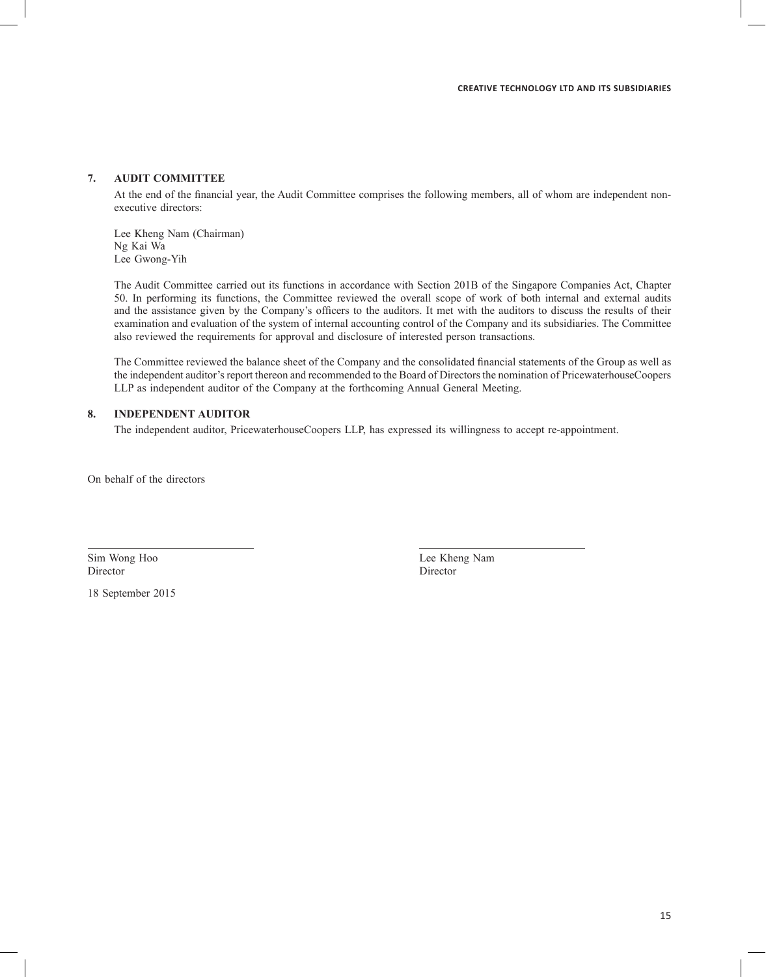# **7. AUDIT COMMITTEE**

At the end of the financial year, the Audit Committee comprises the following members, all of whom are independent nonexecutive directors:

Lee Kheng Nam (Chairman) Ng Kai Wa Lee Gwong-Yih

The Audit Committee carried out its functions in accordance with Section 201B of the Singapore Companies Act, Chapter 50. In performing its functions, the Committee reviewed the overall scope of work of both internal and external audits and the assistance given by the Company's officers to the auditors. It met with the auditors to discuss the results of their examination and evaluation of the system of internal accounting control of the Company and its subsidiaries. The Committee also reviewed the requirements for approval and disclosure of interested person transactions.

The Committee reviewed the balance sheet of the Company and the consolidated financial statements of the Group as well as the independent auditor's report thereon and recommended to the Board of Directors the nomination of PricewaterhouseCoopers LLP as independent auditor of the Company at the forthcoming Annual General Meeting.

#### **8. INDEPENDENT AUDITOR**

The independent auditor, PricewaterhouseCoopers LLP, has expressed its willingness to accept re-appointment.

On behalf of the directors

Director Director

18 September 2015

Sim Wong Hoo Lee Kheng Nam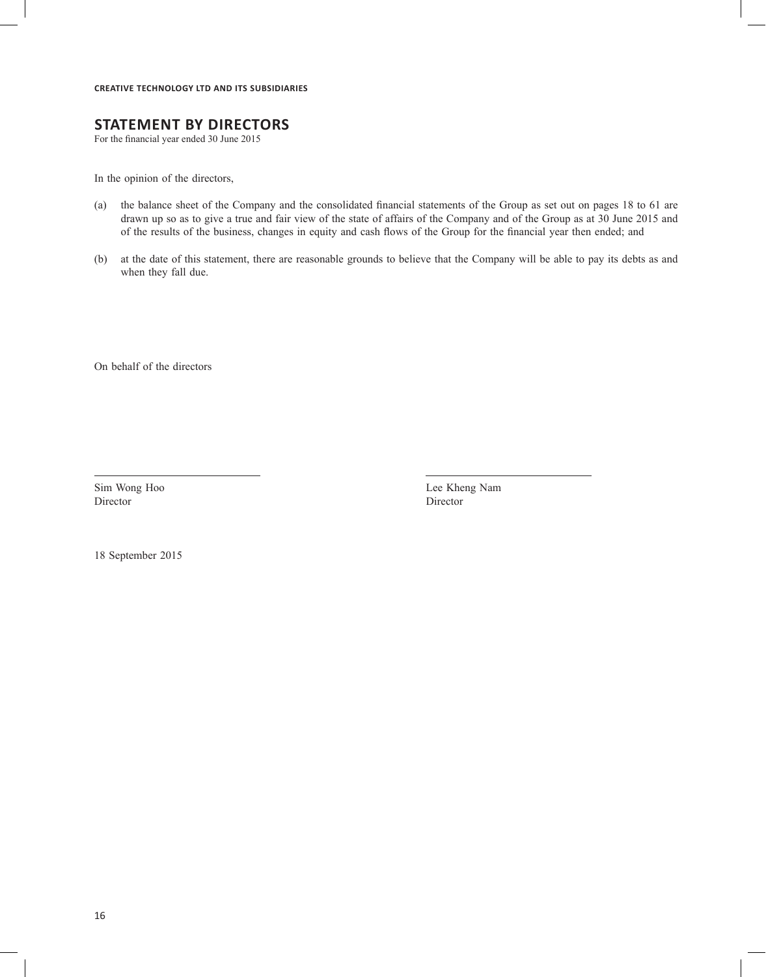# **STATEMENT BY DIRECTORS**

For the financial year ended 30 June 2015

In the opinion of the directors,

- (a) the balance sheet of the Company and the consolidated financial statements of the Group as set out on pages 18 to 61 are drawn up so as to give a true and fair view of the state of affairs of the Company and of the Group as at 30 June 2015 and of the results of the business, changes in equity and cash flows of the Group for the financial year then ended; and
- (b) at the date of this statement, there are reasonable grounds to believe that the Company will be able to pay its debts as and when they fall due.

On behalf of the directors

Director Director

Sim Wong Hoo Lee Kheng Nam

18 September 2015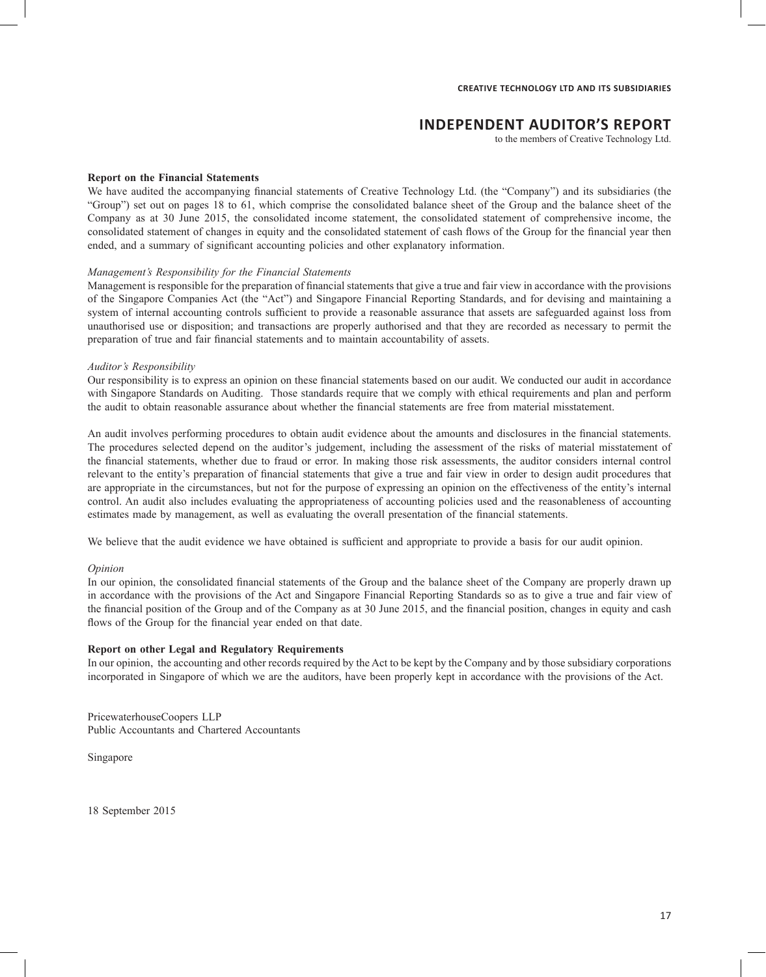# **INDEPENDENT AUDITOR'S REPORT**

to the members of Creative Technology Ltd.

#### **Report on the Financial Statements**

We have audited the accompanying financial statements of Creative Technology Ltd. (the "Company") and its subsidiaries (the "Group") set out on pages 18 to 61, which comprise the consolidated balance sheet of the Group and the balance sheet of the Company as at 30 June 2015, the consolidated income statement, the consolidated statement of comprehensive income, the consolidated statement of changes in equity and the consolidated statement of cash flows of the Group for the financial year then ended, and a summary of significant accounting policies and other explanatory information.

### *Management's Responsibility for the Financial Statements*

Management is responsible for the preparation of financial statements that give a true and fair view in accordance with the provisions of the Singapore Companies Act (the "Act") and Singapore Financial Reporting Standards, and for devising and maintaining a system of internal accounting controls sufficient to provide a reasonable assurance that assets are safeguarded against loss from unauthorised use or disposition; and transactions are properly authorised and that they are recorded as necessary to permit the preparation of true and fair financial statements and to maintain accountability of assets.

#### *Auditor's Responsibility*

Our responsibility is to express an opinion on these financial statements based on our audit. We conducted our audit in accordance with Singapore Standards on Auditing. Those standards require that we comply with ethical requirements and plan and perform the audit to obtain reasonable assurance about whether the financial statements are free from material misstatement.

An audit involves performing procedures to obtain audit evidence about the amounts and disclosures in the financial statements. The procedures selected depend on the auditor's judgement, including the assessment of the risks of material misstatement of the financial statements, whether due to fraud or error. In making those risk assessments, the auditor considers internal control relevant to the entity's preparation of financial statements that give a true and fair view in order to design audit procedures that are appropriate in the circumstances, but not for the purpose of expressing an opinion on the effectiveness of the entity's internal control. An audit also includes evaluating the appropriateness of accounting policies used and the reasonableness of accounting estimates made by management, as well as evaluating the overall presentation of the financial statements.

We believe that the audit evidence we have obtained is sufficient and appropriate to provide a basis for our audit opinion.

#### *Opinion*

In our opinion, the consolidated financial statements of the Group and the balance sheet of the Company are properly drawn up in accordance with the provisions of the Act and Singapore Financial Reporting Standards so as to give a true and fair view of the financial position of the Group and of the Company as at 30 June 2015, and the financial position, changes in equity and cash flows of the Group for the financial year ended on that date.

### **Report on other Legal and Regulatory Requirements**

In our opinion, the accounting and other records required by the Act to be kept by the Company and by those subsidiary corporations incorporated in Singapore of which we are the auditors, have been properly kept in accordance with the provisions of the Act.

PricewaterhouseCoopers LLP Public Accountants and Chartered Accountants

Singapore

18 September 2015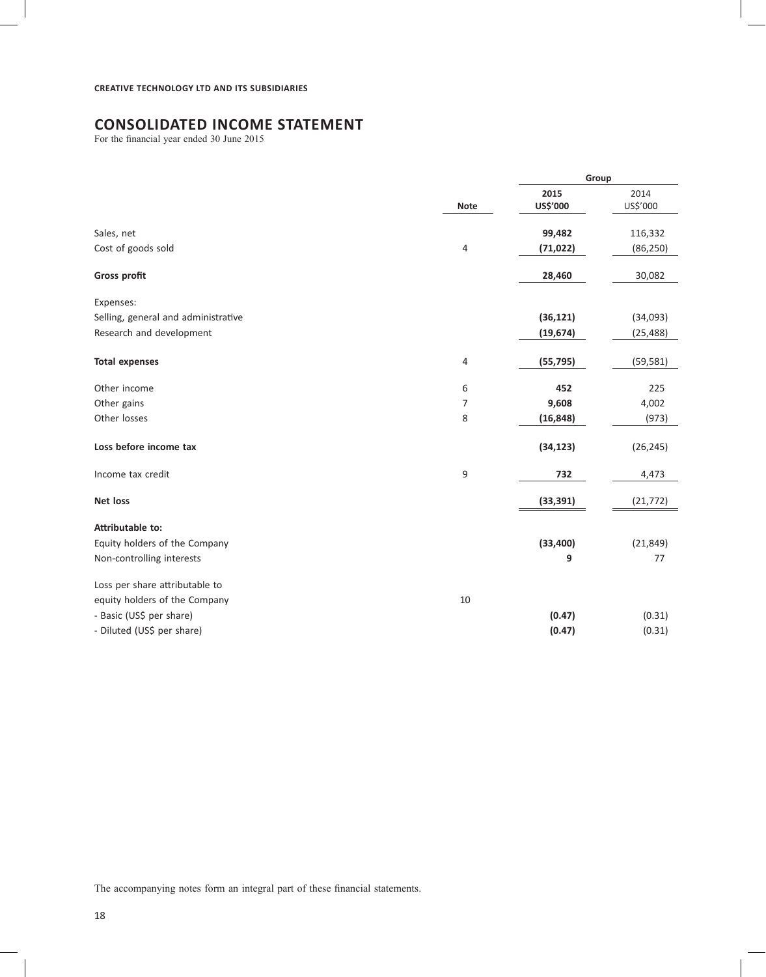# **CONSOLIDATED INCOME STATEMENT**

For the financial year ended 30 June 2015

|                                     |             | Group            |                  |
|-------------------------------------|-------------|------------------|------------------|
|                                     | <b>Note</b> | 2015<br>US\$'000 | 2014<br>US\$'000 |
| Sales, net                          |             | 99,482           | 116,332          |
| Cost of goods sold                  | 4           | (71, 022)        | (86, 250)        |
| <b>Gross profit</b>                 |             | 28,460           | 30,082           |
| Expenses:                           |             |                  |                  |
| Selling, general and administrative |             | (36, 121)        | (34,093)         |
| Research and development            |             | (19, 674)        | (25, 488)        |
| <b>Total expenses</b>               | 4           | (55, 795)        | (59, 581)        |
| Other income                        | 6           | 452              | 225              |
| Other gains                         | 7           | 9,608            | 4,002            |
| Other losses                        | 8           | (16, 848)        | (973)            |
| Loss before income tax              |             | (34, 123)        | (26, 245)        |
| Income tax credit                   | 9           | 732              | 4,473            |
| <b>Net loss</b>                     |             | (33, 391)        | (21, 772)        |
| Attributable to:                    |             |                  |                  |
| Equity holders of the Company       |             | (33, 400)        | (21, 849)        |
| Non-controlling interests           |             | 9                | 77               |
| Loss per share attributable to      |             |                  |                  |
| equity holders of the Company       | 10          |                  |                  |
| - Basic (US\$ per share)            |             | (0.47)           | (0.31)           |
| - Diluted (US\$ per share)          |             | (0.47)           | (0.31)           |

The accompanying notes form an integral part of these financial statements.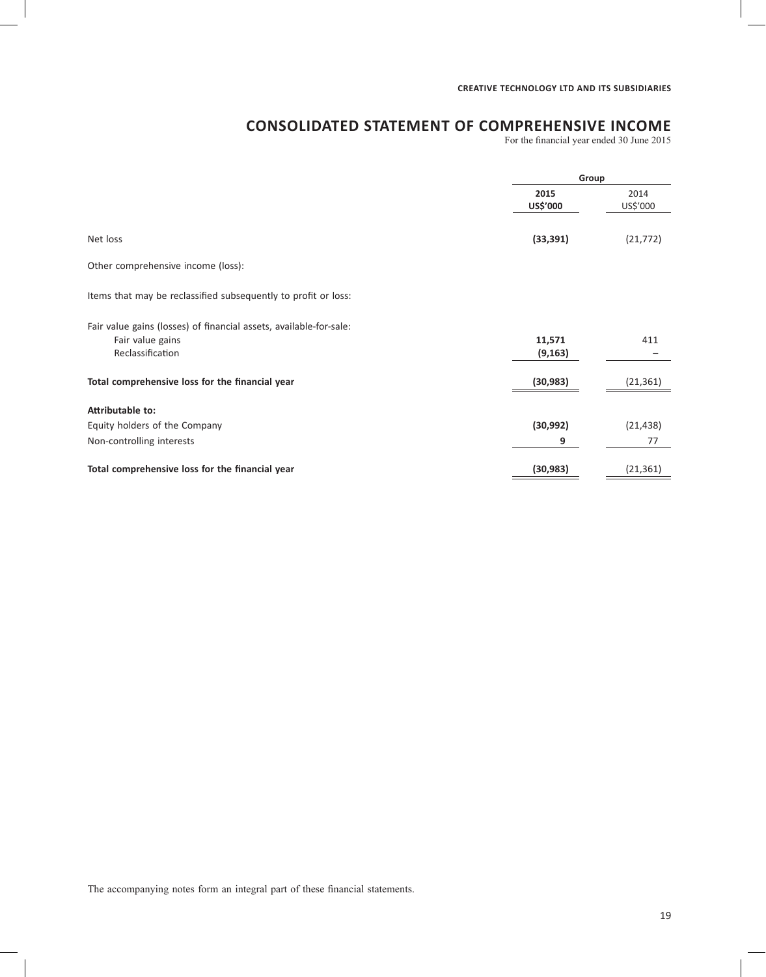# **CONSOLIDATED STATEMENT OF COMPREHENSIVE INCOME**

For the financial year ended 30 June 2015

|                                                                    | Group            |                  |
|--------------------------------------------------------------------|------------------|------------------|
|                                                                    | 2015<br>US\$'000 | 2014<br>US\$'000 |
| Net loss                                                           | (33, 391)        | (21, 772)        |
| Other comprehensive income (loss):                                 |                  |                  |
| Items that may be reclassified subsequently to profit or loss:     |                  |                  |
| Fair value gains (losses) of financial assets, available-for-sale: |                  |                  |
| Fair value gains                                                   | 11,571           | 411              |
| Reclassification                                                   | (9, 163)         |                  |
| Total comprehensive loss for the financial year                    | (30, 983)        | (21, 361)        |
| Attributable to:                                                   |                  |                  |
| Equity holders of the Company                                      | (30, 992)        | (21, 438)        |
| Non-controlling interests                                          | 9                | 77               |
| Total comprehensive loss for the financial year                    | (30, 983)        | (21, 361)        |

The accompanying notes form an integral part of these financial statements.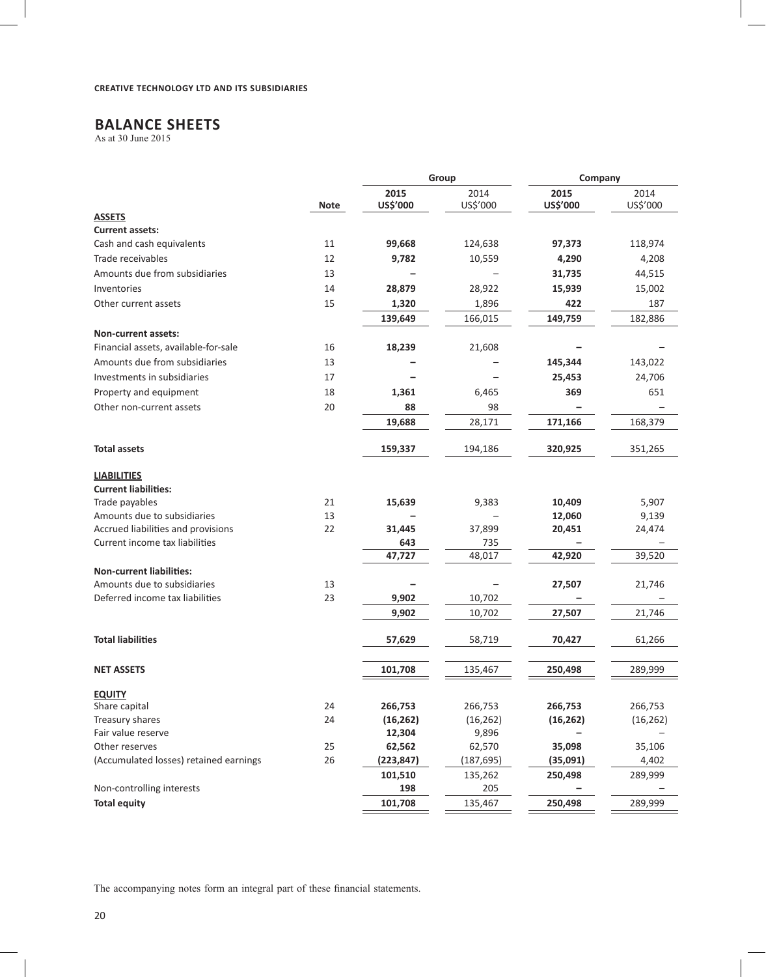# **BALANCE SHEETS**

As at 30 June 2015

|                                         |             |            | Group      | Company   |           |
|-----------------------------------------|-------------|------------|------------|-----------|-----------|
|                                         |             | 2015       | 2014       | 2015      | 2014      |
|                                         | <b>Note</b> | US\$'000   | US\$'000   | US\$'000  | US\$'000  |
| <b>ASSETS</b><br><b>Current assets:</b> |             |            |            |           |           |
| Cash and cash equivalents               | 11          | 99,668     | 124,638    | 97,373    | 118,974   |
| Trade receivables                       | 12          | 9,782      | 10,559     | 4,290     | 4,208     |
| Amounts due from subsidiaries           | 13          |            |            | 31,735    |           |
|                                         |             |            |            |           | 44,515    |
| Inventories                             | 14          | 28,879     | 28,922     | 15,939    | 15,002    |
| Other current assets                    | 15          | 1,320      | 1,896      | 422       | 187       |
|                                         |             | 139,649    | 166,015    | 149,759   | 182,886   |
| Non-current assets:                     |             |            |            |           |           |
| Financial assets, available-for-sale    | 16          | 18,239     | 21,608     |           |           |
| Amounts due from subsidiaries           | 13          |            |            | 145,344   | 143,022   |
| Investments in subsidiaries             | 17          |            |            | 25,453    | 24,706    |
| Property and equipment                  | 18          | 1,361      | 6,465      | 369       | 651       |
| Other non-current assets                | 20          | 88         | 98         |           |           |
|                                         |             | 19,688     | 28,171     | 171,166   | 168,379   |
| <b>Total assets</b>                     |             | 159,337    | 194,186    | 320,925   | 351,265   |
| <b>LIABILITIES</b>                      |             |            |            |           |           |
| <b>Current liabilities:</b>             |             |            |            |           |           |
| Trade payables                          | 21          | 15,639     | 9,383      | 10,409    | 5,907     |
| Amounts due to subsidiaries             | 13          |            |            | 12,060    | 9,139     |
| Accrued liabilities and provisions      | 22          | 31,445     | 37,899     | 20,451    | 24,474    |
| Current income tax liabilities          |             | 643        | 735        |           |           |
|                                         |             | 47,727     | 48,017     | 42,920    | 39,520    |
| <b>Non-current liabilities:</b>         |             |            |            |           |           |
| Amounts due to subsidiaries             | 13          |            |            | 27,507    | 21,746    |
| Deferred income tax liabilities         | 23          | 9,902      | 10,702     |           |           |
|                                         |             | 9,902      | 10,702     | 27,507    | 21,746    |
| <b>Total liabilities</b>                |             | 57,629     | 58,719     | 70,427    | 61,266    |
| <b>NET ASSETS</b>                       |             | 101,708    | 135,467    | 250,498   | 289,999   |
| <b>EQUITY</b>                           |             |            |            |           |           |
| Share capital                           | 24          | 266,753    | 266,753    | 266,753   | 266,753   |
| Treasury shares                         | 24          | (16, 262)  | (16, 262)  | (16, 262) | (16, 262) |
| Fair value reserve                      |             | 12,304     | 9,896      |           |           |
| Other reserves                          | 25          | 62,562     | 62,570     | 35,098    | 35,106    |
| (Accumulated losses) retained earnings  | 26          | (223, 847) | (187, 695) | (35,091)  | 4,402     |
|                                         |             | 101,510    | 135,262    | 250,498   | 289,999   |
| Non-controlling interests               |             | 198        | 205        |           |           |
| <b>Total equity</b>                     |             | 101,708    | 135,467    | 250,498   | 289,999   |

The accompanying notes form an integral part of these financial statements.

 $\overline{\phantom{a}}$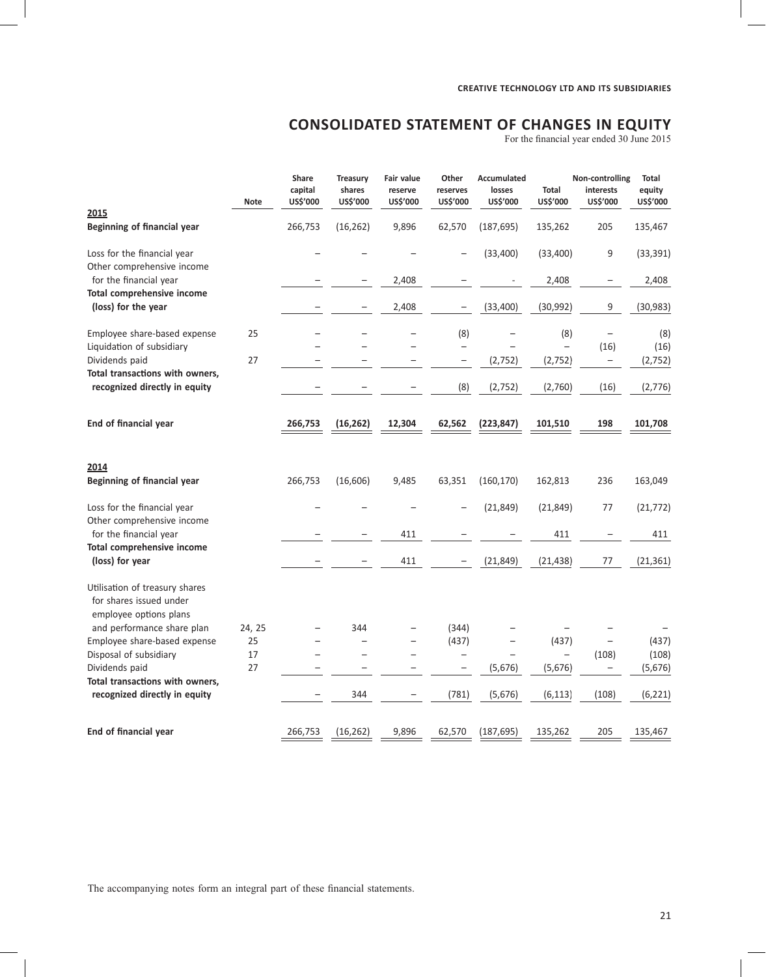# **CONSOLIDATED STATEMENT OF CHANGES IN EQUITY**

For the financial year ended 30 June 2015

|                                                                                     | <b>Note</b> | Share<br>capital<br>US\$'000 | <b>Treasury</b><br>shares<br>US\$'000 | Fair value<br>reserve<br>US\$'000 | Other<br>reserves<br>US\$'000                        | <b>Accumulated</b><br>losses<br>US\$'000 | Total<br>US\$'000                    | Non-controlling<br>interests<br>US\$'000 | Total<br>equity<br>US\$'000 |
|-------------------------------------------------------------------------------------|-------------|------------------------------|---------------------------------------|-----------------------------------|------------------------------------------------------|------------------------------------------|--------------------------------------|------------------------------------------|-----------------------------|
| 2015<br><b>Beginning of financial year</b>                                          |             | 266,753                      | (16, 262)                             | 9,896                             | 62,570                                               | (187, 695)                               | 135,262                              | 205                                      | 135,467                     |
| Loss for the financial year<br>Other comprehensive income                           |             |                              |                                       |                                   |                                                      | (33, 400)                                | (33, 400)                            | 9                                        | (33, 391)                   |
| for the financial year                                                              |             |                              |                                       | 2,408                             |                                                      |                                          | 2,408                                |                                          | 2,408                       |
| Total comprehensive income<br>(loss) for the year                                   |             |                              |                                       | 2,408                             |                                                      | (33, 400)                                | (30, 992)                            | 9                                        | (30, 983)                   |
| Employee share-based expense                                                        | 25          |                              |                                       |                                   | (8)                                                  |                                          | (8)                                  |                                          | (8)                         |
| Liquidation of subsidiary<br>Dividends paid                                         | 27          |                              |                                       |                                   | $\overline{\phantom{0}}$<br>$\overline{\phantom{m}}$ | (2, 752)                                 | $\overline{\phantom{0}}$<br>(2, 752) | (16)<br>$\overline{\phantom{a}}$         | (16)<br>(2, 752)            |
| Total transactions with owners,<br>recognized directly in equity                    |             |                              |                                       |                                   | (8)                                                  | (2,752)                                  | (2,760)                              | (16)                                     | (2,776)                     |
| End of financial year                                                               |             | 266,753                      | (16, 262)                             | 12,304                            | 62,562                                               | (223, 847)                               | 101,510                              | 198                                      | 101,708                     |
| 2014<br>Beginning of financial year                                                 |             | 266,753                      | (16, 606)                             | 9,485                             | 63,351                                               | (160, 170)                               | 162,813                              | 236                                      | 163,049                     |
|                                                                                     |             |                              |                                       |                                   |                                                      |                                          |                                      |                                          |                             |
| Loss for the financial year<br>Other comprehensive income                           |             |                              |                                       |                                   |                                                      | (21, 849)                                | (21, 849)                            | 77                                       | (21, 772)                   |
| for the financial year<br>Total comprehensive income                                |             |                              |                                       | 411                               |                                                      |                                          | 411                                  |                                          | 411                         |
| (loss) for year                                                                     |             |                              |                                       | 411                               |                                                      | (21, 849)                                | (21, 438)                            | 77                                       | (21, 361)                   |
| Utilisation of treasury shares<br>for shares issued under<br>employee options plans |             |                              |                                       |                                   |                                                      |                                          |                                      |                                          |                             |
| and performance share plan                                                          | 24, 25      |                              | 344                                   |                                   | (344)                                                |                                          |                                      |                                          |                             |
| Employee share-based expense<br>Disposal of subsidiary                              | 25<br>17    |                              | $\overline{\phantom{0}}$              | $\overline{\phantom{0}}$          | (437)<br>$\overline{\phantom{a}}$                    |                                          | (437)<br>$\qquad \qquad -$           | $\qquad \qquad -$<br>(108)               | (437)<br>(108)              |
| Dividends paid                                                                      | 27          |                              |                                       |                                   | $\overline{\phantom{0}}$                             | (5,676)                                  | (5,676)                              |                                          | (5,676)                     |
| Total transactions with owners,<br>recognized directly in equity                    |             |                              | 344                                   |                                   | (781)                                                | (5,676)                                  | (6, 113)                             | (108)                                    | (6, 221)                    |
| End of financial year                                                               |             | 266,753                      | (16, 262)                             | 9,896                             | 62,570                                               | (187, 695)                               | 135,262                              | 205                                      | 135,467                     |
|                                                                                     |             |                              |                                       |                                   |                                                      |                                          |                                      |                                          |                             |

The accompanying notes form an integral part of these financial statements.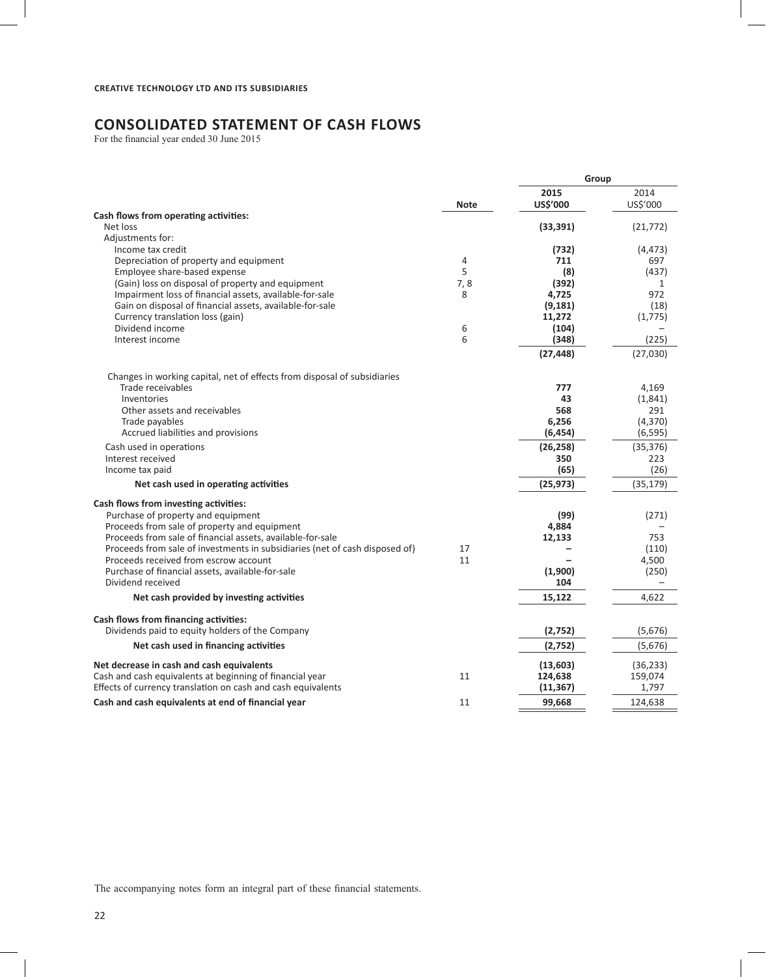# **CONSOLIDATED STATEMENT OF CASH FLOWS**

For the financial year ended 30 June 2015

|                                                                                                                                                                                                                                                                                                                                                                                                                                         |                              | Group                                                                         |                                                                   |
|-----------------------------------------------------------------------------------------------------------------------------------------------------------------------------------------------------------------------------------------------------------------------------------------------------------------------------------------------------------------------------------------------------------------------------------------|------------------------------|-------------------------------------------------------------------------------|-------------------------------------------------------------------|
|                                                                                                                                                                                                                                                                                                                                                                                                                                         | <b>Note</b>                  | 2015<br>US\$'000                                                              | 2014<br>US\$'000                                                  |
| Cash flows from operating activities:<br>Net loss                                                                                                                                                                                                                                                                                                                                                                                       |                              | (33, 391)                                                                     | (21, 772)                                                         |
| Adjustments for:<br>Income tax credit<br>Depreciation of property and equipment<br>Employee share-based expense<br>(Gain) loss on disposal of property and equipment<br>Impairment loss of financial assets, available-for-sale<br>Gain on disposal of financial assets, available-for-sale<br>Currency translation loss (gain)<br>Dividend income<br>Interest income                                                                   | 4<br>5<br>7,8<br>8<br>6<br>6 | (732)<br>711<br>(8)<br>(392)<br>4,725<br>(9, 181)<br>11,272<br>(104)<br>(348) | (4, 473)<br>697<br>(437)<br>1<br>972<br>(18)<br>(1, 775)<br>(225) |
|                                                                                                                                                                                                                                                                                                                                                                                                                                         |                              | (27, 448)                                                                     | (27,030)                                                          |
| Changes in working capital, net of effects from disposal of subsidiaries<br>Trade receivables<br>Inventories<br>Other assets and receivables<br>Trade payables<br>Accrued liabilities and provisions                                                                                                                                                                                                                                    |                              | 777<br>43<br>568<br>6,256<br>(6, 454)                                         | 4,169<br>(1,841)<br>291<br>(4, 370)<br>(6, 595)                   |
| Cash used in operations<br>Interest received<br>Income tax paid                                                                                                                                                                                                                                                                                                                                                                         |                              | (26, 258)<br>350<br>(65)                                                      | (35, 376)<br>223<br>(26)                                          |
| Net cash used in operating activities                                                                                                                                                                                                                                                                                                                                                                                                   |                              | (25, 973)                                                                     | (35, 179)                                                         |
| Cash flows from investing activities:<br>Purchase of property and equipment<br>Proceeds from sale of property and equipment<br>Proceeds from sale of financial assets, available-for-sale<br>Proceeds from sale of investments in subsidiaries (net of cash disposed of)<br>Proceeds received from escrow account<br>Purchase of financial assets, available-for-sale<br>Dividend received<br>Net cash provided by investing activities | 17<br>11                     | (99)<br>4,884<br>12,133<br>(1,900)<br>104<br>15,122                           | (271)<br>753<br>(110)<br>4,500<br>(250)<br>4,622                  |
| Cash flows from financing activities:<br>Dividends paid to equity holders of the Company                                                                                                                                                                                                                                                                                                                                                |                              | (2,752)                                                                       | (5,676)                                                           |
| Net cash used in financing activities                                                                                                                                                                                                                                                                                                                                                                                                   |                              | (2, 752)                                                                      | (5,676)                                                           |
| Net decrease in cash and cash equivalents<br>Cash and cash equivalents at beginning of financial year<br>Effects of currency translation on cash and cash equivalents                                                                                                                                                                                                                                                                   | 11                           | (13,603)<br>124,638<br>(11, 367)                                              | (36, 233)<br>159,074<br>1,797                                     |
| Cash and cash equivalents at end of financial year                                                                                                                                                                                                                                                                                                                                                                                      | 11                           | 99,668                                                                        | 124,638                                                           |

The accompanying notes form an integral part of these financial statements.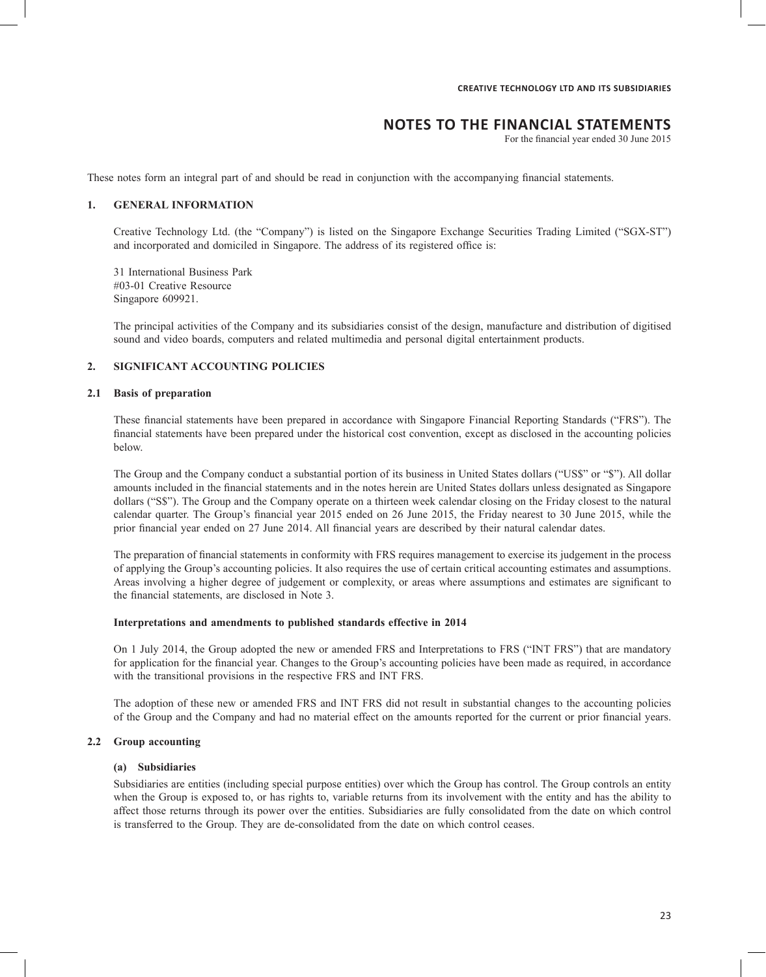# **NOTES TO THE FINANCIAL STATEMENTS**

For the financial year ended 30 June 2015

These notes form an integral part of and should be read in conjunction with the accompanying financial statements.

#### **1. GENERAL INFORMATION**

Creative Technology Ltd. (the "Company") is listed on the Singapore Exchange Securities Trading Limited ("SGX-ST") and incorporated and domiciled in Singapore. The address of its registered office is:

31 International Business Park #03-01 Creative Resource Singapore 609921.

The principal activities of the Company and its subsidiaries consist of the design, manufacture and distribution of digitised sound and video boards, computers and related multimedia and personal digital entertainment products.

# **2. SIGNIFICANT ACCOUNTING POLICIES**

#### **2.1 Basis of preparation**

These financial statements have been prepared in accordance with Singapore Financial Reporting Standards ("FRS"). The financial statements have been prepared under the historical cost convention, except as disclosed in the accounting policies below.

The Group and the Company conduct a substantial portion of its business in United States dollars ("US\$" or "\$"). All dollar amounts included in the financial statements and in the notes herein are United States dollars unless designated as Singapore dollars ("S\$"). The Group and the Company operate on a thirteen week calendar closing on the Friday closest to the natural calendar quarter. The Group's financial year 2015 ended on 26 June 2015, the Friday nearest to 30 June 2015, while the prior financial year ended on 27 June 2014. All financial years are described by their natural calendar dates.

The preparation of financial statements in conformity with FRS requires management to exercise its judgement in the process of applying the Group's accounting policies. It also requires the use of certain critical accounting estimates and assumptions. Areas involving a higher degree of judgement or complexity, or areas where assumptions and estimates are significant to the financial statements, are disclosed in Note 3.

#### **Interpretations and amendments to published standards effective in 2014**

On 1 July 2014, the Group adopted the new or amended FRS and Interpretations to FRS ("INT FRS") that are mandatory for application for the financial year. Changes to the Group's accounting policies have been made as required, in accordance with the transitional provisions in the respective FRS and INT FRS.

The adoption of these new or amended FRS and INT FRS did not result in substantial changes to the accounting policies of the Group and the Company and had no material effect on the amounts reported for the current or prior financial years.

### **2.2 Group accounting**

#### **(a) Subsidiaries**

Subsidiaries are entities (including special purpose entities) over which the Group has control. The Group controls an entity when the Group is exposed to, or has rights to, variable returns from its involvement with the entity and has the ability to affect those returns through its power over the entities. Subsidiaries are fully consolidated from the date on which control is transferred to the Group. They are de-consolidated from the date on which control ceases.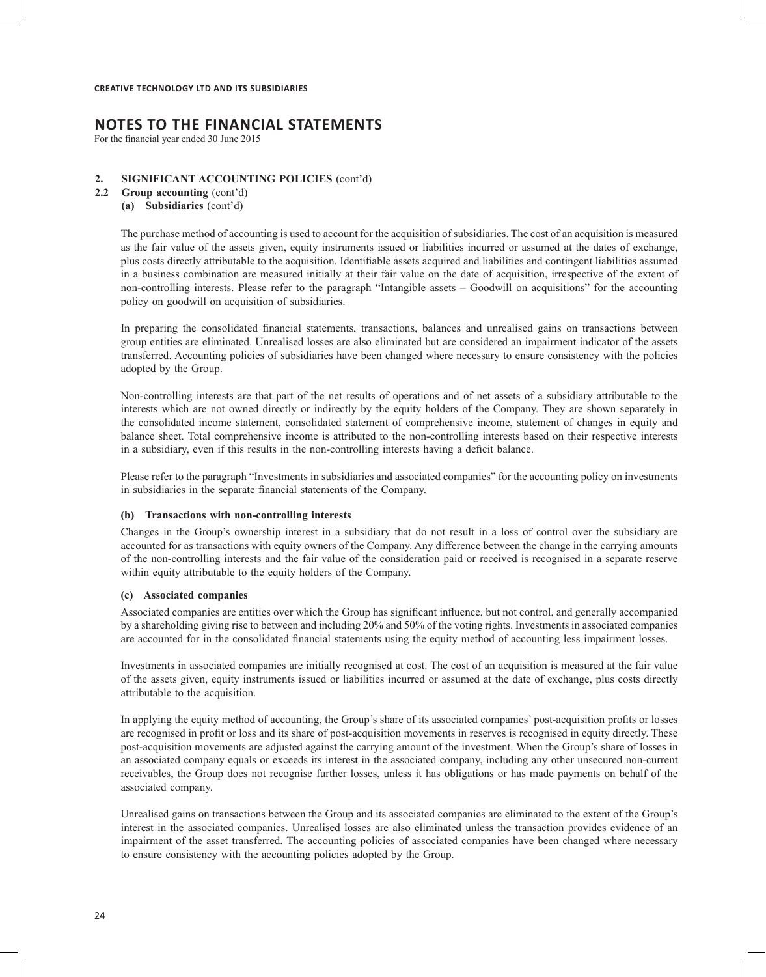For the financial year ended 30 June 2015

#### **2. SIGNIFICANT ACCOUNTING POLICIES** (cont'd)

**2.2 Group accounting** (cont'd)

### **(a) Subsidiaries** (cont'd)

The purchase method of accounting is used to account for the acquisition of subsidiaries. The cost of an acquisition is measured as the fair value of the assets given, equity instruments issued or liabilities incurred or assumed at the dates of exchange, plus costs directly attributable to the acquisition. Identifiable assets acquired and liabilities and contingent liabilities assumed in a business combination are measured initially at their fair value on the date of acquisition, irrespective of the extent of non-controlling interests. Please refer to the paragraph "Intangible assets – Goodwill on acquisitions" for the accounting policy on goodwill on acquisition of subsidiaries.

In preparing the consolidated financial statements, transactions, balances and unrealised gains on transactions between group entities are eliminated. Unrealised losses are also eliminated but are considered an impairment indicator of the assets transferred. Accounting policies of subsidiaries have been changed where necessary to ensure consistency with the policies adopted by the Group.

Non-controlling interests are that part of the net results of operations and of net assets of a subsidiary attributable to the interests which are not owned directly or indirectly by the equity holders of the Company. They are shown separately in the consolidated income statement, consolidated statement of comprehensive income, statement of changes in equity and balance sheet. Total comprehensive income is attributed to the non-controlling interests based on their respective interests in a subsidiary, even if this results in the non-controlling interests having a deficit balance.

Please refer to the paragraph "Investments in subsidiaries and associated companies" for the accounting policy on investments in subsidiaries in the separate financial statements of the Company.

#### **(b) Transactions with non-controlling interests**

Changes in the Group's ownership interest in a subsidiary that do not result in a loss of control over the subsidiary are accounted for as transactions with equity owners of the Company. Any difference between the change in the carrying amounts of the non-controlling interests and the fair value of the consideration paid or received is recognised in a separate reserve within equity attributable to the equity holders of the Company.

#### **(c) Associated companies**

Associated companies are entities over which the Group has significant influence, but not control, and generally accompanied by a shareholding giving rise to between and including 20% and 50% of the voting rights. Investments in associated companies are accounted for in the consolidated financial statements using the equity method of accounting less impairment losses.

Investments in associated companies are initially recognised at cost. The cost of an acquisition is measured at the fair value of the assets given, equity instruments issued or liabilities incurred or assumed at the date of exchange, plus costs directly attributable to the acquisition.

In applying the equity method of accounting, the Group's share of its associated companies' post-acquisition profits or losses are recognised in profit or loss and its share of post-acquisition movements in reserves is recognised in equity directly. These post-acquisition movements are adjusted against the carrying amount of the investment. When the Group's share of losses in an associated company equals or exceeds its interest in the associated company, including any other unsecured non-current receivables, the Group does not recognise further losses, unless it has obligations or has made payments on behalf of the associated company.

Unrealised gains on transactions between the Group and its associated companies are eliminated to the extent of the Group's interest in the associated companies. Unrealised losses are also eliminated unless the transaction provides evidence of an impairment of the asset transferred. The accounting policies of associated companies have been changed where necessary to ensure consistency with the accounting policies adopted by the Group.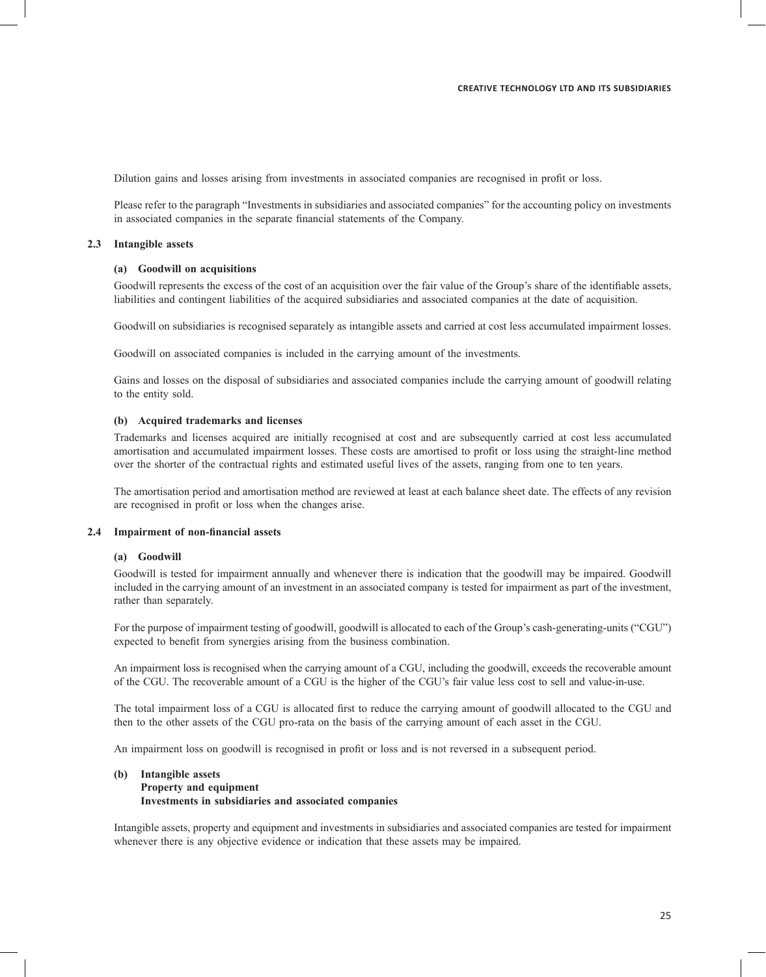Dilution gains and losses arising from investments in associated companies are recognised in profit or loss.

Please refer to the paragraph "Investments in subsidiaries and associated companies" for the accounting policy on investments in associated companies in the separate financial statements of the Company.

#### **2.3 Intangible assets**

#### **(a) Goodwill on acquisitions**

Goodwill represents the excess of the cost of an acquisition over the fair value of the Group's share of the identifiable assets, liabilities and contingent liabilities of the acquired subsidiaries and associated companies at the date of acquisition.

Goodwill on subsidiaries is recognised separately as intangible assets and carried at cost less accumulated impairment losses.

Goodwill on associated companies is included in the carrying amount of the investments.

Gains and losses on the disposal of subsidiaries and associated companies include the carrying amount of goodwill relating to the entity sold.

#### **(b) Acquired trademarks and licenses**

Trademarks and licenses acquired are initially recognised at cost and are subsequently carried at cost less accumulated amortisation and accumulated impairment losses. These costs are amortised to profit or loss using the straight-line method over the shorter of the contractual rights and estimated useful lives of the assets, ranging from one to ten years.

The amortisation period and amortisation method are reviewed at least at each balance sheet date. The effects of any revision are recognised in profit or loss when the changes arise.

#### **2.4 Impairment of non-financial assets**

#### **(a) Goodwill**

Goodwill is tested for impairment annually and whenever there is indication that the goodwill may be impaired. Goodwill included in the carrying amount of an investment in an associated company is tested for impairment as part of the investment, rather than separately.

For the purpose of impairment testing of goodwill, goodwill is allocated to each of the Group's cash-generating-units ("CGU") expected to benefit from synergies arising from the business combination.

An impairment loss is recognised when the carrying amount of a CGU, including the goodwill, exceeds the recoverable amount of the CGU. The recoverable amount of a CGU is the higher of the CGU's fair value less cost to sell and value-in-use.

The total impairment loss of a CGU is allocated first to reduce the carrying amount of goodwill allocated to the CGU and then to the other assets of the CGU pro-rata on the basis of the carrying amount of each asset in the CGU.

An impairment loss on goodwill is recognised in profit or loss and is not reversed in a subsequent period.

# **(b) Intangible assets**

#### **Property and equipment Investments in subsidiaries and associated companies**

Intangible assets, property and equipment and investments in subsidiaries and associated companies are tested for impairment whenever there is any objective evidence or indication that these assets may be impaired.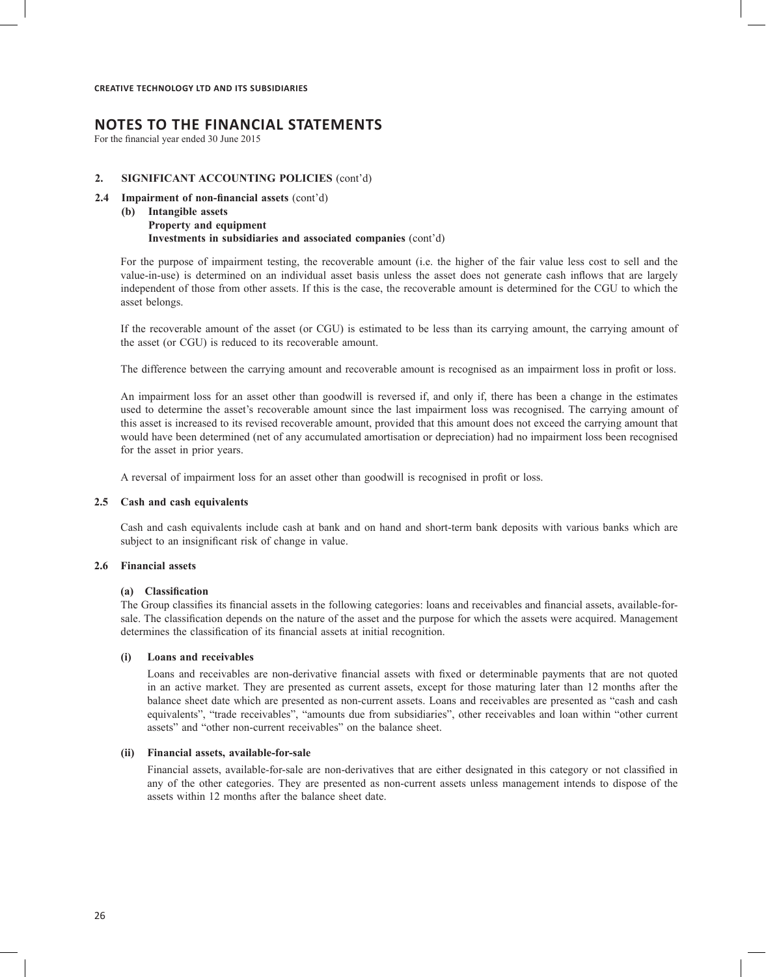# **NOTES TO THE FINANCIAL STATEMENTS**

For the financial year ended 30 June 2015

#### **2. SIGNIFICANT ACCOUNTING POLICIES** (cont'd)

- **2.4 Impairment of non-financial assets** (cont'd)
	- **(b) Intangible assets Property and equipment Investments in subsidiaries and associated companies** (cont'd)

For the purpose of impairment testing, the recoverable amount (i.e. the higher of the fair value less cost to sell and the value-in-use) is determined on an individual asset basis unless the asset does not generate cash inflows that are largely independent of those from other assets. If this is the case, the recoverable amount is determined for the CGU to which the asset belongs.

If the recoverable amount of the asset (or CGU) is estimated to be less than its carrying amount, the carrying amount of the asset (or CGU) is reduced to its recoverable amount.

The difference between the carrying amount and recoverable amount is recognised as an impairment loss in profit or loss.

An impairment loss for an asset other than goodwill is reversed if, and only if, there has been a change in the estimates used to determine the asset's recoverable amount since the last impairment loss was recognised. The carrying amount of this asset is increased to its revised recoverable amount, provided that this amount does not exceed the carrying amount that would have been determined (net of any accumulated amortisation or depreciation) had no impairment loss been recognised for the asset in prior years.

A reversal of impairment loss for an asset other than goodwill is recognised in profit or loss.

#### **2.5 Cash and cash equivalents**

Cash and cash equivalents include cash at bank and on hand and short-term bank deposits with various banks which are subject to an insignificant risk of change in value.

#### **2.6 Financial assets**

#### **(a) Classification**

The Group classifies its financial assets in the following categories: loans and receivables and financial assets, available-forsale. The classification depends on the nature of the asset and the purpose for which the assets were acquired. Management determines the classification of its financial assets at initial recognition.

#### **(i) Loans and receivables**

Loans and receivables are non-derivative financial assets with fixed or determinable payments that are not quoted in an active market. They are presented as current assets, except for those maturing later than 12 months after the balance sheet date which are presented as non-current assets. Loans and receivables are presented as "cash and cash equivalents", "trade receivables", "amounts due from subsidiaries", other receivables and loan within "other current assets" and "other non-current receivables" on the balance sheet.

# **(ii) Financial assets, available-for-sale**

Financial assets, available-for-sale are non-derivatives that are either designated in this category or not classified in any of the other categories. They are presented as non-current assets unless management intends to dispose of the assets within 12 months after the balance sheet date.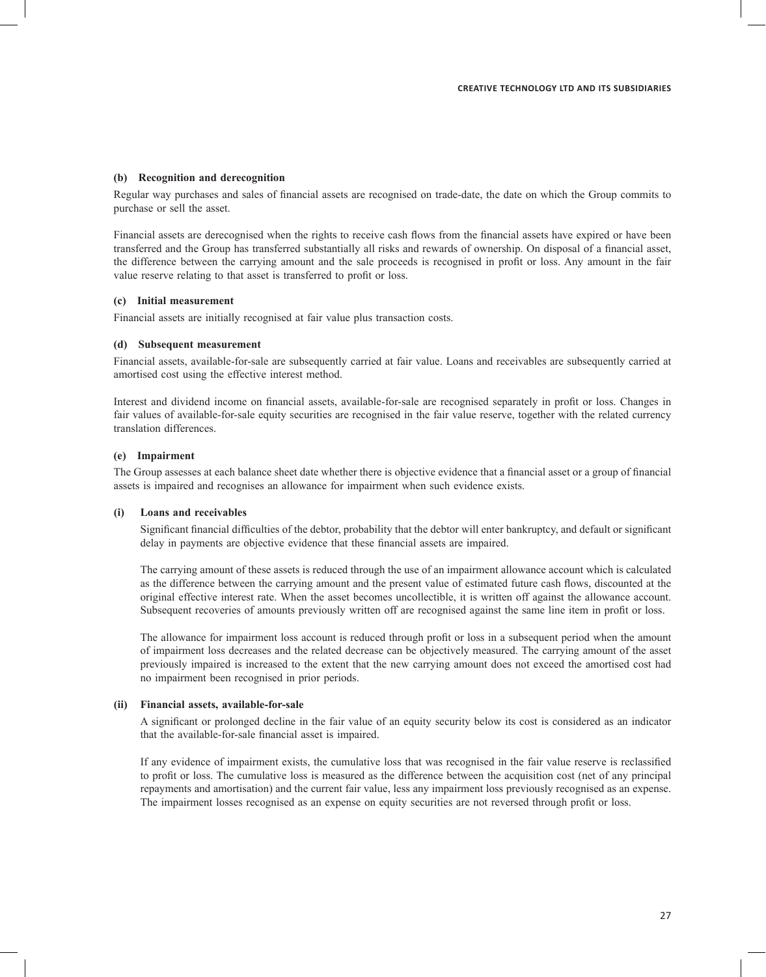#### **(b) Recognition and derecognition**

Regular way purchases and sales of financial assets are recognised on trade-date, the date on which the Group commits to purchase or sell the asset.

Financial assets are derecognised when the rights to receive cash flows from the financial assets have expired or have been transferred and the Group has transferred substantially all risks and rewards of ownership. On disposal of a financial asset, the difference between the carrying amount and the sale proceeds is recognised in profit or loss. Any amount in the fair value reserve relating to that asset is transferred to profit or loss.

#### **(c) Initial measurement**

Financial assets are initially recognised at fair value plus transaction costs.

#### **(d) Subsequent measurement**

Financial assets, available-for-sale are subsequently carried at fair value. Loans and receivables are subsequently carried at amortised cost using the effective interest method.

Interest and dividend income on financial assets, available-for-sale are recognised separately in profit or loss. Changes in fair values of available-for-sale equity securities are recognised in the fair value reserve, together with the related currency translation differences.

#### **(e) Impairment**

The Group assesses at each balance sheet date whether there is objective evidence that a financial asset or a group of financial assets is impaired and recognises an allowance for impairment when such evidence exists.

#### **(i) Loans and receivables**

Significant financial difficulties of the debtor, probability that the debtor will enter bankruptcy, and default or significant delay in payments are objective evidence that these financial assets are impaired.

 The carrying amount of these assets is reduced through the use of an impairment allowance account which is calculated as the difference between the carrying amount and the present value of estimated future cash flows, discounted at the original effective interest rate. When the asset becomes uncollectible, it is written off against the allowance account. Subsequent recoveries of amounts previously written off are recognised against the same line item in profit or loss.

The allowance for impairment loss account is reduced through profit or loss in a subsequent period when the amount of impairment loss decreases and the related decrease can be objectively measured. The carrying amount of the asset previously impaired is increased to the extent that the new carrying amount does not exceed the amortised cost had no impairment been recognised in prior periods.

#### **(ii) Financial assets, available-for-sale**

A significant or prolonged decline in the fair value of an equity security below its cost is considered as an indicator that the available-for-sale financial asset is impaired.

If any evidence of impairment exists, the cumulative loss that was recognised in the fair value reserve is reclassified to profit or loss. The cumulative loss is measured as the difference between the acquisition cost (net of any principal repayments and amortisation) and the current fair value, less any impairment loss previously recognised as an expense. The impairment losses recognised as an expense on equity securities are not reversed through profit or loss.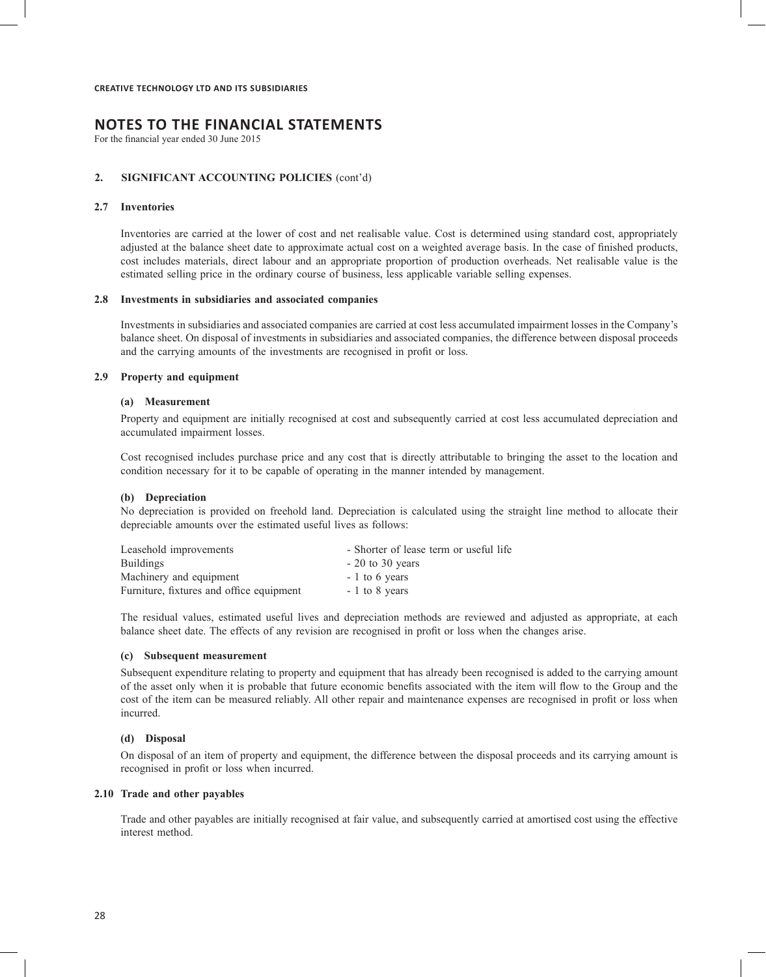For the financial year ended 30 June 2015

#### **2. SIGNIFICANT ACCOUNTING POLICIES** (cont'd)

#### **2.7 Inventories**

Inventories are carried at the lower of cost and net realisable value. Cost is determined using standard cost, appropriately adjusted at the balance sheet date to approximate actual cost on a weighted average basis. In the case of finished products, cost includes materials, direct labour and an appropriate proportion of production overheads. Net realisable value is the estimated selling price in the ordinary course of business, less applicable variable selling expenses.

#### **2.8 Investments in subsidiaries and associated companies**

Investments in subsidiaries and associated companies are carried at cost less accumulated impairment losses in the Company's balance sheet. On disposal of investments in subsidiaries and associated companies, the difference between disposal proceeds and the carrying amounts of the investments are recognised in profit or loss.

#### **2.9 Property and equipment**

#### **(a) Measurement**

Property and equipment are initially recognised at cost and subsequently carried at cost less accumulated depreciation and accumulated impairment losses.

Cost recognised includes purchase price and any cost that is directly attributable to bringing the asset to the location and condition necessary for it to be capable of operating in the manner intended by management.

#### **(b) Depreciation**

No depreciation is provided on freehold land. Depreciation is calculated using the straight line method to allocate their depreciable amounts over the estimated useful lives as follows:

| Leasehold improvements                   | - Shorter of lease term or useful life |
|------------------------------------------|----------------------------------------|
| <b>Buildings</b>                         | $-20$ to 30 years                      |
| Machinery and equipment                  | $-1$ to 6 years                        |
| Furniture, fixtures and office equipment | $-1$ to 8 years                        |

The residual values, estimated useful lives and depreciation methods are reviewed and adjusted as appropriate, at each balance sheet date. The effects of any revision are recognised in profit or loss when the changes arise.

#### **(c) Subsequent measurement**

Subsequent expenditure relating to property and equipment that has already been recognised is added to the carrying amount of the asset only when it is probable that future economic benefits associated with the item will flow to the Group and the cost of the item can be measured reliably. All other repair and maintenance expenses are recognised in profit or loss when incurred.

### **(d) Disposal**

On disposal of an item of property and equipment, the difference between the disposal proceeds and its carrying amount is recognised in profit or loss when incurred.

#### **2.10 Trade and other payables**

Trade and other payables are initially recognised at fair value, and subsequently carried at amortised cost using the effective interest method.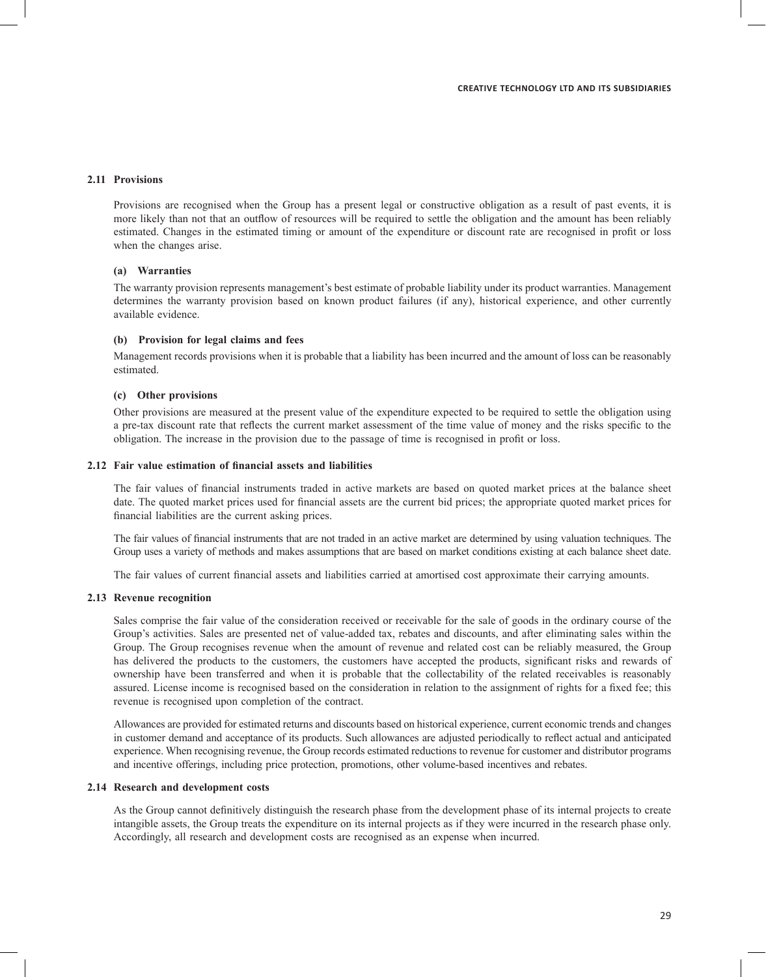#### **2.11 Provisions**

Provisions are recognised when the Group has a present legal or constructive obligation as a result of past events, it is more likely than not that an outflow of resources will be required to settle the obligation and the amount has been reliably estimated. Changes in the estimated timing or amount of the expenditure or discount rate are recognised in profit or loss when the changes arise.

#### **(a) Warranties**

The warranty provision represents management's best estimate of probable liability under its product warranties. Management determines the warranty provision based on known product failures (if any), historical experience, and other currently available evidence.

#### **(b) Provision for legal claims and fees**

Management records provisions when it is probable that a liability has been incurred and the amount of loss can be reasonably estimated.

#### **(c) Other provisions**

Other provisions are measured at the present value of the expenditure expected to be required to settle the obligation using a pre-tax discount rate that reflects the current market assessment of the time value of money and the risks specific to the obligation. The increase in the provision due to the passage of time is recognised in profit or loss.

#### **2.12 Fair value estimation of financial assets and liabilities**

The fair values of financial instruments traded in active markets are based on quoted market prices at the balance sheet date. The quoted market prices used for financial assets are the current bid prices; the appropriate quoted market prices for financial liabilities are the current asking prices.

The fair values of financial instruments that are not traded in an active market are determined by using valuation techniques. The Group uses a variety of methods and makes assumptions that are based on market conditions existing at each balance sheet date.

The fair values of current financial assets and liabilities carried at amortised cost approximate their carrying amounts.

#### **2.13 Revenue recognition**

Sales comprise the fair value of the consideration received or receivable for the sale of goods in the ordinary course of the Group's activities. Sales are presented net of value-added tax, rebates and discounts, and after eliminating sales within the Group. The Group recognises revenue when the amount of revenue and related cost can be reliably measured, the Group has delivered the products to the customers, the customers have accepted the products, significant risks and rewards of ownership have been transferred and when it is probable that the collectability of the related receivables is reasonably assured. License income is recognised based on the consideration in relation to the assignment of rights for a fixed fee; this revenue is recognised upon completion of the contract.

Allowances are provided for estimated returns and discounts based on historical experience, current economic trends and changes in customer demand and acceptance of its products. Such allowances are adjusted periodically to reflect actual and anticipated experience. When recognising revenue, the Group records estimated reductions to revenue for customer and distributor programs and incentive offerings, including price protection, promotions, other volume-based incentives and rebates.

#### **2.14 Research and development costs**

As the Group cannot definitively distinguish the research phase from the development phase of its internal projects to create intangible assets, the Group treats the expenditure on its internal projects as if they were incurred in the research phase only. Accordingly, all research and development costs are recognised as an expense when incurred.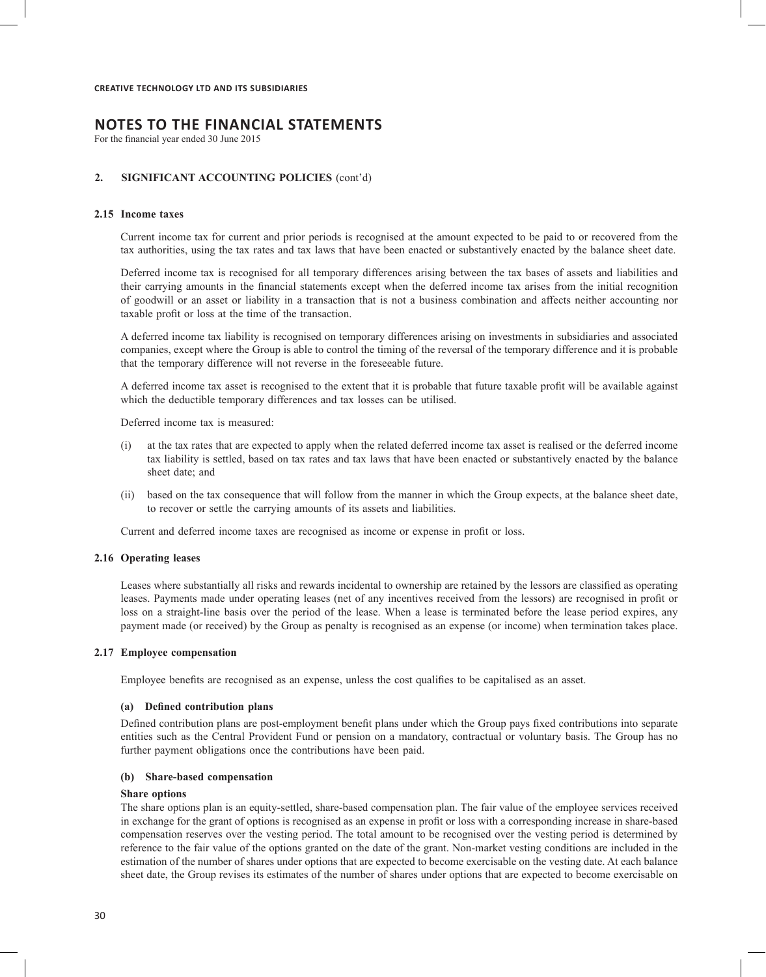For the financial year ended 30 June 2015

#### **2. SIGNIFICANT ACCOUNTING POLICIES** (cont'd)

### **2.15 Income taxes**

Current income tax for current and prior periods is recognised at the amount expected to be paid to or recovered from the tax authorities, using the tax rates and tax laws that have been enacted or substantively enacted by the balance sheet date.

Deferred income tax is recognised for all temporary differences arising between the tax bases of assets and liabilities and their carrying amounts in the financial statements except when the deferred income tax arises from the initial recognition of goodwill or an asset or liability in a transaction that is not a business combination and affects neither accounting nor taxable profit or loss at the time of the transaction.

A deferred income tax liability is recognised on temporary differences arising on investments in subsidiaries and associated companies, except where the Group is able to control the timing of the reversal of the temporary difference and it is probable that the temporary difference will not reverse in the foreseeable future.

A deferred income tax asset is recognised to the extent that it is probable that future taxable profit will be available against which the deductible temporary differences and tax losses can be utilised.

Deferred income tax is measured:

- (i) at the tax rates that are expected to apply when the related deferred income tax asset is realised or the deferred income tax liability is settled, based on tax rates and tax laws that have been enacted or substantively enacted by the balance sheet date; and
- (ii) based on the tax consequence that will follow from the manner in which the Group expects, at the balance sheet date, to recover or settle the carrying amounts of its assets and liabilities.

Current and deferred income taxes are recognised as income or expense in profit or loss.

#### **2.16 Operating leases**

Leases where substantially all risks and rewards incidental to ownership are retained by the lessors are classified as operating leases. Payments made under operating leases (net of any incentives received from the lessors) are recognised in profit or loss on a straight-line basis over the period of the lease. When a lease is terminated before the lease period expires, any payment made (or received) by the Group as penalty is recognised as an expense (or income) when termination takes place.

#### **2.17 Employee compensation**

Employee benefits are recognised as an expense, unless the cost qualifies to be capitalised as an asset.

#### **(a) Defined contribution plans**

Defined contribution plans are post-employment benefit plans under which the Group pays fixed contributions into separate entities such as the Central Provident Fund or pension on a mandatory, contractual or voluntary basis. The Group has no further payment obligations once the contributions have been paid.

#### **(b) Share-based compensation**

#### **Share options**

The share options plan is an equity-settled, share-based compensation plan. The fair value of the employee services received in exchange for the grant of options is recognised as an expense in profit or loss with a corresponding increase in share-based compensation reserves over the vesting period. The total amount to be recognised over the vesting period is determined by reference to the fair value of the options granted on the date of the grant. Non-market vesting conditions are included in the estimation of the number of shares under options that are expected to become exercisable on the vesting date. At each balance sheet date, the Group revises its estimates of the number of shares under options that are expected to become exercisable on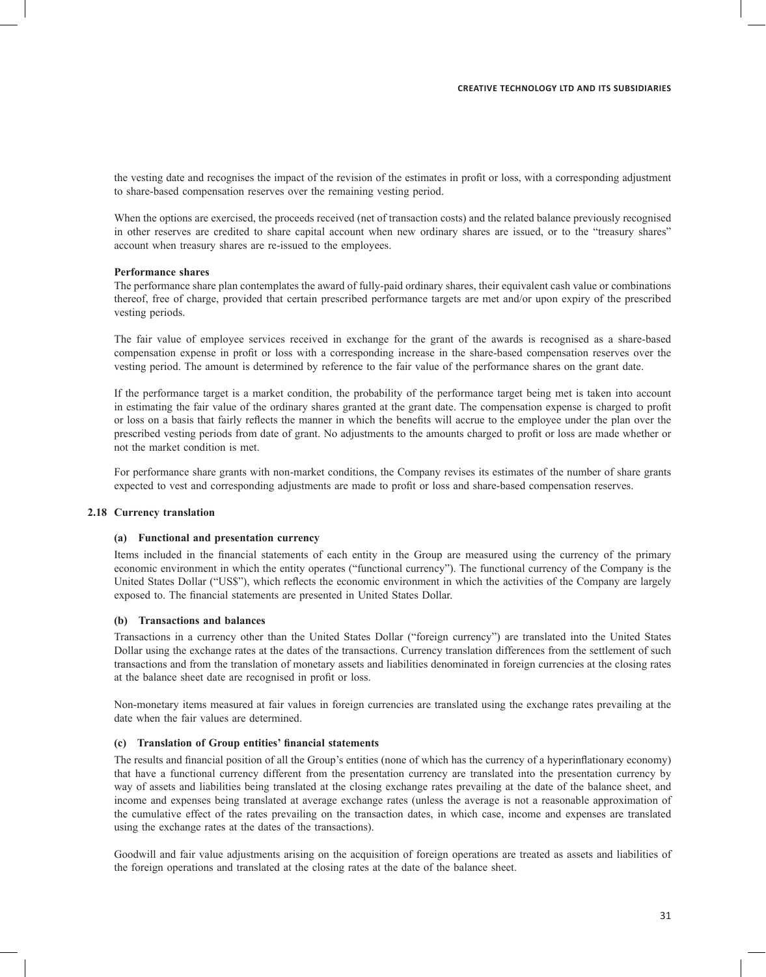the vesting date and recognises the impact of the revision of the estimates in profit or loss, with a corresponding adjustment to share-based compensation reserves over the remaining vesting period.

When the options are exercised, the proceeds received (net of transaction costs) and the related balance previously recognised in other reserves are credited to share capital account when new ordinary shares are issued, or to the "treasury shares" account when treasury shares are re-issued to the employees.

#### **Performance shares**

The performance share plan contemplates the award of fully-paid ordinary shares, their equivalent cash value or combinations thereof, free of charge, provided that certain prescribed performance targets are met and/or upon expiry of the prescribed vesting periods.

The fair value of employee services received in exchange for the grant of the awards is recognised as a share-based compensation expense in profit or loss with a corresponding increase in the share-based compensation reserves over the vesting period. The amount is determined by reference to the fair value of the performance shares on the grant date.

If the performance target is a market condition, the probability of the performance target being met is taken into account in estimating the fair value of the ordinary shares granted at the grant date. The compensation expense is charged to profit or loss on a basis that fairly reflects the manner in which the benefits will accrue to the employee under the plan over the prescribed vesting periods from date of grant. No adjustments to the amounts charged to profit or loss are made whether or not the market condition is met.

For performance share grants with non-market conditions, the Company revises its estimates of the number of share grants expected to vest and corresponding adjustments are made to profit or loss and share-based compensation reserves.

#### **2.18 Currency translation**

#### **(a) Functional and presentation currency**

Items included in the financial statements of each entity in the Group are measured using the currency of the primary economic environment in which the entity operates ("functional currency"). The functional currency of the Company is the United States Dollar ("US\$"), which reflects the economic environment in which the activities of the Company are largely exposed to. The financial statements are presented in United States Dollar.

#### **(b) Transactions and balances**

Transactions in a currency other than the United States Dollar ("foreign currency") are translated into the United States Dollar using the exchange rates at the dates of the transactions. Currency translation differences from the settlement of such transactions and from the translation of monetary assets and liabilities denominated in foreign currencies at the closing rates at the balance sheet date are recognised in profit or loss.

Non-monetary items measured at fair values in foreign currencies are translated using the exchange rates prevailing at the date when the fair values are determined.

#### **(c) Translation of Group entities' financial statements**

The results and financial position of all the Group's entities (none of which has the currency of a hyperinflationary economy) that have a functional currency different from the presentation currency are translated into the presentation currency by way of assets and liabilities being translated at the closing exchange rates prevailing at the date of the balance sheet, and income and expenses being translated at average exchange rates (unless the average is not a reasonable approximation of the cumulative effect of the rates prevailing on the transaction dates, in which case, income and expenses are translated using the exchange rates at the dates of the transactions).

Goodwill and fair value adjustments arising on the acquisition of foreign operations are treated as assets and liabilities of the foreign operations and translated at the closing rates at the date of the balance sheet.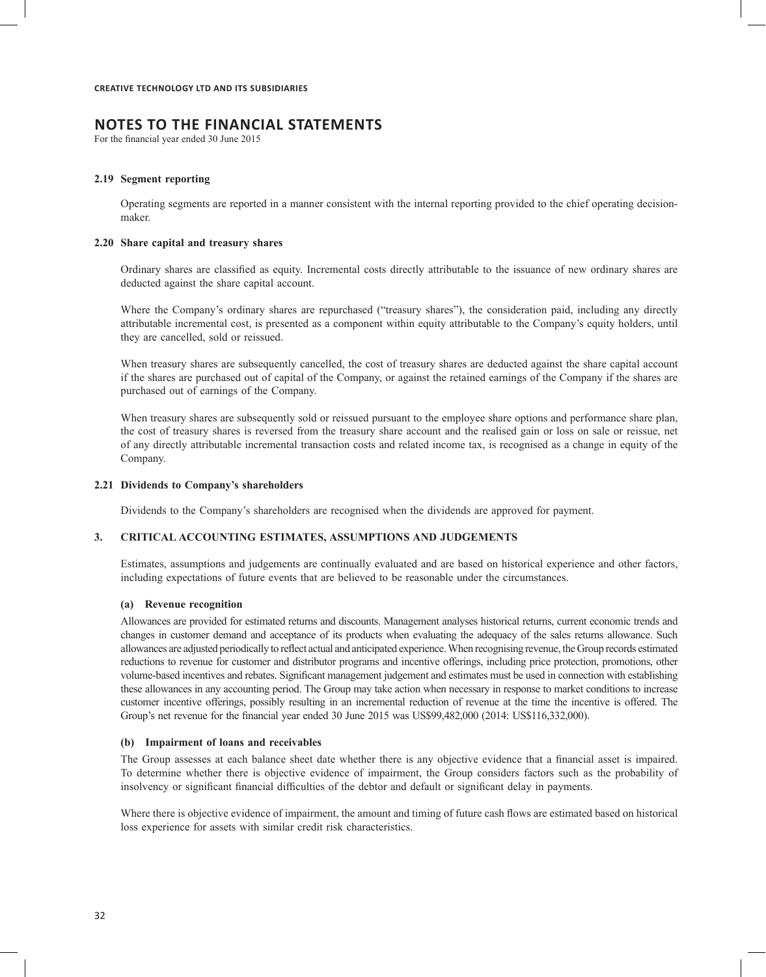# **NOTES TO THE FINANCIAL STATEMENTS**

For the financial year ended 30 June 2015

#### **2.19 Segment reporting**

Operating segments are reported in a manner consistent with the internal reporting provided to the chief operating decisionmaker.

#### **2.20 Share capital and treasury shares**

Ordinary shares are classified as equity. Incremental costs directly attributable to the issuance of new ordinary shares are deducted against the share capital account.

Where the Company's ordinary shares are repurchased ("treasury shares"), the consideration paid, including any directly attributable incremental cost, is presented as a component within equity attributable to the Company's equity holders, until they are cancelled, sold or reissued.

When treasury shares are subsequently cancelled, the cost of treasury shares are deducted against the share capital account if the shares are purchased out of capital of the Company, or against the retained earnings of the Company if the shares are purchased out of earnings of the Company.

When treasury shares are subsequently sold or reissued pursuant to the employee share options and performance share plan, the cost of treasury shares is reversed from the treasury share account and the realised gain or loss on sale or reissue, net of any directly attributable incremental transaction costs and related income tax, is recognised as a change in equity of the Company.

#### **2.21 Dividends to Company's shareholders**

Dividends to the Company's shareholders are recognised when the dividends are approved for payment.

#### **3. CRITICAL ACCOUNTING ESTIMATES, ASSUMPTIONS AND JUDGEMENTS**

Estimates, assumptions and judgements are continually evaluated and are based on historical experience and other factors, including expectations of future events that are believed to be reasonable under the circumstances.

#### **(a) Revenue recognition**

Allowances are provided for estimated returns and discounts. Management analyses historical returns, current economic trends and changes in customer demand and acceptance of its products when evaluating the adequacy of the sales returns allowance. Such allowances are adjusted periodically to reflect actual and anticipated experience. When recognising revenue, the Group records estimated reductions to revenue for customer and distributor programs and incentive offerings, including price protection, promotions, other volume-based incentives and rebates. Significant management judgement and estimates must be used in connection with establishing these allowances in any accounting period. The Group may take action when necessary in response to market conditions to increase customer incentive offerings, possibly resulting in an incremental reduction of revenue at the time the incentive is offered. The Group's net revenue for the financial year ended 30 June 2015 was US\$99,482,000 (2014: US\$116,332,000).

#### **(b) Impairment of loans and receivables**

The Group assesses at each balance sheet date whether there is any objective evidence that a financial asset is impaired. To determine whether there is objective evidence of impairment, the Group considers factors such as the probability of insolvency or significant financial difficulties of the debtor and default or significant delay in payments.

Where there is objective evidence of impairment, the amount and timing of future cash flows are estimated based on historical loss experience for assets with similar credit risk characteristics.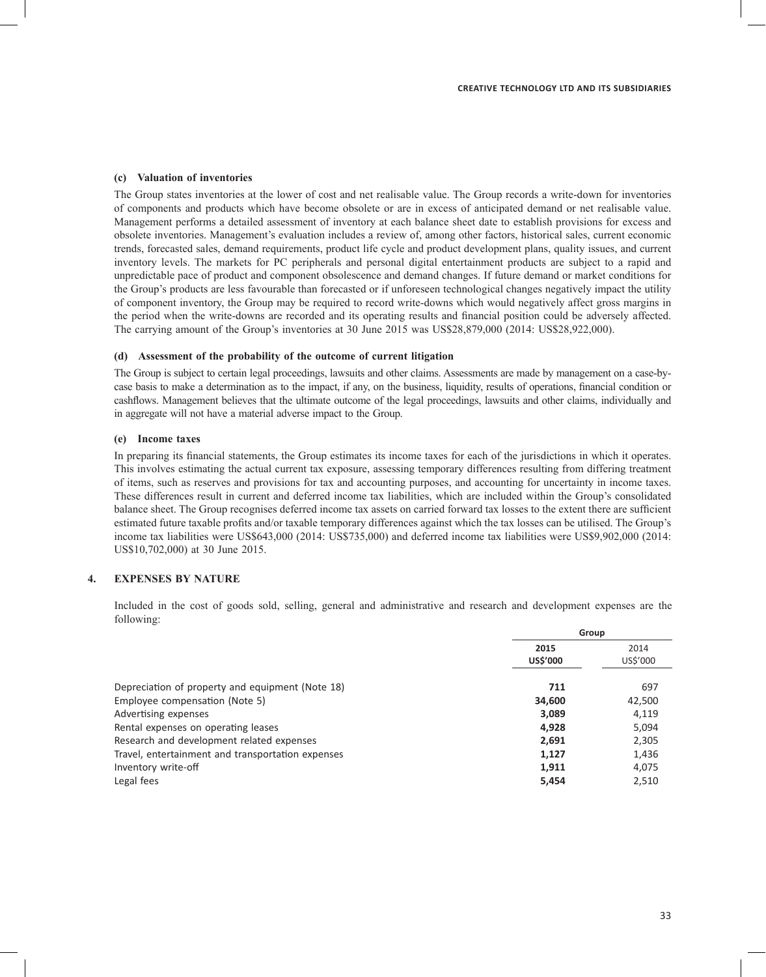#### **(c) Valuation of inventories**

The Group states inventories at the lower of cost and net realisable value. The Group records a write-down for inventories of components and products which have become obsolete or are in excess of anticipated demand or net realisable value. Management performs a detailed assessment of inventory at each balance sheet date to establish provisions for excess and obsolete inventories. Management's evaluation includes a review of, among other factors, historical sales, current economic trends, forecasted sales, demand requirements, product life cycle and product development plans, quality issues, and current inventory levels. The markets for PC peripherals and personal digital entertainment products are subject to a rapid and unpredictable pace of product and component obsolescence and demand changes. If future demand or market conditions for the Group's products are less favourable than forecasted or if unforeseen technological changes negatively impact the utility of component inventory, the Group may be required to record write-downs which would negatively affect gross margins in the period when the write-downs are recorded and its operating results and financial position could be adversely affected. The carrying amount of the Group's inventories at 30 June 2015 was US\$28,879,000 (2014: US\$28,922,000).

#### **(d) Assessment of the probability of the outcome of current litigation**

The Group is subject to certain legal proceedings, lawsuits and other claims. Assessments are made by management on a case-bycase basis to make a determination as to the impact, if any, on the business, liquidity, results of operations, financial condition or cashflows. Management believes that the ultimate outcome of the legal proceedings, lawsuits and other claims, individually and in aggregate will not have a material adverse impact to the Group.

#### **(e) Income taxes**

In preparing its financial statements, the Group estimates its income taxes for each of the jurisdictions in which it operates. This involves estimating the actual current tax exposure, assessing temporary differences resulting from differing treatment of items, such as reserves and provisions for tax and accounting purposes, and accounting for uncertainty in income taxes. These differences result in current and deferred income tax liabilities, which are included within the Group's consolidated balance sheet. The Group recognises deferred income tax assets on carried forward tax losses to the extent there are sufficient estimated future taxable profits and/or taxable temporary differences against which the tax losses can be utilised. The Group's income tax liabilities were US\$643,000 (2014: US\$735,000) and deferred income tax liabilities were US\$9,902,000 (2014: US\$10,702,000) at 30 June 2015.

#### **4. EXPENSES BY NATURE**

Included in the cost of goods sold, selling, general and administrative and research and development expenses are the following:

|                                                   | Group            |                  |
|---------------------------------------------------|------------------|------------------|
|                                                   | 2015<br>US\$'000 | 2014<br>US\$'000 |
| Depreciation of property and equipment (Note 18)  | 711              | 697              |
| Employee compensation (Note 5)                    | 34,600           | 42,500           |
| Advertising expenses                              | 3,089            | 4,119            |
| Rental expenses on operating leases               | 4,928            | 5,094            |
| Research and development related expenses         | 2,691            | 2,305            |
| Travel, entertainment and transportation expenses | 1,127            | 1,436            |
| Inventory write-off                               | 1,911            | 4,075            |
| Legal fees                                        | 5,454            | 2,510            |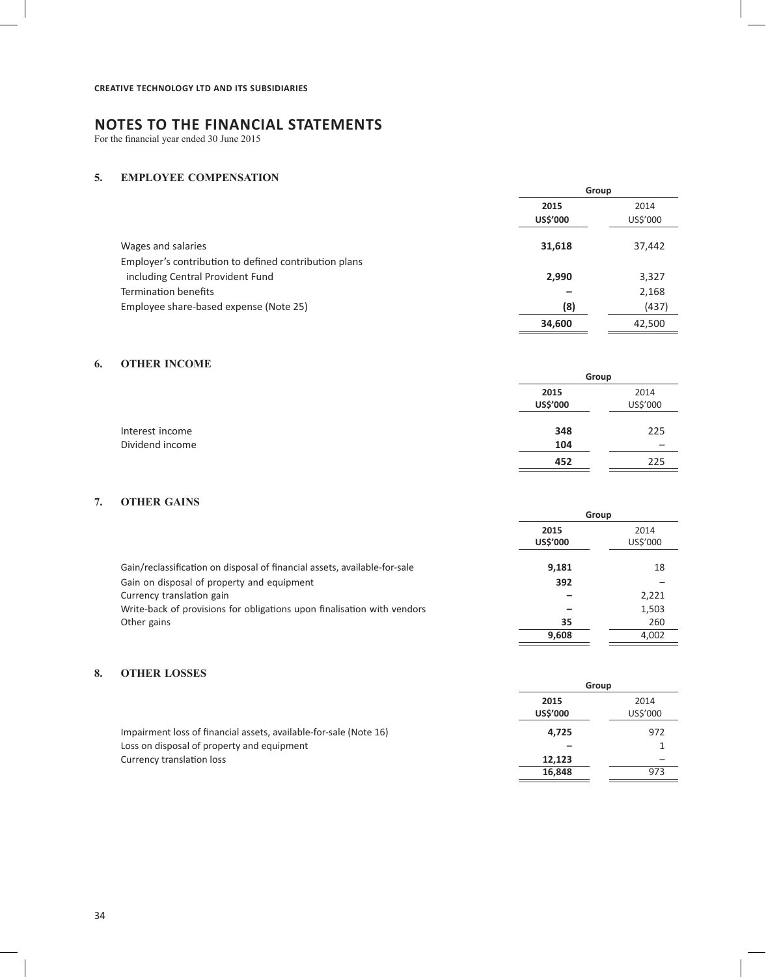For the financial year ended 30 June 2015

# **5. EMPLOYEE COMPENSATION**

|                                                                             |                  | Group            |  |
|-----------------------------------------------------------------------------|------------------|------------------|--|
|                                                                             | 2015<br>US\$'000 | 2014<br>US\$'000 |  |
| Wages and salaries<br>Employer's contribution to defined contribution plans | 31,618           | 37,442           |  |
| including Central Provident Fund                                            | 2,990            | 3,327            |  |
| Termination benefits                                                        |                  | 2,168            |  |
| Employee share-based expense (Note 25)                                      | (8)              | (437)            |  |
|                                                                             | 34,600           | 42,500           |  |

# **6. OTHER INCOME**

| Group            |  |
|------------------|--|
| 2015<br>US\$'000 |  |
| 348              |  |
| 104              |  |
| 452              |  |

# **7. OTHER GAINS**

|                                                                           | 2015<br><b>US\$'000</b> | 2014<br>US\$'000 |
|---------------------------------------------------------------------------|-------------------------|------------------|
| Gain/reclassification on disposal of financial assets, available-for-sale | 9.181                   | 18               |
| Gain on disposal of property and equipment                                | 392                     |                  |
| Currency translation gain                                                 |                         | 2,221            |
| Write-back of provisions for obligations upon finalisation with vendors   |                         | 1,503            |
| Other gains                                                               | 35                      | 260              |
|                                                                           | 9.608                   | 4,002            |

**Group**

**Group 2015** 2014

# **8. OTHER LOSSES**

|                                                                   | <b>US\$'000</b> | US\$'000 |
|-------------------------------------------------------------------|-----------------|----------|
| Impairment loss of financial assets, available-for-sale (Note 16) | 4.725           | 972      |
| Loss on disposal of property and equipment                        |                 |          |
| Currency translation loss                                         | 12.123          |          |
|                                                                   | 16.848          | 973      |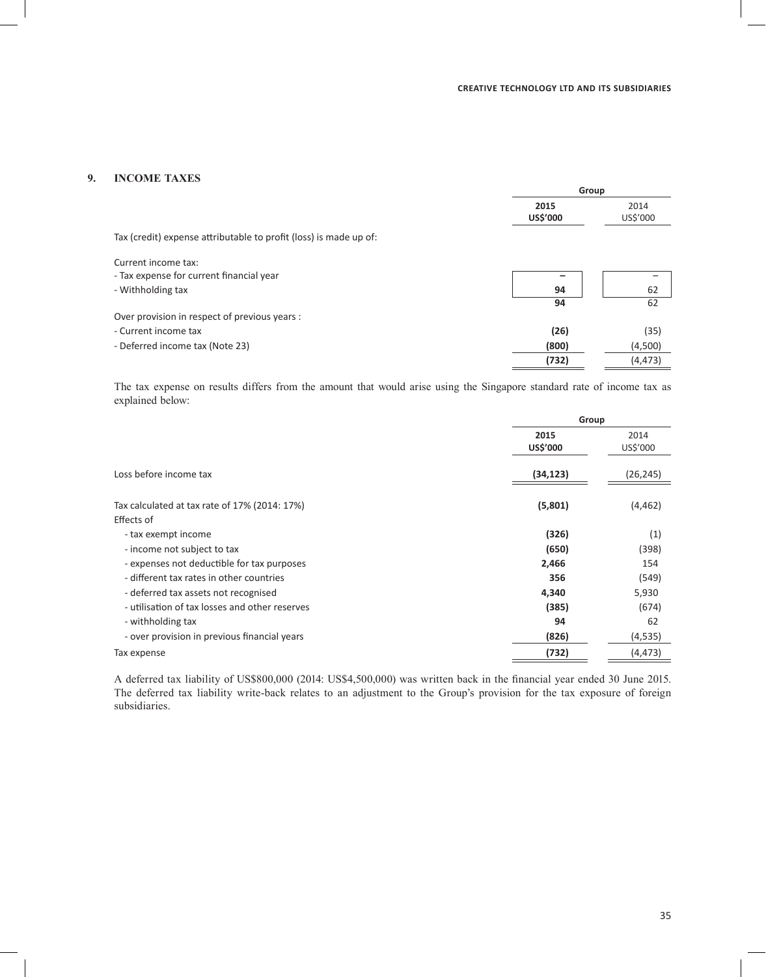# **9. INCOME TAXES**

|                                                                   | Group            |                  |
|-------------------------------------------------------------------|------------------|------------------|
|                                                                   | 2015<br>US\$'000 | 2014<br>US\$'000 |
| Tax (credit) expense attributable to profit (loss) is made up of: |                  |                  |
| Current income tax:                                               |                  |                  |
| - Tax expense for current financial year                          | -                |                  |
| - Withholding tax                                                 | 94               | 62               |
|                                                                   | 94               | 62               |
| Over provision in respect of previous years :                     |                  |                  |
| - Current income tax                                              | (26)             | (35)             |
| - Deferred income tax (Note 23)                                   | (800)            | (4,500)          |
|                                                                   | (732)            | (4, 473)         |
|                                                                   |                  |                  |

The tax expense on results differs from the amount that would arise using the Singapore standard rate of income tax as explained below:

|                                                | Group            |                  |
|------------------------------------------------|------------------|------------------|
|                                                | 2015<br>US\$'000 | 2014<br>US\$'000 |
| Loss before income tax                         | (34, 123)        | (26, 245)        |
| Tax calculated at tax rate of 17% (2014: 17%)  | (5,801)          | (4,462)          |
| Effects of                                     |                  |                  |
| - tax exempt income                            | (326)            | (1)              |
| - income not subject to tax                    | (650)            | (398)            |
| - expenses not deductible for tax purposes     | 2,466            | 154              |
| - different tax rates in other countries       | 356              | (549)            |
| - deferred tax assets not recognised           | 4,340            | 5,930            |
| - utilisation of tax losses and other reserves | (385)            | (674)            |
| - withholding tax                              | 94               | 62               |
| - over provision in previous financial years   | (826)            | (4,535)          |
| Tax expense                                    | (732)            | (4,473)          |
|                                                |                  |                  |

A deferred tax liability of US\$800,000 (2014: US\$4,500,000) was written back in the financial year ended 30 June 2015. The deferred tax liability write-back relates to an adjustment to the Group's provision for the tax exposure of foreign subsidiaries.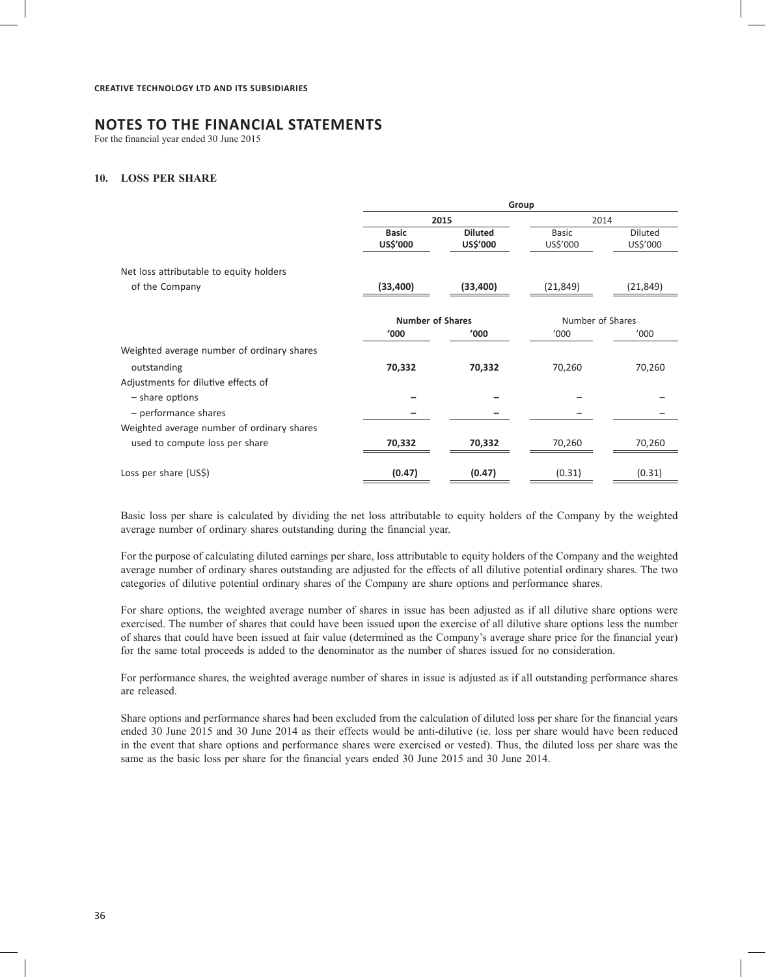For the financial year ended 30 June 2015

#### **10. LOSS PER SHARE**

|                                            | Group                   |                |                  |                |
|--------------------------------------------|-------------------------|----------------|------------------|----------------|
|                                            |                         | 2015           | 2014             |                |
|                                            | <b>Basic</b>            | <b>Diluted</b> | Basic            | <b>Diluted</b> |
|                                            | US\$'000                | US\$'000       | US\$'000         | US\$'000       |
| Net loss attributable to equity holders    |                         |                |                  |                |
| of the Company                             | (33, 400)               | (33, 400)      | (21, 849)        | (21,849)       |
|                                            | <b>Number of Shares</b> |                | Number of Shares |                |
|                                            | '000                    | '000           | '000             | '000           |
| Weighted average number of ordinary shares |                         |                |                  |                |
| outstanding                                | 70,332                  | 70,332         | 70,260           | 70,260         |
| Adjustments for dilutive effects of        |                         |                |                  |                |
| $-$ share options                          |                         |                |                  |                |
| - performance shares                       |                         |                |                  |                |
| Weighted average number of ordinary shares |                         |                |                  |                |
| used to compute loss per share             | 70,332                  | 70,332         | 70,260           | 70,260         |
| Loss per share (US\$)                      | (0.47)                  | (0.47)         | (0.31)           | (0.31)         |
|                                            |                         |                |                  |                |

Basic loss per share is calculated by dividing the net loss attributable to equity holders of the Company by the weighted average number of ordinary shares outstanding during the financial year.

For the purpose of calculating diluted earnings per share, loss attributable to equity holders of the Company and the weighted average number of ordinary shares outstanding are adjusted for the effects of all dilutive potential ordinary shares. The two categories of dilutive potential ordinary shares of the Company are share options and performance shares.

For share options, the weighted average number of shares in issue has been adjusted as if all dilutive share options were exercised. The number of shares that could have been issued upon the exercise of all dilutive share options less the number of shares that could have been issued at fair value (determined as the Company's average share price for the financial year) for the same total proceeds is added to the denominator as the number of shares issued for no consideration.

For performance shares, the weighted average number of shares in issue is adjusted as if all outstanding performance shares are released.

Share options and performance shares had been excluded from the calculation of diluted loss per share for the financial years ended 30 June 2015 and 30 June 2014 as their effects would be anti-dilutive (ie. loss per share would have been reduced in the event that share options and performance shares were exercised or vested). Thus, the diluted loss per share was the same as the basic loss per share for the financial years ended 30 June 2015 and 30 June 2014.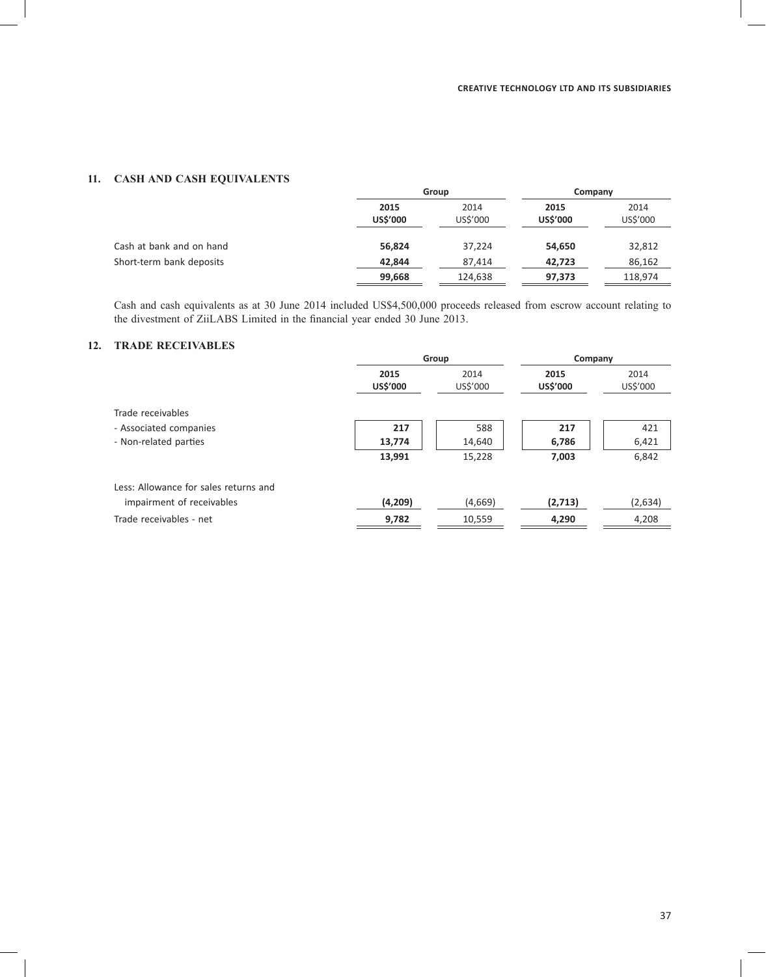# **11. CASH AND CASH EQUIVALENTS**

|                          | Group                   |                  | Company                 |                  |
|--------------------------|-------------------------|------------------|-------------------------|------------------|
|                          | 2015<br><b>US\$'000</b> | 2014<br>US\$'000 | 2015<br><b>US\$'000</b> | 2014<br>US\$'000 |
| Cash at bank and on hand | 56,824                  | 37,224           | 54,650                  | 32,812           |
| Short-term bank deposits | 42.844                  | 87,414           | 42,723                  | 86,162           |
|                          | 99,668                  | 124,638          | 97,373                  | 118.974          |

Cash and cash equivalents as at 30 June 2014 included US\$4,500,000 proceeds released from escrow account relating to the divestment of ZiiLABS Limited in the financial year ended 30 June 2013.

# **12. TRADE RECEIVABLES**

| Group                   |                  | Company                 |                  |
|-------------------------|------------------|-------------------------|------------------|
| 2015<br><b>US\$'000</b> | 2014<br>US\$'000 | 2015<br><b>US\$'000</b> | 2014<br>US\$'000 |
|                         |                  |                         |                  |
| 217                     | 588              | 217                     | 421              |
| 13,774                  | 14,640           | 6,786                   | 6,421            |
| 13,991                  | 15,228           | 7,003                   | 6,842            |
|                         |                  |                         |                  |
| (4,209)                 | (4,669)          | (2,713)                 | (2,634)          |
| 9,782                   | 10,559           | 4,290                   | 4,208            |
|                         |                  |                         |                  |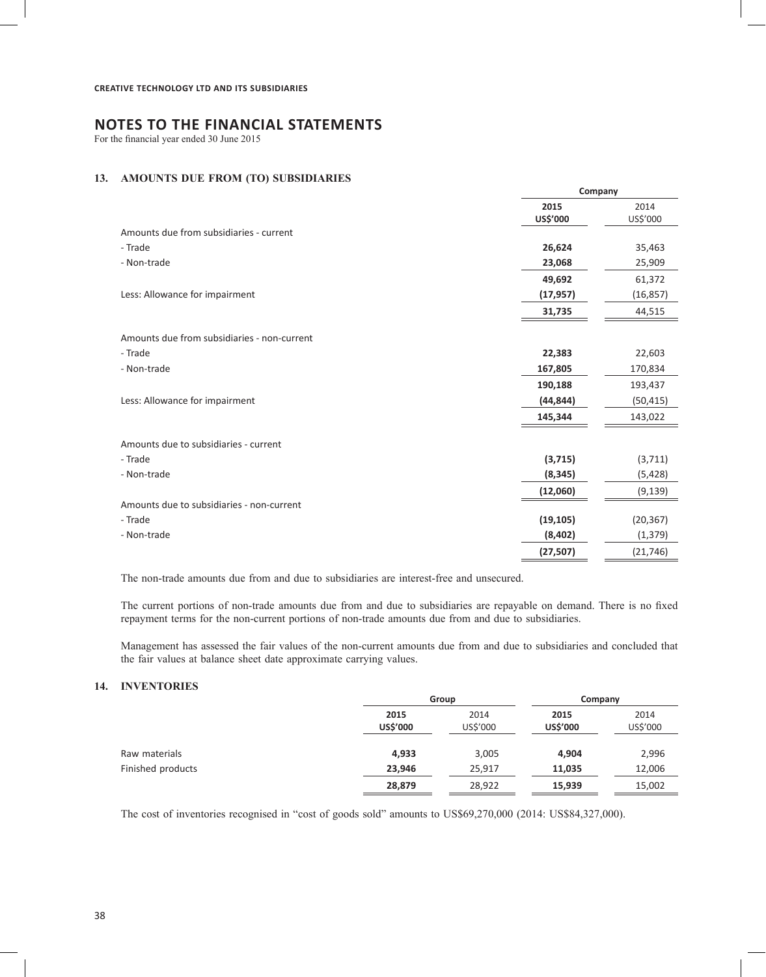For the financial year ended 30 June 2015

# **13. AMOUNTS DUE FROM (TO) SUBSIDIARIES**

|                                             | 2015<br>US\$'000 | 2014<br>US\$'000 |
|---------------------------------------------|------------------|------------------|
| Amounts due from subsidiaries - current     |                  |                  |
| - Trade                                     | 26,624           | 35,463           |
| - Non-trade                                 | 23,068           | 25,909           |
|                                             | 49,692           | 61,372           |
| Less: Allowance for impairment              | (17, 957)        | (16, 857)        |
|                                             | 31,735           | 44,515           |
| Amounts due from subsidiaries - non-current |                  |                  |
| - Trade                                     | 22,383           | 22,603           |
| - Non-trade                                 | 167,805          | 170,834          |
|                                             | 190,188          | 193,437          |
| Less: Allowance for impairment              | (44, 844)        | (50, 415)        |
|                                             | 145,344          | 143,022          |
| Amounts due to subsidiaries - current       |                  |                  |
| - Trade                                     | (3, 715)         | (3,711)          |
| - Non-trade                                 | (8, 345)         | (5, 428)         |
|                                             | (12,060)         | (9, 139)         |
| Amounts due to subsidiaries - non-current   |                  |                  |
| - Trade                                     | (19, 105)        | (20, 367)        |
| - Non-trade                                 | (8, 402)         | (1, 379)         |
|                                             | (27, 507)        | (21, 746)        |
|                                             |                  |                  |

**Company**

The non-trade amounts due from and due to subsidiaries are interest-free and unsecured.

The current portions of non-trade amounts due from and due to subsidiaries are repayable on demand. There is no fixed repayment terms for the non-current portions of non-trade amounts due from and due to subsidiaries.

Management has assessed the fair values of the non-current amounts due from and due to subsidiaries and concluded that the fair values at balance sheet date approximate carrying values.

# **14. INVENTORIES**

|                   |                         | Group            |                         | Company          |
|-------------------|-------------------------|------------------|-------------------------|------------------|
|                   | 2015<br><b>US\$'000</b> | 2014<br>US\$'000 | 2015<br><b>US\$'000</b> | 2014<br>US\$'000 |
| Raw materials     | 4,933                   | 3,005            | 4,904                   | 2,996            |
| Finished products | 23,946                  | 25,917           | 11,035                  | 12,006           |
|                   | 28,879                  | 28,922           | 15,939                  | 15,002           |

The cost of inventories recognised in "cost of goods sold" amounts to US\$69,270,000 (2014: US\$84,327,000).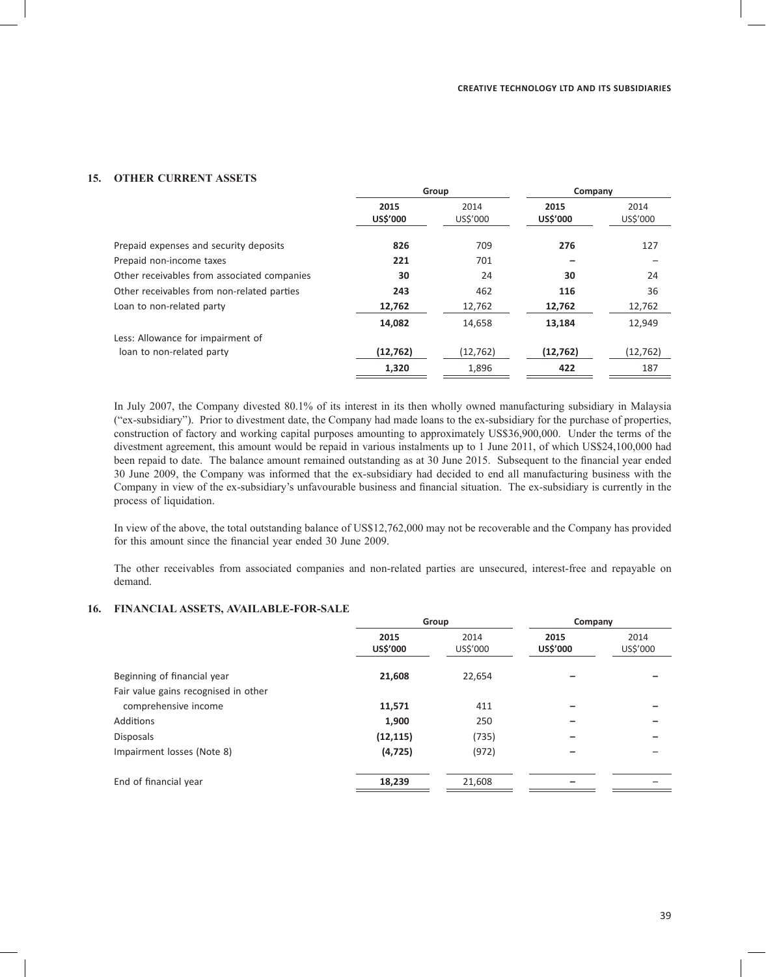### **15. OTHER CURRENT ASSETS**

|                                             | Group            |                  | Company                 |                  |
|---------------------------------------------|------------------|------------------|-------------------------|------------------|
|                                             | 2015<br>US\$'000 | 2014<br>US\$'000 | 2015<br><b>US\$'000</b> | 2014<br>US\$'000 |
| Prepaid expenses and security deposits      | 826              | 709              | 276                     | 127              |
| Prepaid non-income taxes                    | 221              | 701              |                         |                  |
| Other receivables from associated companies | 30               | 24               | 30                      | 24               |
| Other receivables from non-related parties  | 243              | 462              | 116                     | 36               |
| Loan to non-related party                   | 12,762           | 12,762           | 12,762                  | 12,762           |
|                                             | 14,082           | 14,658           | 13,184                  | 12,949           |
| Less: Allowance for impairment of           |                  |                  |                         |                  |
| loan to non-related party                   | (12, 762)        | (12, 762)        | (12, 762)               | (12, 762)        |
|                                             | 1,320            | 1,896            | 422                     | 187              |

In July 2007, the Company divested 80.1% of its interest in its then wholly owned manufacturing subsidiary in Malaysia ("ex-subsidiary"). Prior to divestment date, the Company had made loans to the ex-subsidiary for the purchase of properties, construction of factory and working capital purposes amounting to approximately US\$36,900,000. Under the terms of the divestment agreement, this amount would be repaid in various instalments up to 1 June 2011, of which US\$24,100,000 had been repaid to date. The balance amount remained outstanding as at 30 June 2015. Subsequent to the financial year ended 30 June 2009, the Company was informed that the ex-subsidiary had decided to end all manufacturing business with the Company in view of the ex-subsidiary's unfavourable business and financial situation. The ex-subsidiary is currently in the process of liquidation.

In view of the above, the total outstanding balance of US\$12,762,000 may not be recoverable and the Company has provided for this amount since the financial year ended 30 June 2009.

The other receivables from associated companies and non-related parties are unsecured, interest-free and repayable on demand.

### **16. FINANCIAL ASSETS, AVAILABLE-FOR-SALE**

|                                      | Group            |                  | Company                 |                  |
|--------------------------------------|------------------|------------------|-------------------------|------------------|
|                                      | 2015<br>US\$'000 | 2014<br>US\$'000 | 2015<br><b>US\$'000</b> | 2014<br>US\$'000 |
| Beginning of financial year          | 21,608           | 22,654           |                         |                  |
| Fair value gains recognised in other |                  |                  |                         |                  |
| comprehensive income                 | 11,571           | 411              |                         |                  |
| Additions                            | 1,900            | 250              |                         |                  |
| <b>Disposals</b>                     | (12, 115)        | (735)            |                         |                  |
| Impairment losses (Note 8)           | (4, 725)         | (972)            |                         |                  |
| End of financial year                | 18,239           | 21,608           |                         |                  |
|                                      |                  |                  |                         |                  |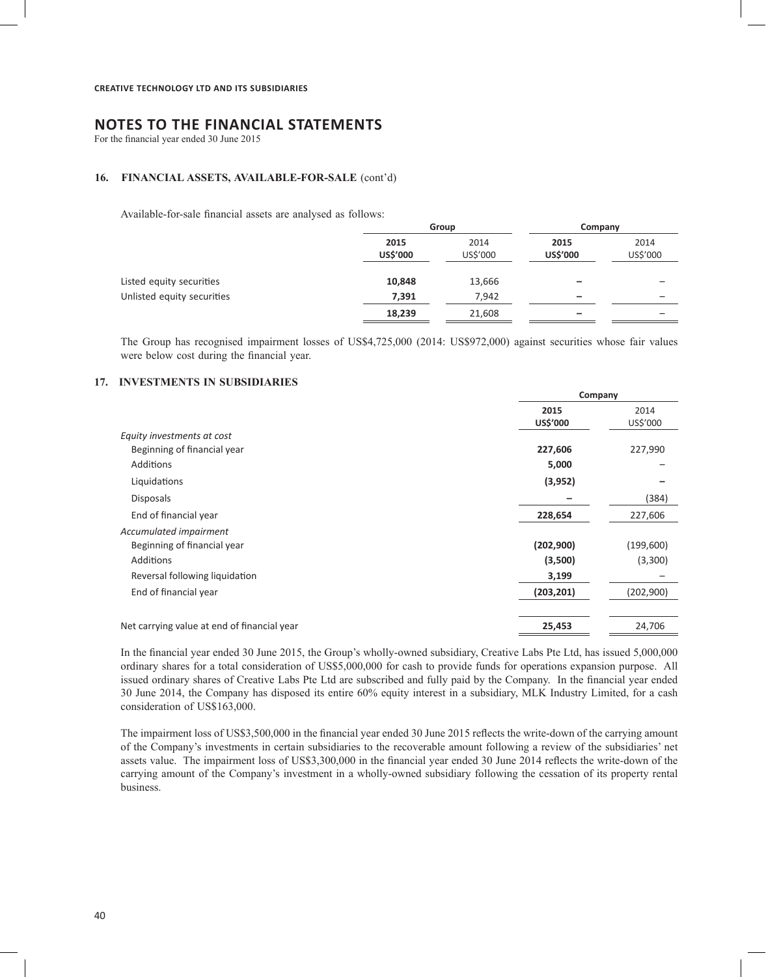For the financial year ended 30 June 2015

#### **16. FINANCIAL ASSETS, AVAILABLE-FOR-SALE** (cont'd)

Available-for-sale financial assets are analysed as follows:

|                            | Group            |                  | Company          |                  |
|----------------------------|------------------|------------------|------------------|------------------|
|                            | 2015<br>US\$'000 | 2014<br>US\$'000 | 2015<br>US\$'000 | 2014<br>US\$'000 |
| Listed equity securities   | 10,848           | 13,666           | -                |                  |
| Unlisted equity securities | 7,391            | 7,942            | -                | -                |
|                            | 18,239           | 21,608           | -                | -                |

The Group has recognised impairment losses of US\$4,725,000 (2014: US\$972,000) against securities whose fair values were below cost during the financial year.

**Company**

# **17. INVESTMENTS IN SUBSIDIARIES**

|                                             | Company          |                  |
|---------------------------------------------|------------------|------------------|
|                                             | 2015<br>US\$'000 | 2014<br>US\$'000 |
| Equity investments at cost                  |                  |                  |
| Beginning of financial year                 | 227,606          | 227,990          |
| Additions                                   | 5,000            |                  |
| Liquidations                                | (3, 952)         |                  |
| <b>Disposals</b>                            |                  | (384)            |
| End of financial year                       | 228,654          | 227,606          |
| Accumulated impairment                      |                  |                  |
| Beginning of financial year                 | (202,900)        | (199,600)        |
| <b>Additions</b>                            | (3,500)          | (3,300)          |
| Reversal following liquidation              | 3,199            |                  |
| End of financial year                       | (203, 201)       | (202,900)        |
| Net carrying value at end of financial year | 25,453           | 24,706           |

In the financial year ended 30 June 2015, the Group's wholly-owned subsidiary, Creative Labs Pte Ltd, has issued 5,000,000 ordinary shares for a total consideration of US\$5,000,000 for cash to provide funds for operations expansion purpose. All issued ordinary shares of Creative Labs Pte Ltd are subscribed and fully paid by the Company. In the financial year ended 30 June 2014, the Company has disposed its entire 60% equity interest in a subsidiary, MLK Industry Limited, for a cash consideration of US\$163,000.

The impairment loss of US\$3,500,000 in the financial year ended 30 June 2015 reflects the write-down of the carrying amount of the Company's investments in certain subsidiaries to the recoverable amount following a review of the subsidiaries' net assets value. The impairment loss of US\$3,300,000 in the financial year ended 30 June 2014 reflects the write-down of the carrying amount of the Company's investment in a wholly-owned subsidiary following the cessation of its property rental business.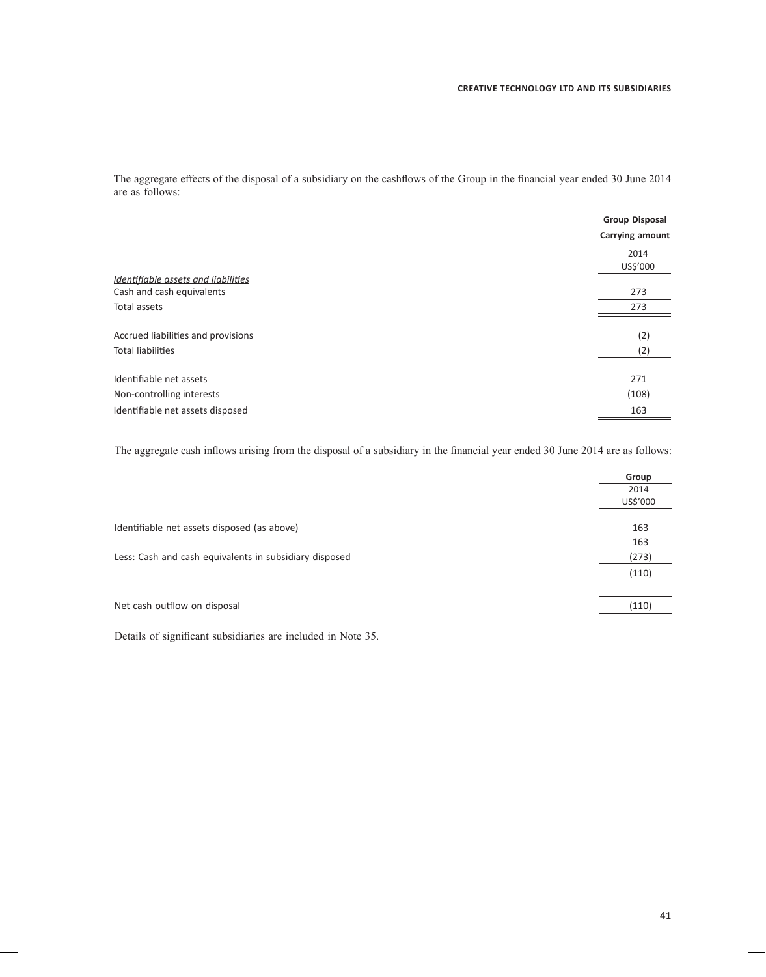The aggregate effects of the disposal of a subsidiary on the cashflows of the Group in the financial year ended 30 June 2014 are as follows:

|                                     | <b>Group Disposal</b> |
|-------------------------------------|-----------------------|
|                                     | Carrying amount       |
|                                     | 2014                  |
|                                     | US\$'000              |
| Identifiable assets and liabilities |                       |
| Cash and cash equivalents           | 273                   |
| Total assets                        | 273                   |
| Accrued liabilities and provisions  | (2)                   |
| <b>Total liabilities</b>            | (2)                   |
| Identifiable net assets             | 271                   |
|                                     |                       |
| Non-controlling interests           | (108)                 |
| Identifiable net assets disposed    | 163                   |
|                                     |                       |

The aggregate cash inflows arising from the disposal of a subsidiary in the financial year ended 30 June 2014 are as follows:

|                                                        | Group    |
|--------------------------------------------------------|----------|
|                                                        | 2014     |
|                                                        | US\$'000 |
|                                                        |          |
| Identifiable net assets disposed (as above)            | 163      |
|                                                        | 163      |
| Less: Cash and cash equivalents in subsidiary disposed | (273)    |
|                                                        | (110)    |
|                                                        |          |
| Net cash outflow on disposal                           | (110)    |
|                                                        |          |

Details of significant subsidiaries are included in Note 35.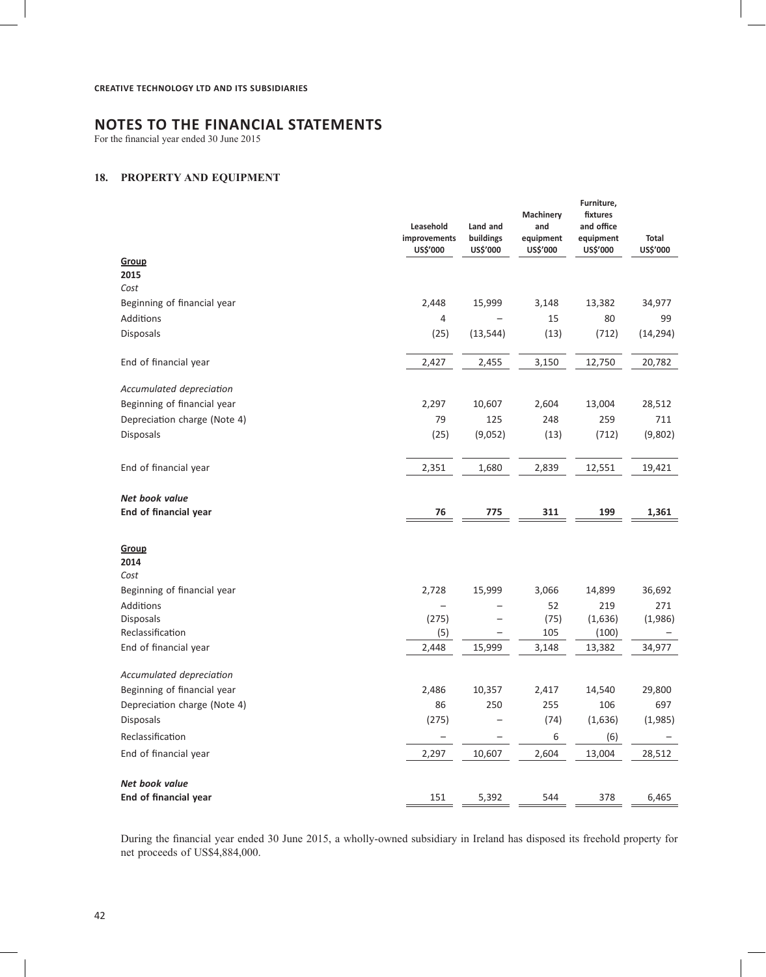For the financial year ended 30 June 2015

# **18. PROPERTY AND EQUIPMENT**

|                              | Leasehold<br>improvements<br>US\$'000 | Land and<br>buildings<br>US\$'000 | Machinery<br>and<br>equipment<br>US\$'000 | Furniture,<br>fixtures<br>and office<br>equipment<br>US\$'000 | Total<br>US\$'000 |
|------------------------------|---------------------------------------|-----------------------------------|-------------------------------------------|---------------------------------------------------------------|-------------------|
| Group                        |                                       |                                   |                                           |                                                               |                   |
| 2015                         |                                       |                                   |                                           |                                                               |                   |
| Cost                         |                                       |                                   |                                           |                                                               |                   |
| Beginning of financial year  | 2,448                                 | 15,999                            | 3,148                                     | 13,382                                                        | 34,977            |
| Additions                    | 4                                     |                                   | 15                                        | 80                                                            | 99                |
| <b>Disposals</b>             | (25)                                  | (13, 544)                         | (13)                                      | (712)                                                         | (14, 294)         |
| End of financial year        | 2,427                                 | 2,455                             | 3,150                                     | 12,750                                                        | 20,782            |
| Accumulated depreciation     |                                       |                                   |                                           |                                                               |                   |
| Beginning of financial year  | 2,297                                 | 10,607                            | 2,604                                     | 13,004                                                        | 28,512            |
| Depreciation charge (Note 4) | 79                                    | 125                               | 248                                       | 259                                                           | 711               |
| <b>Disposals</b>             | (25)                                  | (9,052)                           | (13)                                      | (712)                                                         | (9,802)           |
| End of financial year        | 2,351                                 | 1,680                             | 2,839                                     | 12,551                                                        | 19,421            |
| Net book value               |                                       |                                   |                                           |                                                               |                   |
| End of financial year        | 76                                    | 775                               | 311                                       | 199                                                           | 1,361             |
| Group                        |                                       |                                   |                                           |                                                               |                   |
| 2014                         |                                       |                                   |                                           |                                                               |                   |
| Cost                         |                                       |                                   |                                           |                                                               |                   |
| Beginning of financial year  | 2,728                                 | 15,999                            | 3,066                                     | 14,899                                                        | 36,692            |
| Additions                    | $\overline{\phantom{0}}$              |                                   | 52                                        | 219                                                           | 271               |
| Disposals                    | (275)                                 |                                   | (75)                                      | (1,636)                                                       | (1,986)           |
| Reclassification             | (5)                                   |                                   | 105                                       | (100)                                                         |                   |
| End of financial year        | 2,448                                 | 15,999                            | 3,148                                     | 13,382                                                        | 34,977            |
| Accumulated depreciation     |                                       |                                   |                                           |                                                               |                   |
| Beginning of financial year  | 2,486                                 | 10,357                            | 2,417                                     | 14,540                                                        | 29,800            |
| Depreciation charge (Note 4) | 86                                    | 250                               | 255                                       | 106                                                           | 697               |
| Disposals                    | (275)                                 |                                   | (74)                                      | (1,636)                                                       | (1,985)           |
| Reclassification             |                                       |                                   | 6                                         | (6)                                                           |                   |
| End of financial year        | 2,297                                 | 10,607                            | 2,604                                     | 13,004                                                        | 28,512            |
| Net book value               |                                       |                                   |                                           |                                                               |                   |
| End of financial year        | 151                                   | 5,392                             | 544                                       | 378                                                           | 6,465             |
|                              |                                       |                                   |                                           |                                                               |                   |

During the financial year ended 30 June 2015, a wholly-owned subsidiary in Ireland has disposed its freehold property for net proceeds of US\$4,884,000.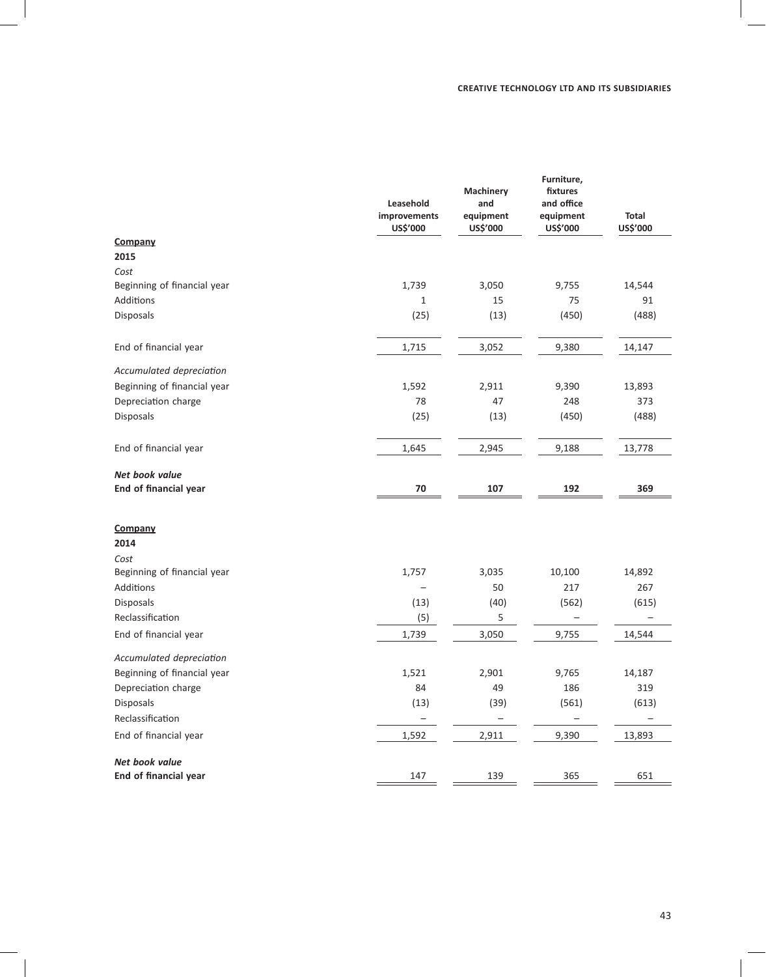|                             | Leasehold<br>improvements<br>US\$'000 | Machinery<br>and<br>equipment<br>US\$'000 | Furniture,<br>fixtures<br>and office<br>equipment<br>US\$'000 | <b>Total</b><br>US\$'000 |
|-----------------------------|---------------------------------------|-------------------------------------------|---------------------------------------------------------------|--------------------------|
| Company                     |                                       |                                           |                                                               |                          |
| 2015                        |                                       |                                           |                                                               |                          |
| Cost                        |                                       |                                           |                                                               |                          |
| Beginning of financial year | 1,739                                 | 3,050                                     | 9,755                                                         | 14,544                   |
| Additions                   | $\mathbf{1}$                          | 15                                        | 75                                                            | 91                       |
| <b>Disposals</b>            | (25)                                  | (13)                                      | (450)                                                         | (488)                    |
| End of financial year       | 1,715                                 | 3,052                                     | 9,380                                                         | 14,147                   |
| Accumulated depreciation    |                                       |                                           |                                                               |                          |
| Beginning of financial year | 1,592                                 | 2,911                                     | 9,390                                                         | 13,893                   |
| Depreciation charge         | 78                                    | 47                                        | 248                                                           | 373                      |
| Disposals                   | (25)                                  | (13)                                      | (450)                                                         | (488)                    |
| End of financial year       | 1,645                                 | 2,945                                     | 9,188                                                         | 13,778                   |
| Net book value              |                                       |                                           |                                                               |                          |
| End of financial year       | 70                                    | 107                                       | 192                                                           | 369                      |
| Company                     |                                       |                                           |                                                               |                          |
| 2014                        |                                       |                                           |                                                               |                          |
| Cost                        |                                       |                                           |                                                               |                          |
| Beginning of financial year | 1,757                                 | 3,035                                     | 10,100                                                        | 14,892                   |
| Additions                   |                                       | 50                                        | 217                                                           | 267                      |
| <b>Disposals</b>            | (13)                                  | (40)                                      | (562)                                                         | (615)                    |
| Reclassification            | (5)                                   | 5                                         |                                                               |                          |
| End of financial year       | 1,739                                 | 3,050                                     | 9,755                                                         | 14,544                   |
| Accumulated depreciation    |                                       |                                           |                                                               |                          |
| Beginning of financial year | 1,521                                 | 2,901                                     | 9,765                                                         | 14,187                   |
| Depreciation charge         | 84                                    | 49                                        | 186                                                           | 319                      |
| Disposals                   | (13)                                  | (39)                                      | (561)                                                         | (613)                    |
| Reclassification            |                                       |                                           | $\overline{\phantom{0}}$                                      |                          |
| End of financial year       | 1,592                                 | 2,911                                     | 9,390                                                         | 13,893                   |
| Net book value              |                                       |                                           |                                                               |                          |
| End of financial year       | 147                                   | 139                                       | 365                                                           | 651                      |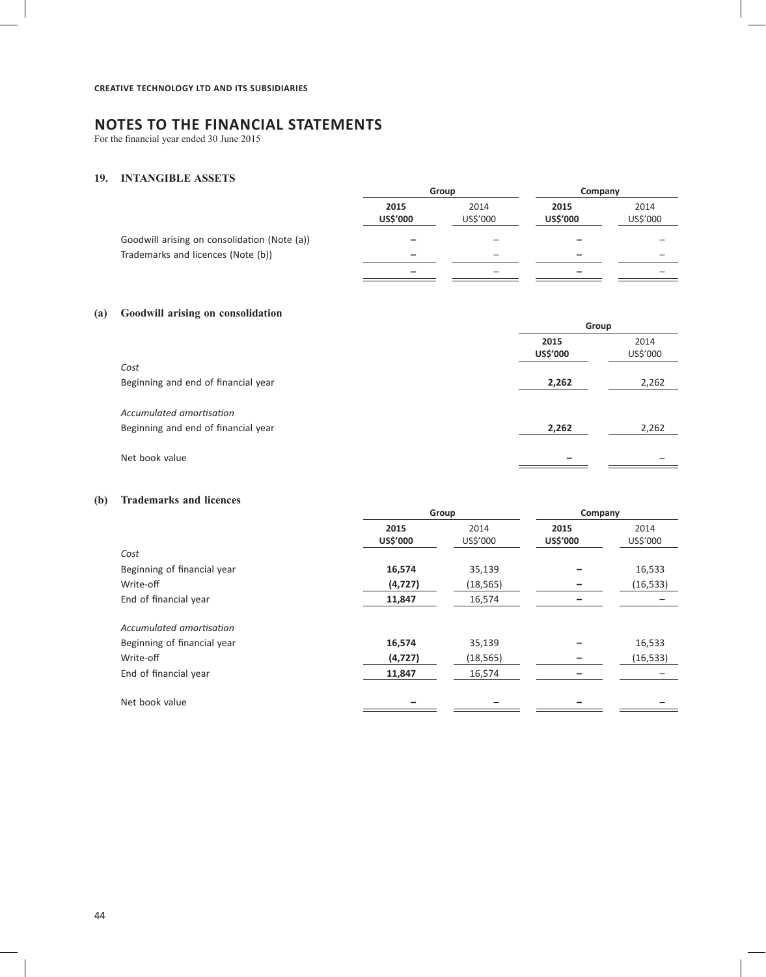For the financial year ended 30 June 2015

# **19. INTANGIBLE ASSETS**

|                                              | Group            |                  |                         | Company          |  |
|----------------------------------------------|------------------|------------------|-------------------------|------------------|--|
|                                              | 2015<br>US\$'000 | 2014<br>US\$'000 | 2015<br><b>US\$'000</b> | 2014<br>US\$'000 |  |
| Goodwill arising on consolidation (Note (a)) |                  |                  |                         |                  |  |
| Trademarks and licences (Note (b))           | -                | -                |                         |                  |  |
|                                              | -                | -                |                         |                  |  |

# **(a) Goodwill arising on consolidation**

|                                     |                  | Group            |  |  |
|-------------------------------------|------------------|------------------|--|--|
|                                     | 2015<br>US\$'000 | 2014<br>US\$'000 |  |  |
| Cost                                |                  |                  |  |  |
| Beginning and end of financial year | 2,262            | 2,262            |  |  |
| Accumulated amortisation            |                  |                  |  |  |
| Beginning and end of financial year | 2,262            | 2,262            |  |  |
| Net book value                      |                  |                  |  |  |

# **(b) Trademarks and licences**

|                  | Group            |                         | Company          |  |  |
|------------------|------------------|-------------------------|------------------|--|--|
| 2015<br>US\$'000 | 2014<br>US\$'000 | 2015<br><b>US\$'000</b> | 2014<br>US\$'000 |  |  |
|                  |                  |                         |                  |  |  |
| 16,574           | 35,139           |                         | 16,533           |  |  |
| (4, 727)         | (18, 565)        |                         | (16, 533)        |  |  |
| 11,847           | 16,574           |                         |                  |  |  |
|                  |                  |                         |                  |  |  |
| 16,574           | 35,139           |                         | 16,533           |  |  |
| (4, 727)         | (18, 565)        |                         | (16, 533)        |  |  |
| 11,847           | 16,574           |                         |                  |  |  |
|                  |                  |                         |                  |  |  |
|                  |                  |                         |                  |  |  |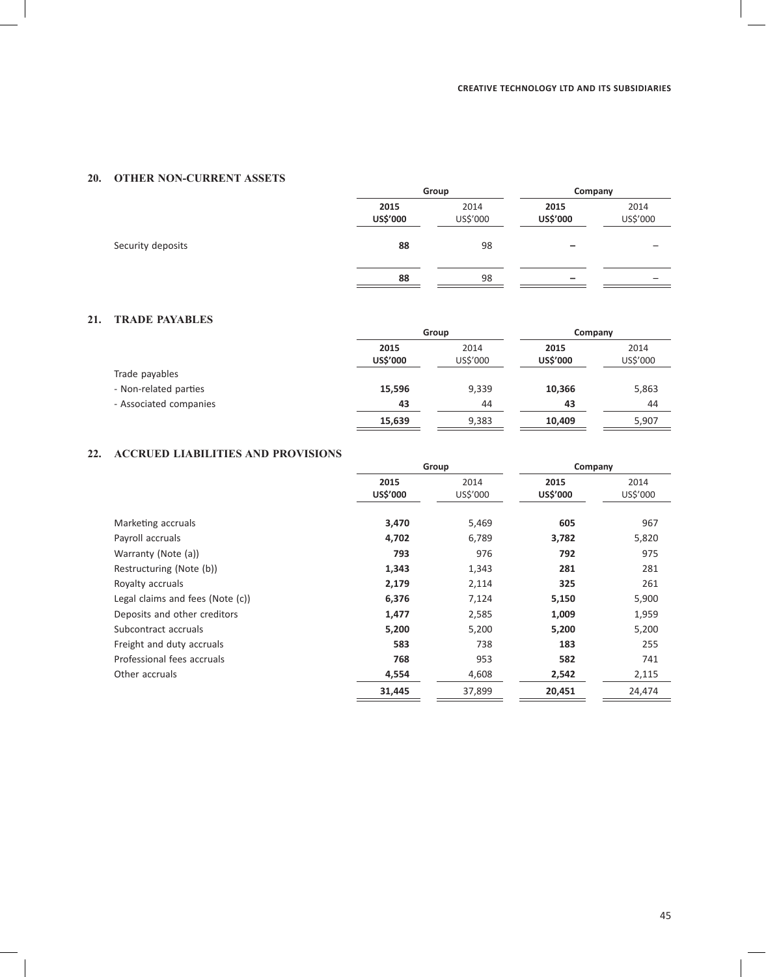# **20. OTHER NON-CURRENT ASSETS**

|                   |                  | Group            | Company          |                  |  |
|-------------------|------------------|------------------|------------------|------------------|--|
|                   | 2015<br>US\$'000 | 2014<br>US\$'000 | 2015<br>US\$'000 | 2014<br>US\$'000 |  |
| Security deposits | 88               | 98               | -                |                  |  |
|                   | 88               | 98               | -                |                  |  |

# **21. TRADE PAYABLES**

|                        |                         | Group            |                         | Company          |  |
|------------------------|-------------------------|------------------|-------------------------|------------------|--|
|                        | 2015<br><b>US\$'000</b> | 2014<br>US\$'000 | 2015<br><b>US\$'000</b> | 2014<br>US\$'000 |  |
| Trade payables         |                         |                  |                         |                  |  |
| - Non-related parties  | 15,596                  | 9,339            | 10,366                  | 5,863            |  |
| - Associated companies | 43                      | 44               | 43                      | 44               |  |
|                        | 15,639                  | 9,383            | 10,409                  | 5,907            |  |

# **22. ACCRUED LIABILITIES AND PROVISIONS**

|                                  | Group            |                  |                  | Company          |  |
|----------------------------------|------------------|------------------|------------------|------------------|--|
|                                  | 2015<br>US\$'000 | 2014<br>US\$'000 | 2015<br>US\$'000 | 2014<br>US\$'000 |  |
| Marketing accruals               | 3,470            | 5,469            | 605              | 967              |  |
| Payroll accruals                 | 4,702            | 6,789            | 3,782            | 5,820            |  |
| Warranty (Note (a))              | 793              | 976              | 792              | 975              |  |
| Restructuring (Note (b))         | 1,343            | 1,343            | 281              | 281              |  |
| Royalty accruals                 | 2,179            | 2,114            | 325              | 261              |  |
| Legal claims and fees (Note (c)) | 6,376            | 7,124            | 5,150            | 5,900            |  |
| Deposits and other creditors     | 1,477            | 2,585            | 1,009            | 1,959            |  |
| Subcontract accruals             | 5,200            | 5,200            | 5,200            | 5,200            |  |
| Freight and duty accruals        | 583              | 738              | 183              | 255              |  |
| Professional fees accruals       | 768              | 953              | 582              | 741              |  |
| Other accruals                   | 4,554            | 4,608            | 2,542            | 2,115            |  |
|                                  | 31,445           | 37,899           | 20,451           | 24,474           |  |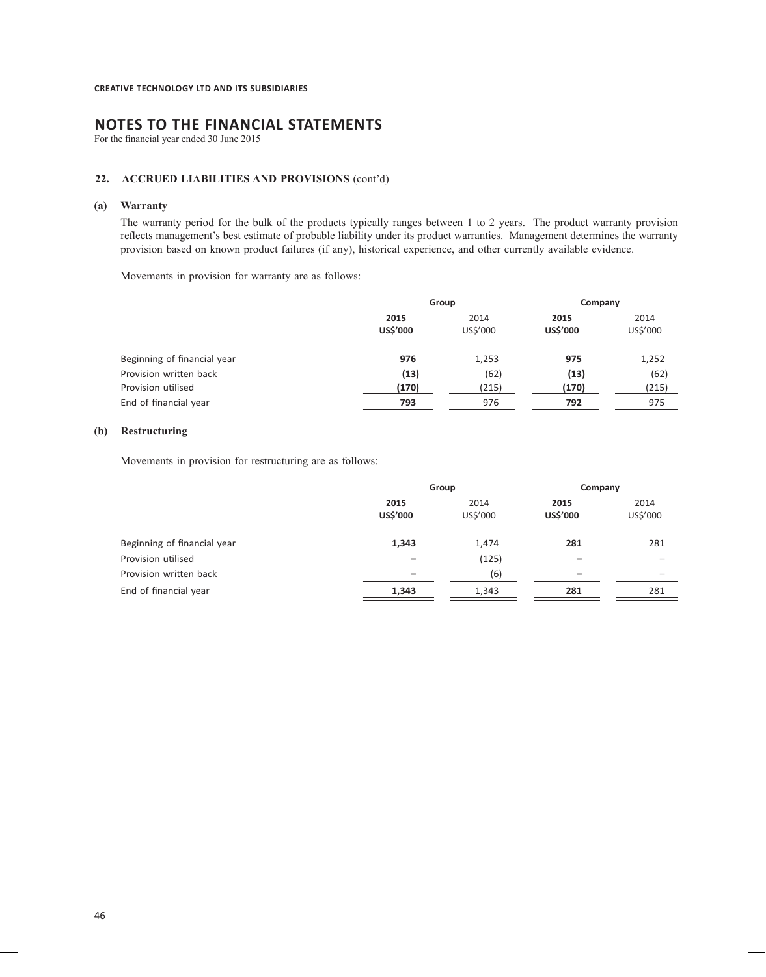For the financial year ended 30 June 2015

# **22. ACCRUED LIABILITIES AND PROVISIONS** (cont'd)

### **(a) Warranty**

The warranty period for the bulk of the products typically ranges between 1 to 2 years. The product warranty provision reflects management's best estimate of probable liability under its product warranties. Management determines the warranty provision based on known product failures (if any), historical experience, and other currently available evidence.

Movements in provision for warranty are as follows:

|                             |                  | Group            |                  | Company          |  |
|-----------------------------|------------------|------------------|------------------|------------------|--|
|                             | 2015<br>US\$'000 | 2014<br>US\$'000 | 2015<br>US\$'000 | 2014<br>US\$'000 |  |
| Beginning of financial year | 976              | 1,253            | 975              | 1,252            |  |
| Provision written back      | (13)             | (62)             | (13)             | (62)             |  |
| Provision utilised          | (170)            | (215)            | (170)            | (215)            |  |
| End of financial year       | 793              | 976              | 792              | 975              |  |
|                             |                  |                  |                  |                  |  |

# **(b) Restructuring**

Movements in provision for restructuring are as follows:

|                             | Group            |                  | Company          |                  |
|-----------------------------|------------------|------------------|------------------|------------------|
|                             | 2015<br>US\$'000 | 2014<br>US\$'000 | 2015<br>US\$'000 | 2014<br>US\$'000 |
| Beginning of financial year | 1,343            | 1,474            | 281              | 281              |
| Provision utilised          |                  | (125)            |                  |                  |
| Provision written back      | -                | (6)              | -                | -                |
| End of financial year       | 1,343            | 1,343            | 281              | 281              |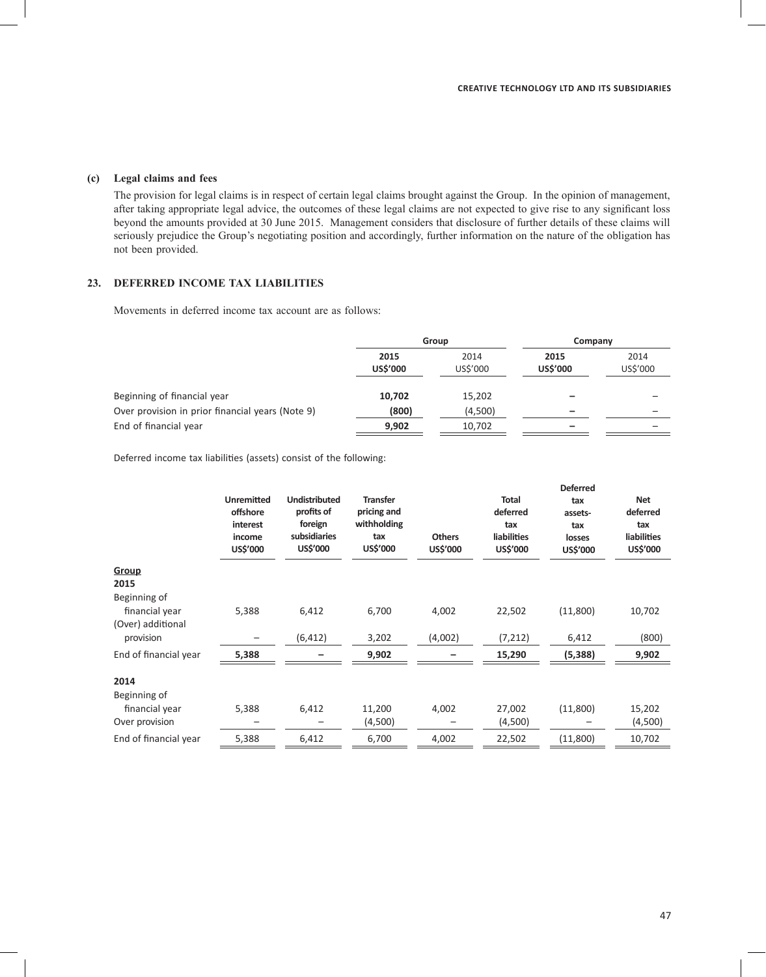# **(c) Legal claims and fees**

The provision for legal claims is in respect of certain legal claims brought against the Group. In the opinion of management, after taking appropriate legal advice, the outcomes of these legal claims are not expected to give rise to any significant loss beyond the amounts provided at 30 June 2015. Management considers that disclosure of further details of these claims will seriously prejudice the Group's negotiating position and accordingly, further information on the nature of the obligation has not been provided.

# **23. DEFERRED INCOME TAX LIABILITIES**

Movements in deferred income tax account are as follows:

|                                                  | Group                   |                  | Company                 |                  |
|--------------------------------------------------|-------------------------|------------------|-------------------------|------------------|
|                                                  | 2015<br><b>US\$'000</b> | 2014<br>US\$'000 | 2015<br><b>US\$'000</b> | 2014<br>US\$'000 |
| Beginning of financial year                      | 10,702                  | 15,202           |                         |                  |
| Over provision in prior financial years (Note 9) | (800)                   | (4,500)          | -                       |                  |
| End of financial year                            | 9,902                   | 10,702           | -                       |                  |

Deferred income tax liabilities (assets) consist of the following:

|                                                     | <b>Unremitted</b><br>offshore<br>interest<br>income<br>US\$'000 | <b>Undistributed</b><br>profits of<br>foreign<br>subsidiaries<br><b>US\$'000</b> | <b>Transfer</b><br>pricing and<br>withholding<br>tax<br>US\$'000 | <b>Others</b><br>US\$'000 | <b>Total</b><br>deferred<br>tax<br><b>liabilities</b><br>US\$'000 | <b>Deferred</b><br>tax<br>assets-<br>tax<br>losses<br>US\$'000 | <b>Net</b><br>deferred<br>tax<br><b>liabilities</b><br>US\$'000 |
|-----------------------------------------------------|-----------------------------------------------------------------|----------------------------------------------------------------------------------|------------------------------------------------------------------|---------------------------|-------------------------------------------------------------------|----------------------------------------------------------------|-----------------------------------------------------------------|
| Group                                               |                                                                 |                                                                                  |                                                                  |                           |                                                                   |                                                                |                                                                 |
| 2015                                                |                                                                 |                                                                                  |                                                                  |                           |                                                                   |                                                                |                                                                 |
| Beginning of<br>financial year<br>(Over) additional | 5,388                                                           | 6,412                                                                            | 6,700                                                            | 4,002                     | 22,502                                                            | (11,800)                                                       | 10,702                                                          |
| provision                                           |                                                                 | (6, 412)                                                                         | 3,202                                                            | (4,002)                   | (7, 212)                                                          | 6,412                                                          | (800)                                                           |
| End of financial year                               | 5,388                                                           |                                                                                  | 9,902                                                            |                           | 15,290                                                            | (5,388)                                                        | 9,902                                                           |
| 2014                                                |                                                                 |                                                                                  |                                                                  |                           |                                                                   |                                                                |                                                                 |
| Beginning of                                        |                                                                 |                                                                                  |                                                                  |                           |                                                                   |                                                                |                                                                 |
| financial year                                      | 5,388                                                           | 6,412                                                                            | 11,200                                                           | 4,002                     | 27,002                                                            | (11,800)                                                       | 15,202                                                          |
| Over provision                                      |                                                                 |                                                                                  | (4,500)                                                          |                           | (4,500)                                                           |                                                                | (4,500)                                                         |
| End of financial year                               | 5,388                                                           | 6,412                                                                            | 6,700                                                            | 4,002                     | 22,502                                                            | (11,800)                                                       | 10,702                                                          |
|                                                     |                                                                 |                                                                                  |                                                                  |                           |                                                                   |                                                                |                                                                 |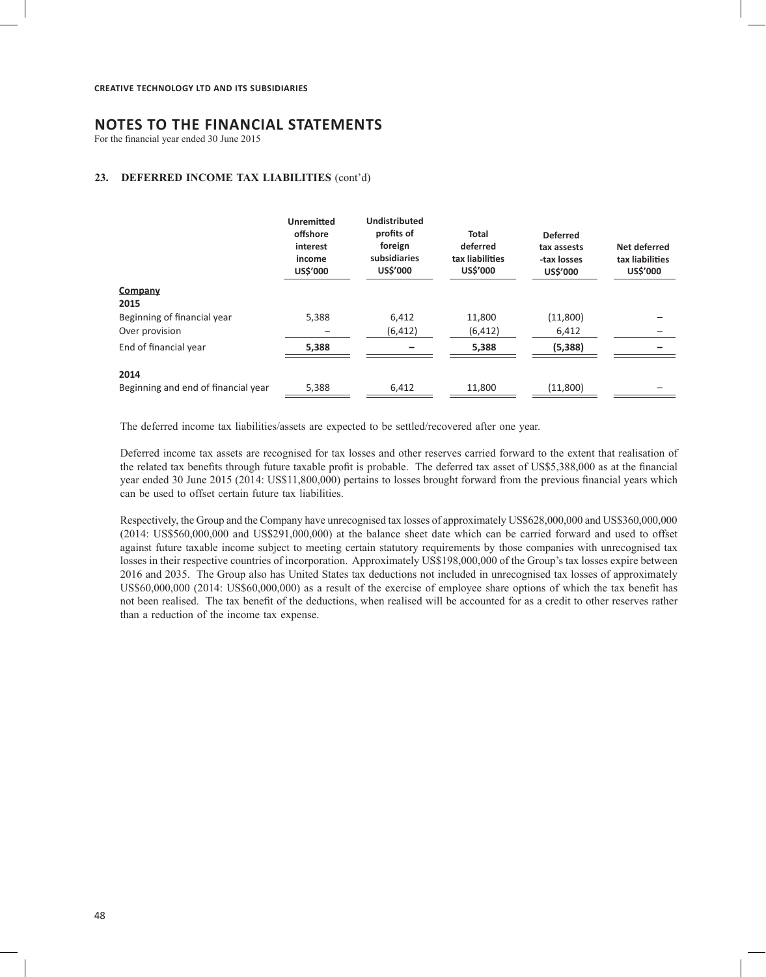For the financial year ended 30 June 2015

#### **23. DEFERRED INCOME TAX LIABILITIES** (cont'd)

|                                     | <b>Unremitted</b><br>offshore<br>interest<br>income<br>US\$'000 | <b>Undistributed</b><br>profits of<br>foreign<br>subsidiaries<br><b>US\$'000</b> | <b>Total</b><br>deferred<br>tax liabilities<br>US\$'000 | <b>Deferred</b><br>tax assests<br>-tax losses<br>US\$'000 | Net deferred<br>tax liabilities<br>US\$'000 |
|-------------------------------------|-----------------------------------------------------------------|----------------------------------------------------------------------------------|---------------------------------------------------------|-----------------------------------------------------------|---------------------------------------------|
| Company                             |                                                                 |                                                                                  |                                                         |                                                           |                                             |
| 2015                                |                                                                 |                                                                                  |                                                         |                                                           |                                             |
| Beginning of financial year         | 5,388                                                           | 6,412                                                                            | 11,800                                                  | (11,800)                                                  |                                             |
| Over provision                      |                                                                 | (6, 412)                                                                         | (6, 412)                                                | 6,412                                                     |                                             |
| End of financial year               | 5,388                                                           |                                                                                  | 5,388                                                   | (5, 388)                                                  |                                             |
| 2014                                |                                                                 |                                                                                  |                                                         |                                                           |                                             |
| Beginning and end of financial year | 5,388                                                           | 6,412                                                                            | 11,800                                                  | (11,800)                                                  |                                             |

The deferred income tax liabilities/assets are expected to be settled/recovered after one year.

Deferred income tax assets are recognised for tax losses and other reserves carried forward to the extent that realisation of the related tax benefits through future taxable profit is probable. The deferred tax asset of US\$5,388,000 as at the financial year ended 30 June 2015 (2014: US\$11,800,000) pertains to losses brought forward from the previous financial years which can be used to offset certain future tax liabilities.

Respectively, the Group and the Company have unrecognised tax losses of approximately US\$628,000,000 and US\$360,000,000 (2014: US\$560,000,000 and US\$291,000,000) at the balance sheet date which can be carried forward and used to offset against future taxable income subject to meeting certain statutory requirements by those companies with unrecognised tax losses in their respective countries of incorporation. Approximately US\$198,000,000 of the Group's tax losses expire between 2016 and 2035. The Group also has United States tax deductions not included in unrecognised tax losses of approximately US\$60,000,000 (2014: US\$60,000,000) as a result of the exercise of employee share options of which the tax benefit has not been realised. The tax benefit of the deductions, when realised will be accounted for as a credit to other reserves rather than a reduction of the income tax expense.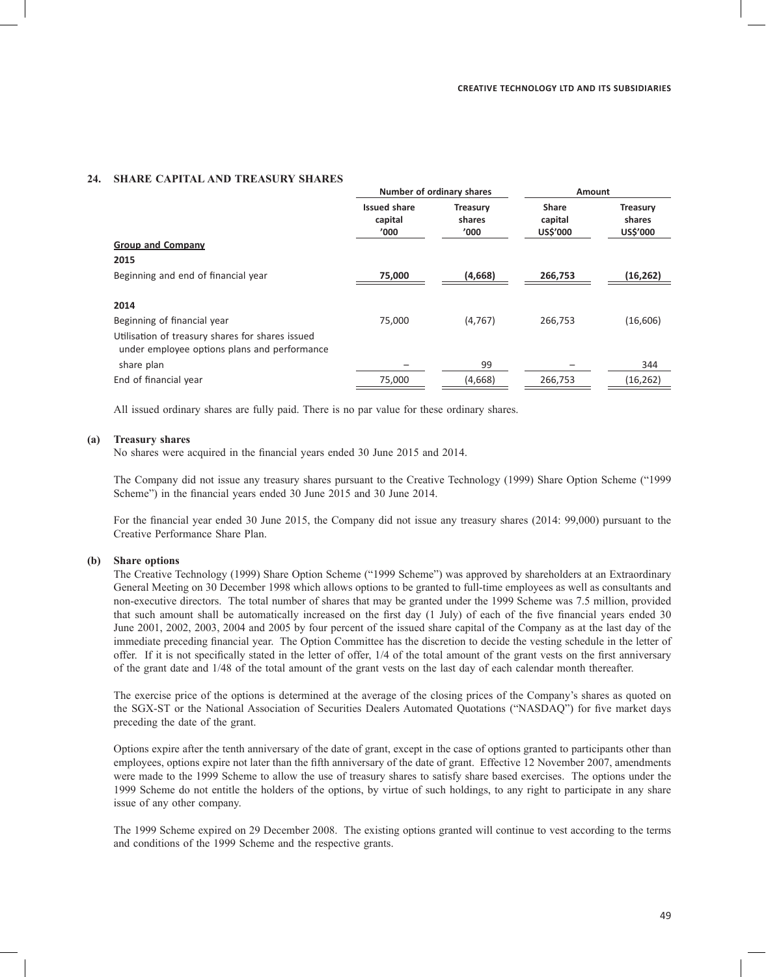**Number of ordinary shares Amount**

#### **24. SHARE CAPITAL AND TREASURY SHARES**

|                                                                                                  | <b>NUMBER OF ORDER PROPERTY</b>        |                                   | <b>AUTOMIL</b>                      |                                       |  |
|--------------------------------------------------------------------------------------------------|----------------------------------------|-----------------------------------|-------------------------------------|---------------------------------------|--|
|                                                                                                  | <b>Issued share</b><br>capital<br>'000 | <b>Treasury</b><br>shares<br>'000 | <b>Share</b><br>capital<br>US\$'000 | <b>Treasury</b><br>shares<br>US\$'000 |  |
| <b>Group and Company</b>                                                                         |                                        |                                   |                                     |                                       |  |
| 2015                                                                                             |                                        |                                   |                                     |                                       |  |
| Beginning and end of financial year                                                              | 75,000                                 | (4,668)                           | 266,753                             | (16, 262)                             |  |
| 2014                                                                                             |                                        |                                   |                                     |                                       |  |
| Beginning of financial year                                                                      | 75,000                                 | (4, 767)                          | 266,753                             | (16,606)                              |  |
| Utilisation of treasury shares for shares issued<br>under employee options plans and performance |                                        |                                   |                                     |                                       |  |
| share plan                                                                                       |                                        | 99                                |                                     | 344                                   |  |
| End of financial year                                                                            | 75,000                                 | (4,668)                           | 266,753                             | (16, 262)                             |  |
|                                                                                                  |                                        |                                   |                                     |                                       |  |

All issued ordinary shares are fully paid. There is no par value for these ordinary shares.

### **(a) Treasury shares**

No shares were acquired in the financial years ended 30 June 2015 and 2014.

The Company did not issue any treasury shares pursuant to the Creative Technology (1999) Share Option Scheme ("1999 Scheme") in the financial years ended 30 June 2015 and 30 June 2014.

For the financial year ended 30 June 2015, the Company did not issue any treasury shares (2014: 99,000) pursuant to the Creative Performance Share Plan.

#### **(b) Share options**

The Creative Technology (1999) Share Option Scheme ("1999 Scheme") was approved by shareholders at an Extraordinary General Meeting on 30 December 1998 which allows options to be granted to full-time employees as well as consultants and non-executive directors. The total number of shares that may be granted under the 1999 Scheme was 7.5 million, provided that such amount shall be automatically increased on the first day (1 July) of each of the five financial years ended 30 June 2001, 2002, 2003, 2004 and 2005 by four percent of the issued share capital of the Company as at the last day of the immediate preceding financial year. The Option Committee has the discretion to decide the vesting schedule in the letter of offer. If it is not specifically stated in the letter of offer, 1/4 of the total amount of the grant vests on the first anniversary of the grant date and 1/48 of the total amount of the grant vests on the last day of each calendar month thereafter.

The exercise price of the options is determined at the average of the closing prices of the Company's shares as quoted on the SGX-ST or the National Association of Securities Dealers Automated Quotations ("NASDAQ") for five market days preceding the date of the grant.

Options expire after the tenth anniversary of the date of grant, except in the case of options granted to participants other than employees, options expire not later than the fifth anniversary of the date of grant. Effective 12 November 2007, amendments were made to the 1999 Scheme to allow the use of treasury shares to satisfy share based exercises. The options under the 1999 Scheme do not entitle the holders of the options, by virtue of such holdings, to any right to participate in any share issue of any other company.

The 1999 Scheme expired on 29 December 2008. The existing options granted will continue to vest according to the terms and conditions of the 1999 Scheme and the respective grants.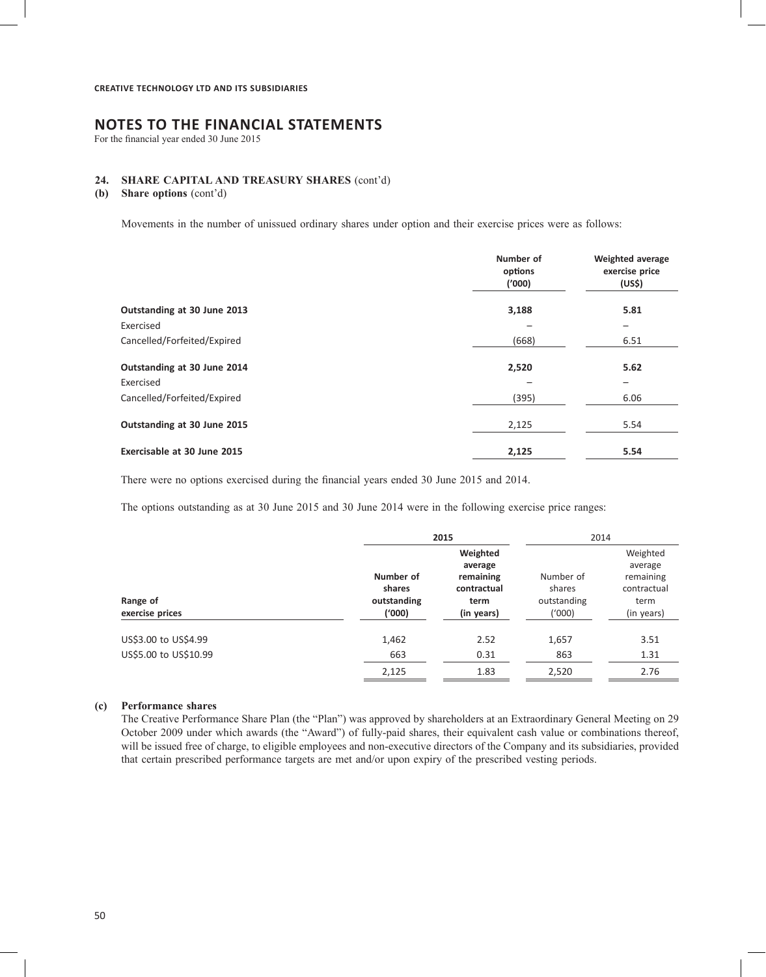# **NOTES TO THE FINANCIAL STATEMENTS**

For the financial year ended 30 June 2015

# **24. SHARE CAPITAL AND TREASURY SHARES** (cont'd)

**(b) Share options** (cont'd)

Movements in the number of unissued ordinary shares under option and their exercise prices were as follows:

|                             | Number of<br>options<br>('000) | <b>Weighted average</b><br>exercise price<br>(US\$) |
|-----------------------------|--------------------------------|-----------------------------------------------------|
| Outstanding at 30 June 2013 | 3,188                          | 5.81                                                |
| Exercised                   |                                | -                                                   |
| Cancelled/Forfeited/Expired | (668)                          | 6.51                                                |
| Outstanding at 30 June 2014 | 2,520                          | 5.62                                                |
| Exercised                   |                                |                                                     |
| Cancelled/Forfeited/Expired | (395)                          | 6.06                                                |
| Outstanding at 30 June 2015 | 2,125                          | 5.54                                                |
| Exercisable at 30 June 2015 | 2,125                          | 5.54                                                |

There were no options exercised during the financial years ended 30 June 2015 and 2014.

The options outstanding as at 30 June 2015 and 30 June 2014 were in the following exercise price ranges:

|                                               |                                              | 2015                                                                  |                                              | 2014                                                                  |  |
|-----------------------------------------------|----------------------------------------------|-----------------------------------------------------------------------|----------------------------------------------|-----------------------------------------------------------------------|--|
| Range of<br>exercise prices                   | Number of<br>shares<br>outstanding<br>('000) | Weighted<br>average<br>remaining<br>contractual<br>term<br>(in years) | Number of<br>shares<br>outstanding<br>('000) | Weighted<br>average<br>remaining<br>contractual<br>term<br>(in years) |  |
| US\$3.00 to US\$4.99<br>US\$5.00 to US\$10.99 | 1,462<br>663                                 | 2.52<br>0.31                                                          | 1,657<br>863                                 | 3.51<br>1.31                                                          |  |
|                                               | 2,125                                        | 1.83                                                                  | 2,520                                        | 2.76                                                                  |  |

#### **(c) Performance shares**

The Creative Performance Share Plan (the "Plan") was approved by shareholders at an Extraordinary General Meeting on 29 October 2009 under which awards (the "Award") of fully-paid shares, their equivalent cash value or combinations thereof, will be issued free of charge, to eligible employees and non-executive directors of the Company and its subsidiaries, provided that certain prescribed performance targets are met and/or upon expiry of the prescribed vesting periods.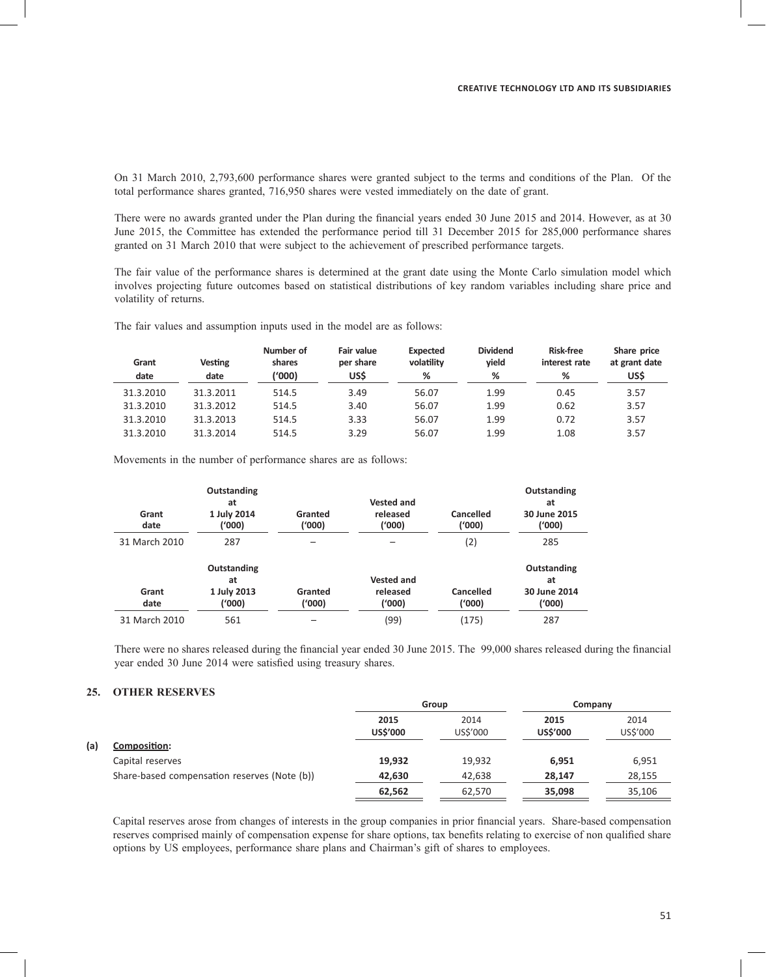On 31 March 2010, 2,793,600 performance shares were granted subject to the terms and conditions of the Plan. Of the total performance shares granted, 716,950 shares were vested immediately on the date of grant.

There were no awards granted under the Plan during the financial years ended 30 June 2015 and 2014. However, as at 30 June 2015, the Committee has extended the performance period till 31 December 2015 for 285,000 performance shares granted on 31 March 2010 that were subject to the achievement of prescribed performance targets.

The fair value of the performance shares is determined at the grant date using the Monte Carlo simulation model which involves projecting future outcomes based on statistical distributions of key random variables including share price and volatility of returns.

The fair values and assumption inputs used in the model are as follows:

| Grant<br>date | <b>Vesting</b><br>date | Number of<br>shares<br>('000) | Fair value<br>per share<br>US\$ | <b>Expected</b><br>volatility<br>% | <b>Dividend</b><br>vield<br>% | <b>Risk-free</b><br>interest rate<br>% | Share price<br>at grant date<br>US\$ |
|---------------|------------------------|-------------------------------|---------------------------------|------------------------------------|-------------------------------|----------------------------------------|--------------------------------------|
| 31.3.2010     | 31.3.2011              | 514.5                         | 3.49                            | 56.07                              | 1.99                          | 0.45                                   | 3.57                                 |
| 31.3.2010     | 31.3.2012              | 514.5                         | 3.40                            | 56.07                              | 1.99                          | 0.62                                   | 3.57                                 |
| 31.3.2010     | 31.3.2013              | 514.5                         | 3.33                            | 56.07                              | 1.99                          | 0.72                                   | 3.57                                 |
| 31.3.2010     | 31.3.2014              | 514.5                         | 3.29                            | 56.07                              | 1.99                          | 1.08                                   | 3.57                                 |

Movements in the number of performance shares are as follows:

| Grant<br>date | Outstanding<br>at<br>1 July 2014<br>('000) | Granted<br>(000) | <b>Vested and</b><br>released<br>('000) | Cancelled<br>('000) | Outstanding<br>at<br>30 June 2015<br>(000) |
|---------------|--------------------------------------------|------------------|-----------------------------------------|---------------------|--------------------------------------------|
| 31 March 2010 | 287                                        |                  |                                         | (2)                 | 285                                        |
| Grant<br>date | Outstanding<br>at<br>1 July 2013<br>(1000) | Granted<br>(000) | <b>Vested and</b><br>released<br>(1000) | Cancelled<br>(1000) | Outstanding<br>at<br>30 June 2014<br>(000) |
| 31 March 2010 | 561                                        |                  | (99)                                    | (175)               | 287                                        |

There were no shares released during the financial year ended 30 June 2015. The 99,000 shares released during the financial year ended 30 June 2014 were satisfied using treasury shares.

## **25. OTHER RESERVES**

|     |                                              |                         | Group            |                         | Company          |  |
|-----|----------------------------------------------|-------------------------|------------------|-------------------------|------------------|--|
|     |                                              | 2015<br><b>US\$'000</b> | 2014<br>US\$'000 | 2015<br><b>US\$'000</b> | 2014<br>US\$'000 |  |
| (a) | <u>Composition:</u>                          |                         |                  |                         |                  |  |
|     | Capital reserves                             | 19,932                  | 19,932           | 6.951                   | 6,951            |  |
|     | Share-based compensation reserves (Note (b)) | 42,630                  | 42,638           | 28.147                  | 28,155           |  |
|     |                                              | 62,562                  | 62,570           | 35,098                  | 35,106           |  |

Capital reserves arose from changes of interests in the group companies in prior financial years. Share-based compensation reserves comprised mainly of compensation expense for share options, tax benefits relating to exercise of non qualified share options by US employees, performance share plans and Chairman's gift of shares to employees.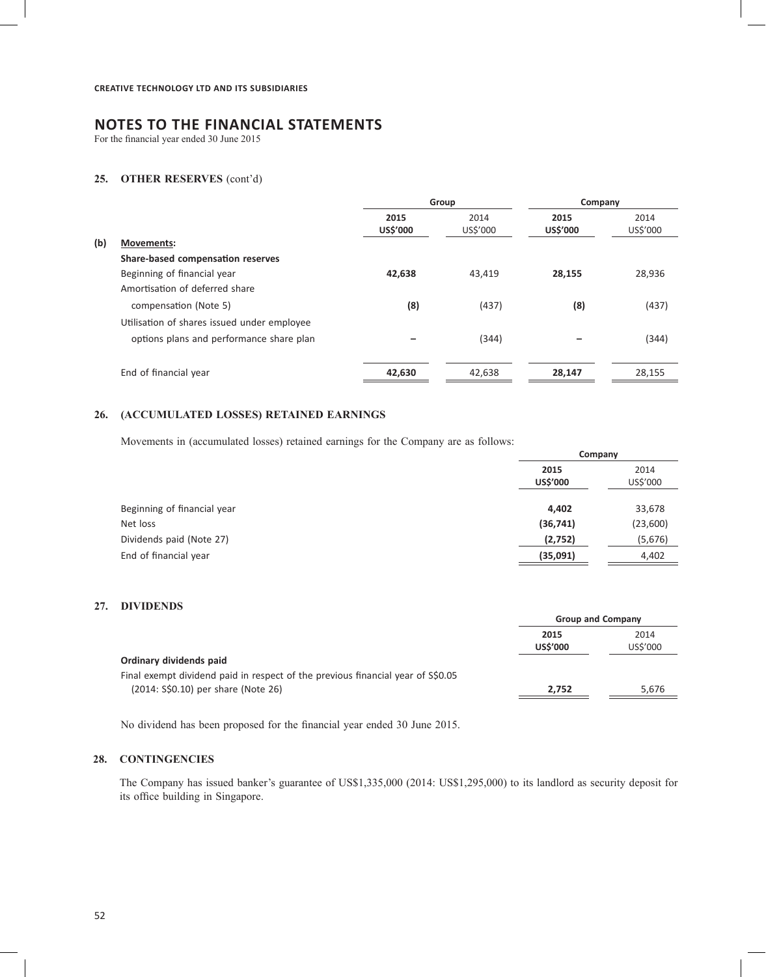For the financial year ended 30 June 2015

# **25. OTHER RESERVES** (cont'd)

|     |                                             | Group            |                  | Company          |                  |
|-----|---------------------------------------------|------------------|------------------|------------------|------------------|
|     |                                             | 2015<br>US\$'000 | 2014<br>US\$'000 | 2015<br>US\$'000 | 2014<br>US\$'000 |
| (b) | <b>Movements:</b>                           |                  |                  |                  |                  |
|     | Share-based compensation reserves           |                  |                  |                  |                  |
|     | Beginning of financial year                 | 42,638           | 43,419           | 28,155           | 28,936           |
|     | Amortisation of deferred share              |                  |                  |                  |                  |
|     | compensation (Note 5)                       | (8)              | (437)            | (8)              | (437)            |
|     | Utilisation of shares issued under employee |                  |                  |                  |                  |
|     | options plans and performance share plan    |                  | (344)            |                  | (344)            |
|     | End of financial year                       | 42,630           | 42,638           | 28,147           | 28,155           |
|     |                                             |                  |                  |                  |                  |

# **26. (ACCUMULATED LOSSES) RETAINED EARNINGS**

Movements in (accumulated losses) retained earnings for the Company are as follows:

|                             | Company          |                  |
|-----------------------------|------------------|------------------|
|                             | 2015<br>US\$'000 | 2014<br>US\$'000 |
| Beginning of financial year | 4,402            | 33,678           |
| Net loss                    | (36, 741)        | (23,600)         |
| Dividends paid (Note 27)    | (2,752)          | (5,676)          |
| End of financial year       | (35,091)         | 4,402            |
|                             |                  |                  |

# **27. DIVIDENDS**

|                                                                                  | <b>Group and Company</b> |                  |
|----------------------------------------------------------------------------------|--------------------------|------------------|
|                                                                                  | 2015<br><b>US\$'000</b>  | 2014<br>US\$'000 |
| Ordinary dividends paid                                                          |                          |                  |
| Final exempt dividend paid in respect of the previous financial year of \$\$0.05 |                          |                  |
| (2014: S\$0.10) per share (Note 26)                                              | 2.752                    | 5.676            |
|                                                                                  |                          |                  |

No dividend has been proposed for the financial year ended 30 June 2015.

# **28. CONTINGENCIES**

The Company has issued banker's guarantee of US\$1,335,000 (2014: US\$1,295,000) to its landlord as security deposit for its office building in Singapore.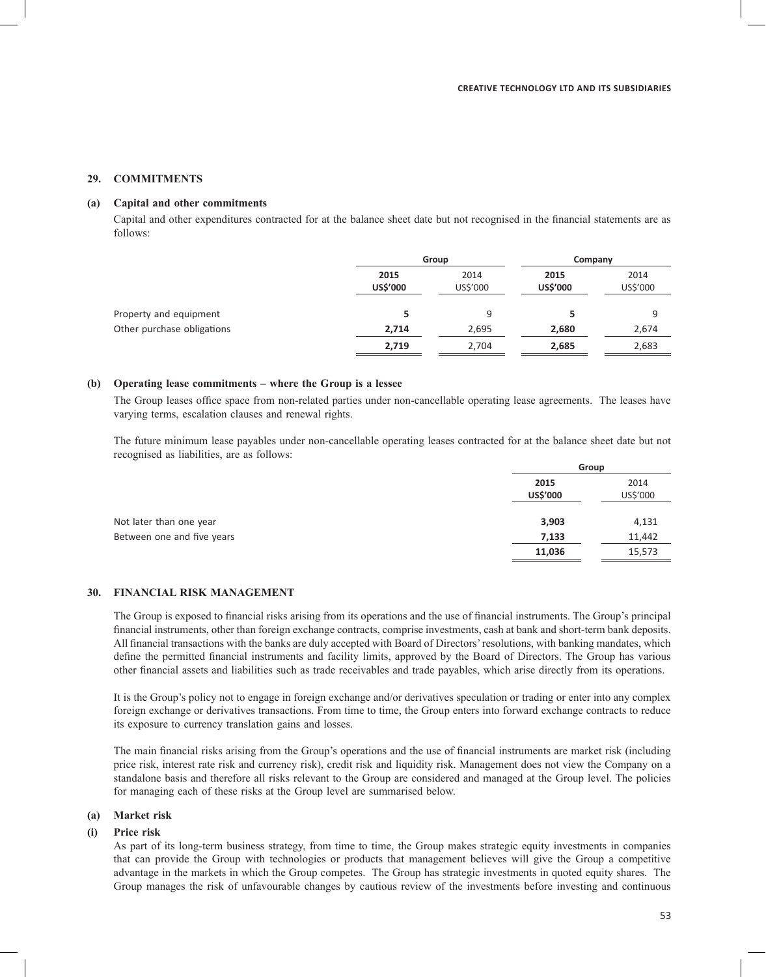#### **29. COMMITMENTS**

### **(a) Capital and other commitments**

Capital and other expenditures contracted for at the balance sheet date but not recognised in the financial statements are as follows:

|                            |                  | Group            |                         | Company          |  |
|----------------------------|------------------|------------------|-------------------------|------------------|--|
|                            | 2015<br>US\$'000 | 2014<br>US\$'000 | 2015<br><b>US\$'000</b> | 2014<br>US\$'000 |  |
| Property and equipment     |                  | 9                |                         | q                |  |
| Other purchase obligations | 2,714            | 2,695            | 2,680                   | 2,674            |  |
|                            | 2,719            | 2,704            | 2,685                   | 2,683            |  |

#### **(b) Operating lease commitments – where the Group is a lessee**

The Group leases office space from non-related parties under non-cancellable operating lease agreements. The leases have varying terms, escalation clauses and renewal rights.

The future minimum lease payables under non-cancellable operating leases contracted for at the balance sheet date but not recognised as liabilities, are as follows:

|                            | Group            |                  |
|----------------------------|------------------|------------------|
|                            | 2015<br>US\$'000 | 2014<br>US\$'000 |
| Not later than one year    | 3,903            | 4,131            |
| Between one and five years | 7,133            | 11,442           |
|                            | 11,036           | 15,573           |
|                            |                  |                  |

#### **30. FINANCIAL RISK MANAGEMENT**

The Group is exposed to financial risks arising from its operations and the use of financial instruments. The Group's principal financial instruments, other than foreign exchange contracts, comprise investments, cash at bank and short-term bank deposits. All financial transactions with the banks are duly accepted with Board of Directors' resolutions, with banking mandates, which define the permitted financial instruments and facility limits, approved by the Board of Directors. The Group has various other financial assets and liabilities such as trade receivables and trade payables, which arise directly from its operations.

It is the Group's policy not to engage in foreign exchange and/or derivatives speculation or trading or enter into any complex foreign exchange or derivatives transactions. From time to time, the Group enters into forward exchange contracts to reduce its exposure to currency translation gains and losses.

The main financial risks arising from the Group's operations and the use of financial instruments are market risk (including price risk, interest rate risk and currency risk), credit risk and liquidity risk. Management does not view the Company on a standalone basis and therefore all risks relevant to the Group are considered and managed at the Group level. The policies for managing each of these risks at the Group level are summarised below.

# **(a) Market risk**

#### **(i) Price risk**

As part of its long-term business strategy, from time to time, the Group makes strategic equity investments in companies that can provide the Group with technologies or products that management believes will give the Group a competitive advantage in the markets in which the Group competes. The Group has strategic investments in quoted equity shares. The Group manages the risk of unfavourable changes by cautious review of the investments before investing and continuous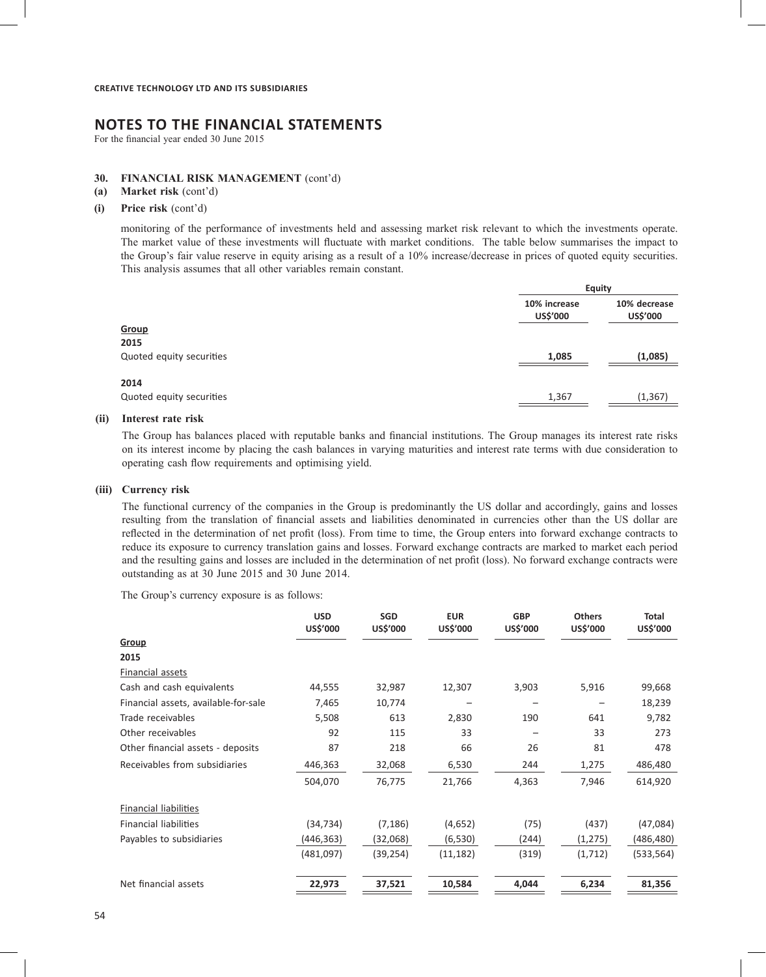For the financial year ended 30 June 2015

#### **30. FINANCIAL RISK MANAGEMENT** (cont'd)

- **(a) Market risk** (cont'd)
- **(i) Price risk** (cont'd)

monitoring of the performance of investments held and assessing market risk relevant to which the investments operate. The market value of these investments will fluctuate with market conditions. The table below summarises the impact to the Group's fair value reserve in equity arising as a result of a 10% increase/decrease in prices of quoted equity securities. This analysis assumes that all other variables remain constant.

|                          |                          | <b>Equity</b>            |  |  |
|--------------------------|--------------------------|--------------------------|--|--|
|                          | 10% increase<br>US\$'000 | 10% decrease<br>US\$'000 |  |  |
| <b>Group</b>             |                          |                          |  |  |
| 2015                     |                          |                          |  |  |
| Quoted equity securities | 1,085                    | (1,085)                  |  |  |
| 2014                     |                          |                          |  |  |
| Quoted equity securities | 1,367                    | (1, 367)                 |  |  |

#### **(ii) Interest rate risk**

The Group has balances placed with reputable banks and financial institutions. The Group manages its interest rate risks on its interest income by placing the cash balances in varying maturities and interest rate terms with due consideration to operating cash flow requirements and optimising yield.

#### **(iii) Currency risk**

The functional currency of the companies in the Group is predominantly the US dollar and accordingly, gains and losses resulting from the translation of financial assets and liabilities denominated in currencies other than the US dollar are reflected in the determination of net profit (loss). From time to time, the Group enters into forward exchange contracts to reduce its exposure to currency translation gains and losses. Forward exchange contracts are marked to market each period and the resulting gains and losses are included in the determination of net profit (loss). No forward exchange contracts were outstanding as at 30 June 2015 and 30 June 2014. **Collar** are

The Group's currency exposure is as follows:

|                                      | <b>USD</b><br>US\$'000 | SGD<br>US\$'000 | <b>EUR</b><br>US\$'000 | <b>GBP</b><br>US\$'000 | <b>Others</b><br>US\$'000 | <b>Total</b><br>US\$'000 |
|--------------------------------------|------------------------|-----------------|------------------------|------------------------|---------------------------|--------------------------|
| Group                                |                        |                 |                        |                        |                           |                          |
| 2015                                 |                        |                 |                        |                        |                           |                          |
| Financial assets                     |                        |                 |                        |                        |                           |                          |
| Cash and cash equivalents            | 44,555                 | 32,987          | 12,307                 | 3,903                  | 5,916                     | 99,668                   |
| Financial assets, available-for-sale | 7,465                  | 10,774          |                        |                        | $\overline{\phantom{a}}$  | 18,239                   |
| Trade receivables                    | 5,508                  | 613             | 2,830                  | 190                    | 641                       | 9,782                    |
| Other receivables                    | 92                     | 115             | 33                     |                        | 33                        | 273                      |
| Other financial assets - deposits    | 87                     | 218             | 66                     | 26                     | 81                        | 478                      |
| Receivables from subsidiaries        | 446,363                | 32,068          | 6,530                  | 244                    | 1,275                     | 486,480                  |
|                                      | 504,070                | 76,775          | 21,766                 | 4,363                  | 7,946                     | 614,920                  |
|                                      |                        |                 |                        |                        |                           |                          |
| <b>Financial liabilities</b>         |                        |                 |                        |                        |                           |                          |
| Financial liabilities                | (34, 734)              | (7, 186)        | (4,652)                | (75)                   | (437)                     | (47,084)                 |
| Payables to subsidiaries             | (446, 363)             | (32,068)        | (6, 530)               | (244)                  | (1, 275)                  | (486, 480)               |
|                                      | (481,097)              | (39, 254)       | (11, 182)              | (319)                  | (1,712)                   | (533, 564)               |
| Net financial assets                 | 22,973                 | 37,521          | 10,584                 | 4,044                  | 6,234                     | 81,356                   |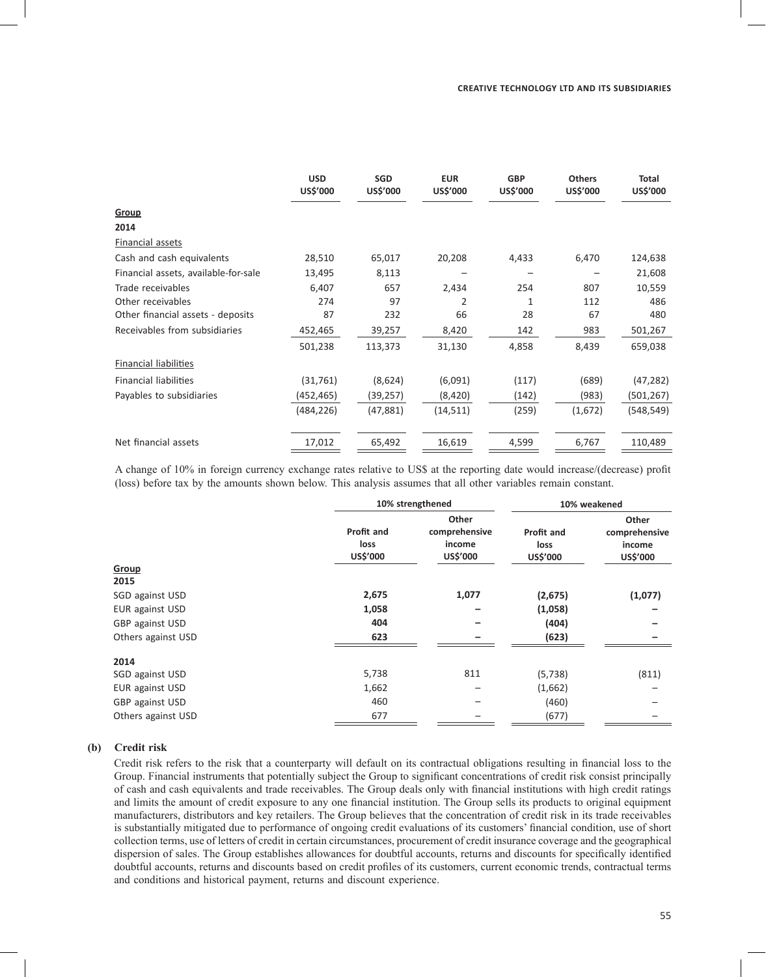|                                      | <b>USD</b><br>US\$'000 | <b>SGD</b><br>US\$'000 | <b>EUR</b><br>US\$'000 | <b>GBP</b><br>US\$'000 | <b>Others</b><br>US\$'000 | <b>Total</b><br>US\$'000 |
|--------------------------------------|------------------------|------------------------|------------------------|------------------------|---------------------------|--------------------------|
| Group                                |                        |                        |                        |                        |                           |                          |
| 2014                                 |                        |                        |                        |                        |                           |                          |
| Financial assets                     |                        |                        |                        |                        |                           |                          |
| Cash and cash equivalents            | 28,510                 | 65,017                 | 20,208                 | 4,433                  | 6,470                     | 124,638                  |
| Financial assets, available-for-sale | 13,495                 | 8,113                  |                        |                        |                           | 21,608                   |
| Trade receivables                    | 6,407                  | 657                    | 2,434                  | 254                    | 807                       | 10,559                   |
| Other receivables                    | 274                    | 97                     | $\overline{2}$         | 1                      | 112                       | 486                      |
| Other financial assets - deposits    | 87                     | 232                    | 66                     | 28                     | 67                        | 480                      |
| Receivables from subsidiaries        | 452,465                | 39,257                 | 8,420                  | 142                    | 983                       | 501,267                  |
|                                      | 501,238                | 113,373                | 31,130                 | 4,858                  | 8,439                     | 659,038                  |
| <b>Financial liabilities</b>         |                        |                        |                        |                        |                           |                          |
| <b>Financial liabilities</b>         | (31,761)               | (8,624)                | (6,091)                | (117)                  | (689)                     | (47, 282)                |
| Payables to subsidiaries             | (452,465)              | (39, 257)              | (8,420)                | (142)                  | (983)                     | (501,267)                |
|                                      | (484,226)              | (47, 881)              | (14, 511)              | (259)                  | (1,672)                   | (548, 549)               |
| Net financial assets                 | 17,012                 | 65,492                 | 16,619                 | 4,599                  | 6,767                     | 110,489                  |

A change of 10% in foreign currency exchange rates relative to US\$ at the reporting date would increase/(decrease) profit (loss) before tax by the amounts shown below. This analysis assumes that all other variables remain constant.

|                    |                                | 10% strengthened                             |                                | 10% weakened                                 |  |  |
|--------------------|--------------------------------|----------------------------------------------|--------------------------------|----------------------------------------------|--|--|
|                    | Profit and<br>loss<br>US\$'000 | Other<br>comprehensive<br>income<br>US\$'000 | Profit and<br>loss<br>US\$'000 | Other<br>comprehensive<br>income<br>US\$'000 |  |  |
| Group<br>2015      |                                |                                              |                                |                                              |  |  |
| SGD against USD    | 2,675                          | 1,077                                        | (2,675)                        | (1,077)                                      |  |  |
| EUR against USD    | 1,058                          | $\overline{\phantom{0}}$                     | (1,058)                        |                                              |  |  |
| GBP against USD    | 404                            |                                              | (404)                          |                                              |  |  |
| Others against USD | 623                            |                                              | (623)                          |                                              |  |  |
| 2014               |                                |                                              |                                |                                              |  |  |
| SGD against USD    | 5,738                          | 811                                          | (5, 738)                       | (811)                                        |  |  |
| EUR against USD    | 1,662                          |                                              | (1,662)                        |                                              |  |  |
| GBP against USD    | 460                            | -                                            | (460)                          |                                              |  |  |
| Others against USD | 677                            |                                              | (677)                          |                                              |  |  |
|                    |                                |                                              |                                |                                              |  |  |

### **(b) Credit risk**

Credit risk refers to the risk that a counterparty will default on its contractual obligations resulting in financial loss to the Group. Financial instruments that potentially subject the Group to significant concentrations of credit risk consist principally of cash and cash equivalents and trade receivables. The Group deals only with financial institutions with high credit ratings and limits the amount of credit exposure to any one financial institution. The Group sells its products to original equipment manufacturers, distributors and key retailers. The Group believes that the concentration of credit risk in its trade receivables is substantially mitigated due to performance of ongoing credit evaluations of its customers' financial condition, use of short collection terms, use of letters of credit in certain circumstances, procurement of credit insurance coverage and the geographical dispersion of sales. The Group establishes allowances for doubtful accounts, returns and discounts for specifically identified doubtful accounts, returns and discounts based on credit profiles of its customers, current economic trends, contractual terms and conditions and historical payment, returns and discount experience.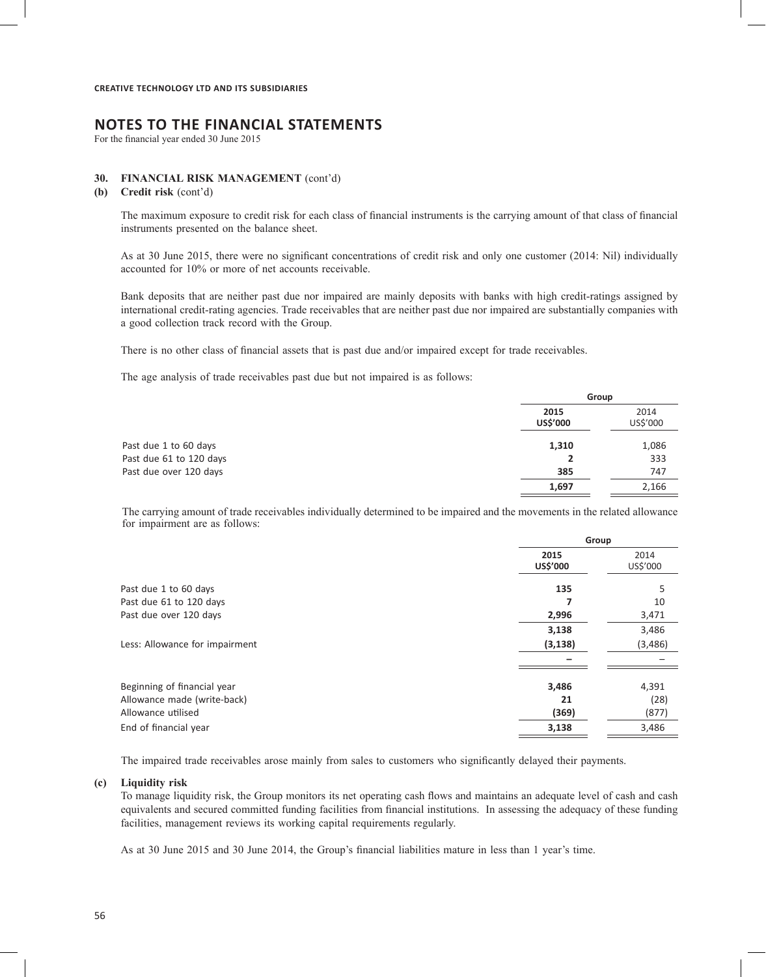# **NOTES TO THE FINANCIAL STATEMENTS**

For the financial year ended 30 June 2015

#### **30. FINANCIAL RISK MANAGEMENT** (cont'd)

**(b) Credit risk** (cont'd)

The maximum exposure to credit risk for each class of financial instruments is the carrying amount of that class of financial instruments presented on the balance sheet.

As at 30 June 2015, there were no significant concentrations of credit risk and only one customer (2014: Nil) individually accounted for 10% or more of net accounts receivable.

Bank deposits that are neither past due nor impaired are mainly deposits with banks with high credit-ratings assigned by international credit-rating agencies. Trade receivables that are neither past due nor impaired are substantially companies with a good collection track record with the Group.

There is no other class of financial assets that is past due and/or impaired except for trade receivables.

The age analysis of trade receivables past due but not impaired is as follows:

|                         |                  | Group            |  |
|-------------------------|------------------|------------------|--|
|                         | 2015<br>US\$'000 | 2014<br>US\$'000 |  |
| Past due 1 to 60 days   | 1,310            | 1,086            |  |
| Past due 61 to 120 days | 2                | 333              |  |
| Past due over 120 days  | 385              | 747              |  |
|                         | 1,697            | 2,166            |  |

The carrying amount of trade receivables individually determined to be impaired and the movements in the related allowance for impairment are as follows:

|                                | Group            |                  |  |
|--------------------------------|------------------|------------------|--|
|                                | 2015<br>US\$'000 | 2014<br>US\$'000 |  |
| Past due 1 to 60 days          | 135              | 5                |  |
| Past due 61 to 120 days        | 7                | 10               |  |
| Past due over 120 days         | 2,996            | 3,471            |  |
|                                | 3,138            | 3,486            |  |
| Less: Allowance for impairment | (3, 138)         | (3, 486)         |  |
|                                |                  |                  |  |
| Beginning of financial year    | 3,486            | 4,391            |  |
| Allowance made (write-back)    | 21               | (28)             |  |
| Allowance utilised             | (369)            | (877)            |  |
| End of financial year          | 3,138            | 3,486            |  |

The impaired trade receivables arose mainly from sales to customers who significantly delayed their payments.

#### **(c) Liquidity risk**

To manage liquidity risk, the Group monitors its net operating cash flows and maintains an adequate level of cash and cash equivalents and secured committed funding facilities from financial institutions. In assessing the adequacy of these funding facilities, management reviews its working capital requirements regularly.

As at 30 June 2015 and 30 June 2014, the Group's financial liabilities mature in less than 1 year's time.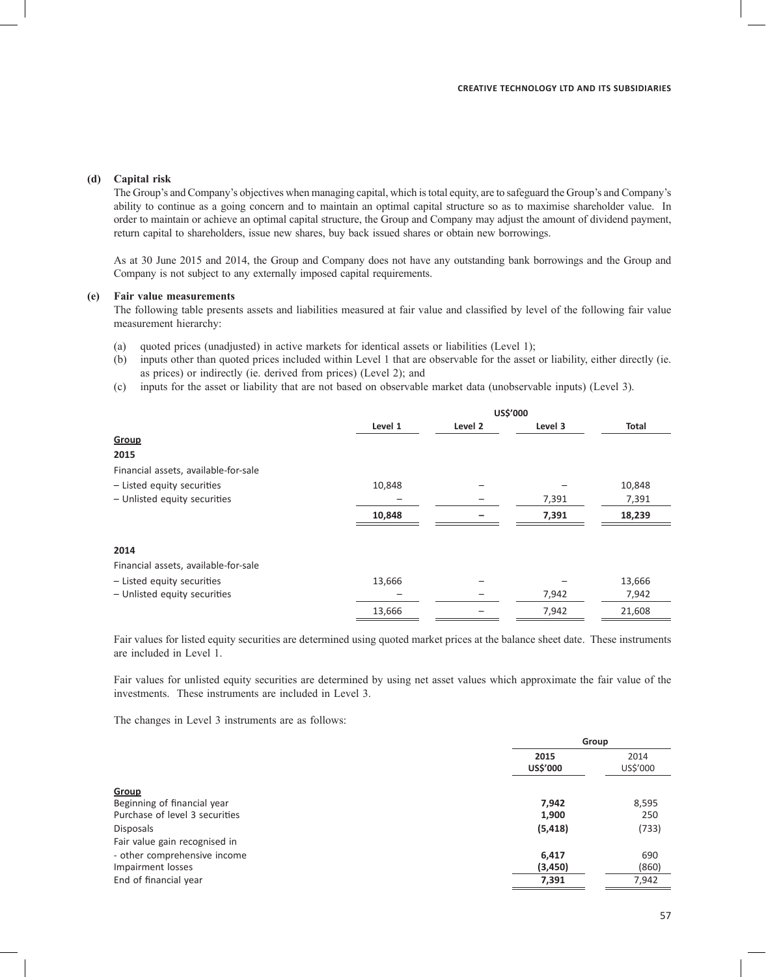# **(d) Capital risk**

The Group's and Company's objectives when managing capital, which is total equity, are to safeguard the Group's and Company's ability to continue as a going concern and to maintain an optimal capital structure so as to maximise shareholder value. In order to maintain or achieve an optimal capital structure, the Group and Company may adjust the amount of dividend payment, return capital to shareholders, issue new shares, buy back issued shares or obtain new borrowings.

As at 30 June 2015 and 2014, the Group and Company does not have any outstanding bank borrowings and the Group and Company is not subject to any externally imposed capital requirements.

# **(e) Fair value measurements**

The following table presents assets and liabilities measured at fair value and classified by level of the following fair value measurement hierarchy:

- (a) quoted prices (unadjusted) in active markets for identical assets or liabilities (Level 1);
- (b) inputs other than quoted prices included within Level 1 that are observable for the asset or liability, either directly (ie. as prices) or indirectly (ie. derived from prices) (Level 2); and
- (c) inputs for the asset or liability that are not based on observable market data (unobservable inputs) (Level 3).

|                                      | US\$'000 |         |         |        |
|--------------------------------------|----------|---------|---------|--------|
|                                      | Level 1  | Level 2 | Level 3 | Total  |
| Group                                |          |         |         |        |
| 2015                                 |          |         |         |        |
| Financial assets, available-for-sale |          |         |         |        |
| - Listed equity securities           | 10,848   |         |         | 10,848 |
| - Unlisted equity securities         |          |         | 7,391   | 7,391  |
|                                      | 10,848   |         | 7,391   | 18,239 |
| 2014                                 |          |         |         |        |
| Financial assets, available-for-sale |          |         |         |        |
| - Listed equity securities           | 13,666   |         |         | 13,666 |
| - Unlisted equity securities         |          |         | 7,942   | 7,942  |
|                                      | 13,666   |         | 7,942   | 21,608 |
|                                      |          |         |         |        |

Fair values for listed equity securities are determined using quoted market prices at the balance sheet date. These instruments are included in Level 1.

Fair values for unlisted equity securities are determined by using net asset values which approximate the fair value of the investments. These instruments are included in Level 3.

The changes in Level 3 instruments are as follows:

|                                |                         | Group            |
|--------------------------------|-------------------------|------------------|
|                                | 2015<br><b>US\$'000</b> | 2014<br>US\$'000 |
| Group                          |                         |                  |
| Beginning of financial year    | 7,942                   | 8,595            |
| Purchase of level 3 securities | 1,900                   | 250              |
| <b>Disposals</b>               | (5, 418)                | (733)            |
| Fair value gain recognised in  |                         |                  |
| - other comprehensive income   | 6,417                   | 690              |
| Impairment losses              | (3, 450)                | (860)            |
| End of financial year          | 7,391                   | 7,942            |
|                                |                         |                  |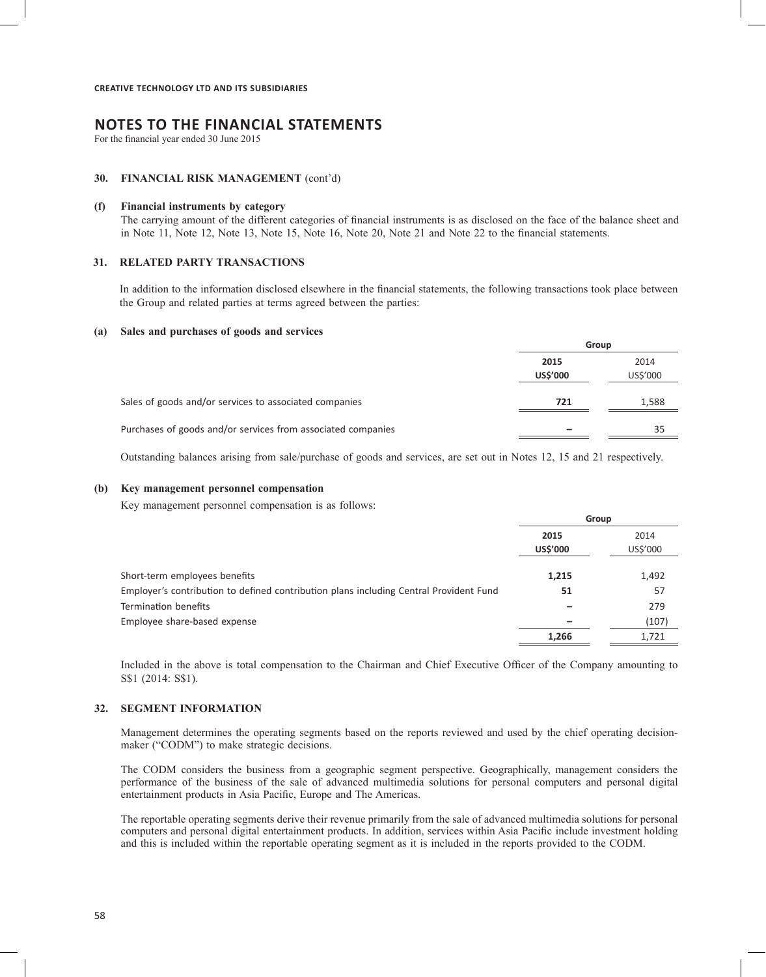For the financial year ended 30 June 2015

#### **30. FINANCIAL RISK MANAGEMENT** (cont'd)

#### **(f) Financial instruments by category**

The carrying amount of the different categories of financial instruments is as disclosed on the face of the balance sheet and in Note 11, Note 12, Note 13, Note 15, Note 16, Note 20, Note 21 and Note 22 to the financial statements.

#### **31. RELATED PARTY TRANSACTIONS**

In addition to the information disclosed elsewhere in the financial statements, the following transactions took place between the Group and related parties at terms agreed between the parties:

#### **(a) Sales and purchases of goods and services**

|                                                              | Group            |                  |
|--------------------------------------------------------------|------------------|------------------|
|                                                              | 2015<br>US\$'000 | 2014<br>US\$'000 |
| Sales of goods and/or services to associated companies       | 721              | 1,588            |
| Purchases of goods and/or services from associated companies |                  | 35               |

Outstanding balances arising from sale/purchase of goods and services, are set out in Notes 12, 15 and 21 respectively.

#### **(b) Key management personnel compensation**

Key management personnel compensation is as follows:

|                                                                                        | Group            |                  |
|----------------------------------------------------------------------------------------|------------------|------------------|
|                                                                                        | 2015<br>US\$'000 | 2014<br>US\$'000 |
| Short-term employees benefits                                                          | 1,215            | 1,492            |
| Employer's contribution to defined contribution plans including Central Provident Fund | 51               | 57               |
| Termination benefits                                                                   |                  | 279              |
| Employee share-based expense                                                           |                  | (107)            |
|                                                                                        | 1,266            | 1,721            |

Included in the above is total compensation to the Chairman and Chief Executive Officer of the Company amounting to S\$1 (2014: S\$1).

#### **32. SEGMENT INFORMATION**

Management determines the operating segments based on the reports reviewed and used by the chief operating decisionmaker ("CODM") to make strategic decisions.

The CODM considers the business from a geographic segment perspective. Geographically, management considers the performance of the business of the sale of advanced multimedia solutions for personal computers and personal digital entertainment products in Asia Pacific, Europe and The Americas.

The reportable operating segments derive their revenue primarily from the sale of advanced multimedia solutions for personal computers and personal digital entertainment products. In addition, services within Asia Pacific include investment holding and this is included within the reportable operating segment as it is included in the reports provided to the CODM.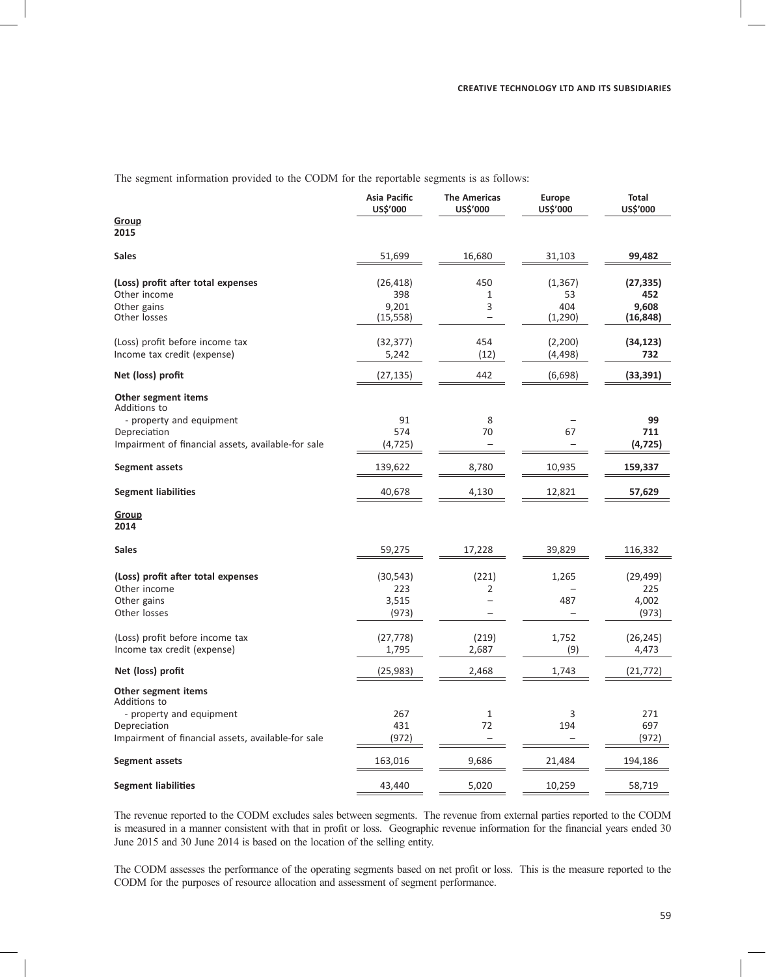The segment information provided to the CODM for the reportable segments is as follows:

|                                                    | Asia Pacific<br>US\$'000 | <b>The Americas</b><br>US\$'000 | Europe<br>US\$'000 | <b>Total</b><br>US\$'000 |
|----------------------------------------------------|--------------------------|---------------------------------|--------------------|--------------------------|
| Group<br>2015                                      |                          |                                 |                    |                          |
| <b>Sales</b>                                       | 51,699                   | 16,680                          | 31,103             | 99,482                   |
| (Loss) profit after total expenses                 | (26, 418)                | 450                             | (1, 367)           | (27, 335)                |
| Other income                                       | 398                      | $\mathbf{1}$                    | 53                 | 452                      |
| Other gains<br>Other losses                        | 9,201<br>(15, 558)       | 3<br>$\overline{\phantom{0}}$   | 404<br>(1,290)     | 9,608<br>(16, 848)       |
| (Loss) profit before income tax                    | (32, 377)                | 454                             | (2,200)            | (34, 123)                |
| Income tax credit (expense)                        | 5,242                    | (12)                            | (4, 498)           | 732                      |
| Net (loss) profit                                  | (27, 135)                | 442                             | (6,698)            | (33, 391)                |
| Other segment items<br>Additions to                |                          |                                 |                    |                          |
| - property and equipment                           | 91                       | 8                               |                    | 99                       |
| Depreciation                                       | 574                      | 70                              | 67                 | 711                      |
| Impairment of financial assets, available-for sale | (4, 725)                 |                                 |                    | (4, 725)                 |
| Segment assets                                     | 139,622                  | 8,780                           | 10,935             | 159,337                  |
| <b>Segment liabilities</b>                         | 40,678                   | 4,130                           | 12,821             | 57,629                   |
| <b>Group</b><br>2014                               |                          |                                 |                    |                          |
| <b>Sales</b>                                       | 59,275                   | 17,228                          | 39,829             | 116,332                  |
| (Loss) profit after total expenses                 | (30, 543)                | (221)                           | 1,265              | (29, 499)                |
| Other income                                       | 223                      | 2                               |                    | 225                      |
| Other gains                                        | 3,515                    |                                 | 487                | 4,002                    |
| Other losses                                       | (973)                    | $\overline{\phantom{0}}$        |                    | (973)                    |
| (Loss) profit before income tax                    | (27, 778)                | (219)                           | 1,752              | (26, 245)                |
| Income tax credit (expense)                        | 1,795                    | 2,687                           | (9)                | 4,473                    |
| Net (loss) profit                                  | (25, 983)                | 2,468                           | 1,743              | (21, 772)                |
| Other segment items<br>Additions to                |                          |                                 |                    |                          |
| - property and equipment                           | 267                      | $\mathbf{1}$                    | 3                  | 271                      |
| Depreciation                                       | 431                      | 72                              | 194                | 697                      |
| Impairment of financial assets, available-for sale | (972)                    |                                 |                    | (972)                    |
| Segment assets                                     | 163,016                  | 9,686                           | 21,484             | 194,186                  |
| <b>Segment liabilities</b>                         | 43,440                   | 5,020                           | 10,259             | 58,719                   |

The revenue reported to the CODM excludes sales between segments. The revenue from external parties reported to the CODM is measured in a manner consistent with that in profit or loss. Geographic revenue information for the financial years ended 30 June 2015 and 30 June 2014 is based on the location of the selling entity.

The CODM assesses the performance of the operating segments based on net profit or loss. This is the measure reported to the CODM for the purposes of resource allocation and assessment of segment performance.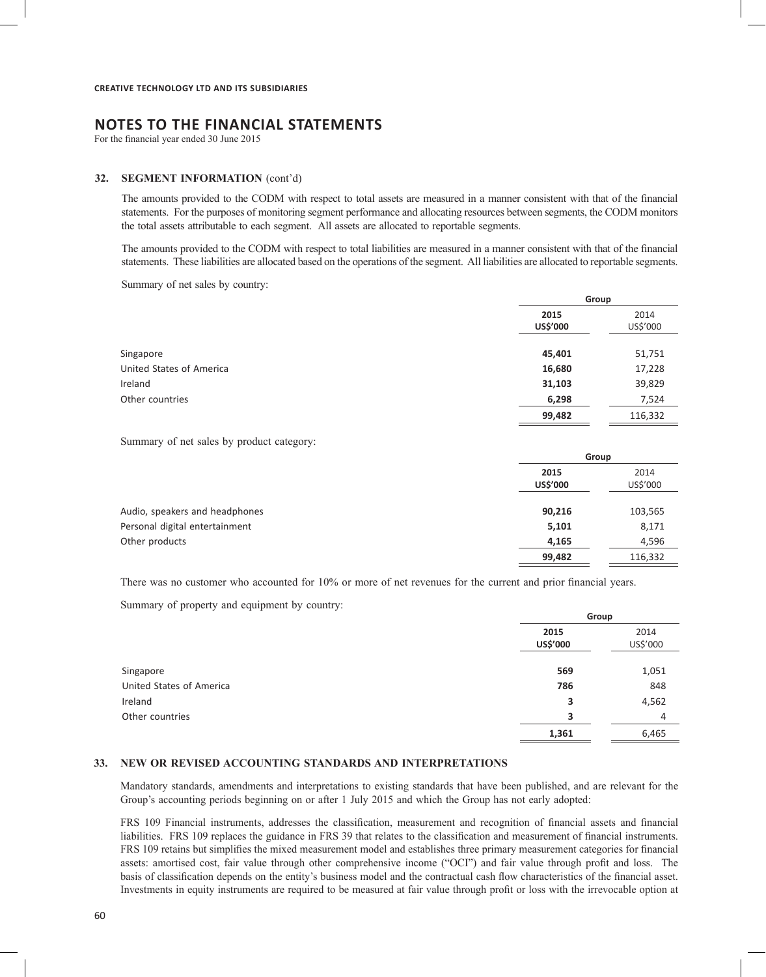For the financial year ended 30 June 2015

#### **32. SEGMENT INFORMATION** (cont'd)

The amounts provided to the CODM with respect to total assets are measured in a manner consistent with that of the financial statements. For the purposes of monitoring segment performance and allocating resources between segments, the CODM monitors the total assets attributable to each segment. All assets are allocated to reportable segments.

The amounts provided to the CODM with respect to total liabilities are measured in a manner consistent with that of the financial statements. These liabilities are allocated based on the operations of the segment. All liabilities are allocated to reportable segments.

Summary of net sales by country:

|                          | Group            |                  |
|--------------------------|------------------|------------------|
|                          | 2015<br>US\$'000 | 2014<br>US\$'000 |
| Singapore                | 45,401           | 51,751           |
| United States of America | 16,680           | 17,228           |
| Ireland                  | 31,103           | 39,829           |
| Other countries          | 6,298            | 7,524            |
|                          | 99,482           | 116,332          |

Summary of net sales by product category:

|                                | Group            |         |
|--------------------------------|------------------|---------|
|                                | 2015<br>US\$'000 |         |
| Audio, speakers and headphones | 90,216           | 103,565 |
| Personal digital entertainment | 5,101            | 8,171   |
| Other products                 | 4,165            | 4,596   |
|                                | 99,482           | 116,332 |

There was no customer who accounted for 10% or more of net revenues for the current and prior financial years.

Summary of property and equipment by country:

|                          |                  | Group            |  |
|--------------------------|------------------|------------------|--|
|                          | 2015<br>US\$'000 | 2014<br>US\$'000 |  |
| Singapore                | 569              | 1,051            |  |
| United States of America | 786              | 848              |  |
| Ireland                  | 3                | 4,562            |  |
| Other countries          | 3                | 4                |  |
|                          | 1,361            | 6,465            |  |
|                          |                  |                  |  |

### **33. NEW OR REVISED ACCOUNTING STANDARDS AND INTERPRETATIONS**

Mandatory standards, amendments and interpretations to existing standards that have been published, and are relevant for the Group's accounting periods beginning on or after 1 July 2015 and which the Group has not early adopted:

FRS 109 Financial instruments, addresses the classification, measurement and recognition of financial assets and financial liabilities. FRS 109 replaces the guidance in FRS 39 that relates to the classification and measurement of financial instruments. FRS 109 retains but simplifies the mixed measurement model and establishes three primary measurement categories for financial assets: amortised cost, fair value through other comprehensive income ("OCI") and fair value through profit and loss. The basis of classification depends on the entity's business model and the contractual cash flow characteristics of the financial asset. Investments in equity instruments are required to be measured at fair value through profit or loss with the irrevocable option at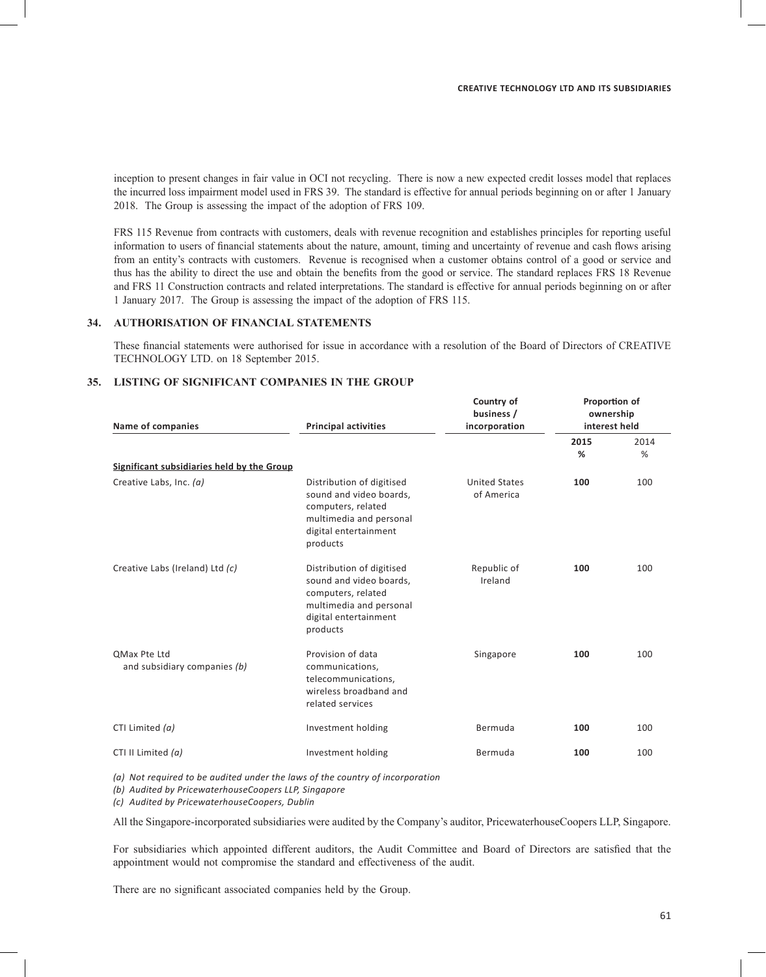inception to present changes in fair value in OCI not recycling. There is now a new expected credit losses model that replaces the incurred loss impairment model used in FRS 39. The standard is effective for annual periods beginning on or after 1 January 2018. The Group is assessing the impact of the adoption of FRS 109.

FRS 115 Revenue from contracts with customers, deals with revenue recognition and establishes principles for reporting useful information to users of financial statements about the nature, amount, timing and uncertainty of revenue and cash flows arising from an entity's contracts with customers. Revenue is recognised when a customer obtains control of a good or service and thus has the ability to direct the use and obtain the benefits from the good or service. The standard replaces FRS 18 Revenue and FRS 11 Construction contracts and related interpretations. The standard is effective for annual periods beginning on or after 1 January 2017. The Group is assessing the impact of the adoption of FRS 115.

### **34. AUTHORISATION OF FINANCIAL STATEMENTS**

These financial statements were authorised for issue in accordance with a resolution of the Board of Directors of CREATIVE TECHNOLOGY LTD. on 18 September 2015.

# **35. LISTING OF SIGNIFICANT COMPANIES IN THE GROUP**

| Name of companies                                                     | <b>Principal activities</b>                                                                                                                | Country of<br>business /<br>incorporation | Proportion of<br>ownership<br>interest held |           |
|-----------------------------------------------------------------------|--------------------------------------------------------------------------------------------------------------------------------------------|-------------------------------------------|---------------------------------------------|-----------|
|                                                                       |                                                                                                                                            |                                           | 2015<br>%                                   | 2014<br>% |
| Significant subsidiaries held by the Group<br>Creative Labs, Inc. (a) | Distribution of digitised<br>sound and video boards,<br>computers, related<br>multimedia and personal<br>digital entertainment<br>products | <b>United States</b><br>of America        | 100                                         | 100       |
| Creative Labs (Ireland) Ltd (c)                                       | Distribution of digitised<br>sound and video boards,<br>computers, related<br>multimedia and personal<br>digital entertainment<br>products | Republic of<br>Ireland                    | 100                                         | 100       |
| OMax Pte Ltd<br>and subsidiary companies (b)                          | Provision of data<br>communications,<br>telecommunications,<br>wireless broadband and<br>related services                                  | Singapore                                 | 100                                         | 100       |
| CTI Limited (a)                                                       | Investment holding                                                                                                                         | Bermuda                                   | 100                                         | 100       |
|                                                                       | Investment holding                                                                                                                         | Bermuda                                   | 100                                         | 100       |
| CTI II Limited $(a)$                                                  |                                                                                                                                            |                                           |                                             |           |

*(a) Not required to be audited under the laws of the country of incorporation*

*(b) Audited by PricewaterhouseCoopers LLP, Singapore*

*(c) Audited by PricewaterhouseCoopers, Dublin*

All the Singapore-incorporated subsidiaries were audited by the Company's auditor, PricewaterhouseCoopers LLP, Singapore.

For subsidiaries which appointed different auditors, the Audit Committee and Board of Directors are satisfied that the appointment would not compromise the standard and effectiveness of the audit.

There are no significant associated companies held by the Group.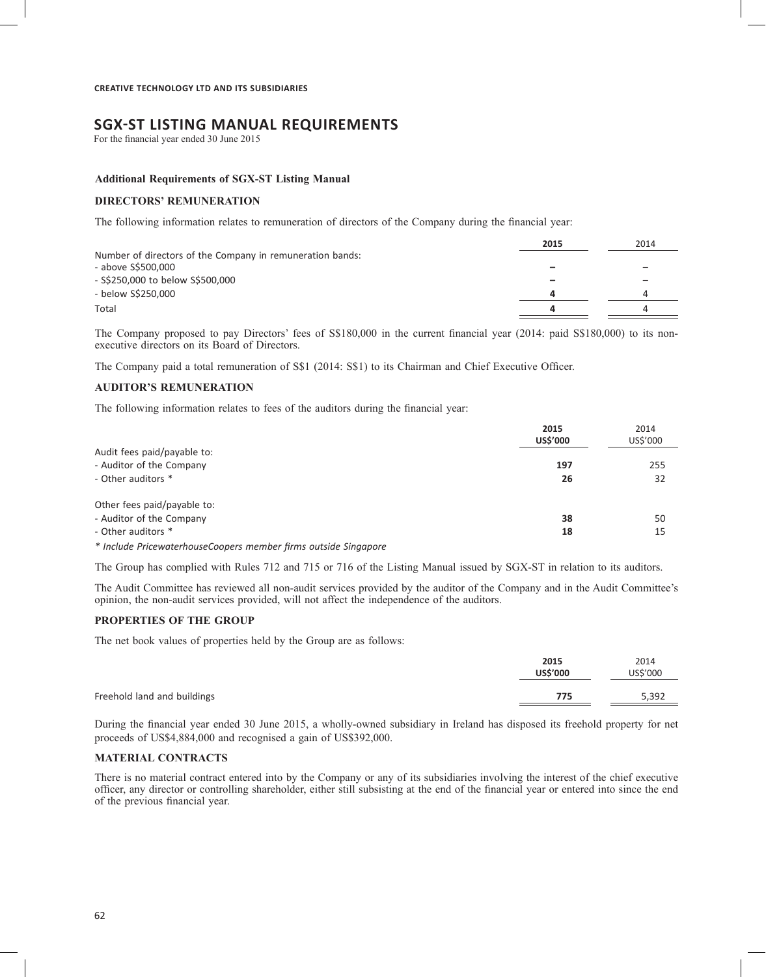# **SGX-ST LISTING MANUAL REQUIREMENTS**

For the financial year ended 30 June 2015

### **Additional Requirements of SGX-ST Listing Manual**

#### **DIRECTORS' REMUNERATION**

The following information relates to remuneration of directors of the Company during the financial year:

|                                                           | 2015 | 2014 |
|-----------------------------------------------------------|------|------|
| Number of directors of the Company in remuneration bands: |      |      |
| - above S\$500,000                                        |      | -    |
| - S\$250,000 to below S\$500,000                          | -    | -    |
| - below S\$250,000                                        | 4    |      |
| Total                                                     | д    |      |

The Company proposed to pay Directors' fees of S\$180,000 in the current financial year (2014: paid S\$180,000) to its nonexecutive directors on its Board of Directors.

The Company paid a total remuneration of S\$1 (2014: S\$1) to its Chairman and Chief Executive Officer.

### **AUDITOR'S REMUNERATION**

The following information relates to fees of the auditors during the financial year:

|                                                                 | 2015<br><b>US\$'000</b> | 2014<br>US\$'000 |
|-----------------------------------------------------------------|-------------------------|------------------|
| Audit fees paid/payable to:                                     |                         |                  |
| - Auditor of the Company                                        | 197                     | 255              |
| - Other auditors *                                              | 26                      | 32               |
| Other fees paid/payable to:                                     |                         |                  |
| - Auditor of the Company                                        | 38                      | 50               |
| - Other auditors *                                              | 18                      | 15               |
| * Include PricewaterhouseCoopers member firms outside Singapore |                         |                  |

The Group has complied with Rules 712 and 715 or 716 of the Listing Manual issued by SGX-ST in relation to its auditors.

The Audit Committee has reviewed all non-audit services provided by the auditor of the Company and in the Audit Committee's opinion, the non-audit services provided, will not affect the independence of the auditors.

#### **PROPERTIES OF THE GROUP**

The net book values of properties held by the Group are as follows:

|                             | 2015<br><b>US\$'000</b> | 2014<br>US\$'000 |
|-----------------------------|-------------------------|------------------|
| Freehold land and buildings | 775                     | 5,392            |

During the financial year ended 30 June 2015, a wholly-owned subsidiary in Ireland has disposed its freehold property for net proceeds of US\$4,884,000 and recognised a gain of US\$392,000.

#### **MATERIAL CONTRACTS**

There is no material contract entered into by the Company or any of its subsidiaries involving the interest of the chief executive officer, any director or controlling shareholder, either still subsisting at the end of the financial year or entered into since the end of the previous financial year.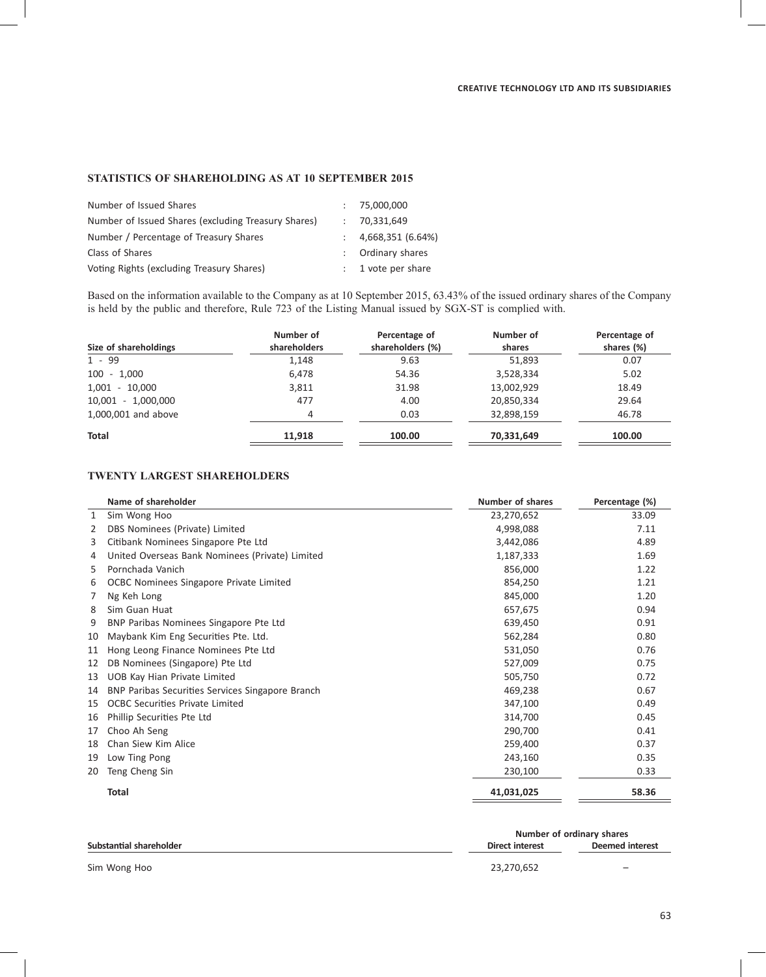# **STATISTICS OF SHAREHOLDING AS AT 10 SEPTEMBER 2015**

| Number of Issued Shares                             | : 75,000,000         |
|-----------------------------------------------------|----------------------|
| Number of Issued Shares (excluding Treasury Shares) | : 70,331,649         |
| Number / Percentage of Treasury Shares              | 4,668,351 (6.64%)    |
| Class of Shares                                     | : Ordinary shares    |
| Voting Rights (excluding Treasury Shares)           | $: 1$ vote per share |

Based on the information available to the Company as at 10 September 2015, 63.43% of the issued ordinary shares of the Company is held by the public and therefore, Rule 723 of the Listing Manual issued by SGX-ST is complied with.

| Size of shareholdings | Number of<br>shareholders | Percentage of<br>shareholders (%) | Number of<br>shares | Percentage of<br>shares (%) |
|-----------------------|---------------------------|-----------------------------------|---------------------|-----------------------------|
| $1 - 99$              | 1,148                     | 9.63                              | 51,893              | 0.07                        |
| $100 - 1.000$         | 6,478                     | 54.36                             | 3,528,334           | 5.02                        |
| $1,001 - 10,000$      | 3,811                     | 31.98                             | 13,002,929          | 18.49                       |
| 10,001 - 1,000,000    | 477                       | 4.00                              | 20,850,334          | 29.64                       |
| 1,000,001 and above   | 4                         | 0.03                              | 32,898,159          | 46.78                       |
| Total                 | 11.918                    | 100.00                            | 70,331,649          | 100.00                      |

# **TWENTY LARGEST SHAREHOLDERS**

|              | Name of shareholder                              | <b>Number of shares</b> | Percentage (%) |
|--------------|--------------------------------------------------|-------------------------|----------------|
| $\mathbf{1}$ | Sim Wong Hoo                                     | 23,270,652              | 33.09          |
| 2            | DBS Nominees (Private) Limited                   | 4,998,088               | 7.11           |
| 3            | Citibank Nominees Singapore Pte Ltd              | 3,442,086               | 4.89           |
| 4            | United Overseas Bank Nominees (Private) Limited  | 1,187,333               | 1.69           |
| 5.           | Pornchada Vanich                                 | 856,000                 | 1.22           |
| 6            | OCBC Nominees Singapore Private Limited          | 854,250                 | 1.21           |
| 7            | Ng Keh Long                                      | 845,000                 | 1.20           |
| 8            | Sim Guan Huat                                    | 657,675                 | 0.94           |
| 9            | BNP Paribas Nominees Singapore Pte Ltd           | 639,450                 | 0.91           |
| 10           | Maybank Kim Eng Securities Pte. Ltd.             | 562,284                 | 0.80           |
| 11           | Hong Leong Finance Nominees Pte Ltd              | 531,050                 | 0.76           |
| 12           | DB Nominees (Singapore) Pte Ltd                  | 527,009                 | 0.75           |
| 13           | UOB Kay Hian Private Limited                     | 505,750                 | 0.72           |
| 14           | BNP Paribas Securities Services Singapore Branch | 469,238                 | 0.67           |
| 15           | <b>OCBC Securities Private Limited</b>           | 347,100                 | 0.49           |
| 16           | Phillip Securities Pte Ltd                       | 314,700                 | 0.45           |
| 17           | Choo Ah Seng                                     | 290,700                 | 0.41           |
| 18           | Chan Siew Kim Alice                              | 259,400                 | 0.37           |
| 19           | Low Ting Pong                                    | 243,160                 | 0.35           |
| 20           | Teng Cheng Sin                                   | 230,100                 | 0.33           |
|              | Total                                            | 41,031,025              | 58.36          |
|              |                                                  |                         |                |

| Substantial shareholder | Number of ordinary shares |                          |  |
|-------------------------|---------------------------|--------------------------|--|
|                         | Direct interest           | Deemed interest          |  |
| Sim Wong Hoo            | 23.270.652                | $\overline{\phantom{0}}$ |  |